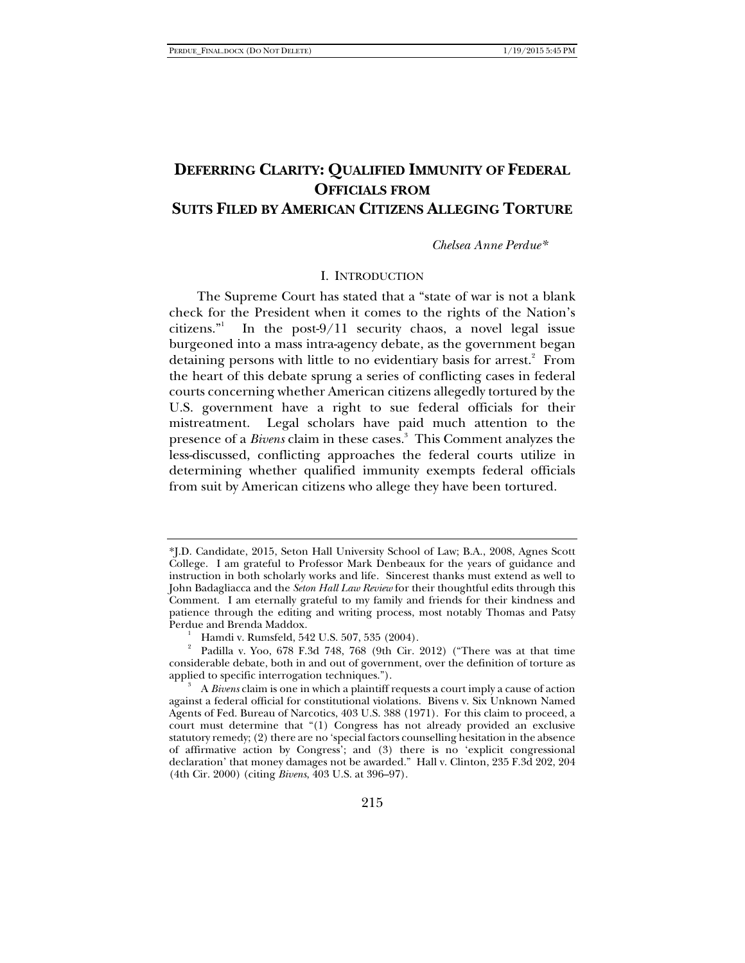# **DEFERRING CLARITY: QUALIFIED IMMUNITY OF FEDERAL OFFICIALS FROM SUITS FILED BY AMERICAN CITIZENS ALLEGING TORTURE**

*Chelsea Anne Perdue\**

#### I. INTRODUCTION

The Supreme Court has stated that a "state of war is not a blank check for the President when it comes to the rights of the Nation's citizens." In the post-9/11 security chaos, a novel legal issue burgeoned into a mass intra-agency debate, as the government began detaining persons with little to no evidentiary basis for arrest.<sup>2</sup> From the heart of this debate sprung a series of conflicting cases in federal courts concerning whether American citizens allegedly tortured by the U.S. government have a right to sue federal officials for their mistreatment. Legal scholars have paid much attention to the presence of a *Bivens* claim in these cases.<sup>3</sup> This Comment analyzes the less-discussed, conflicting approaches the federal courts utilize in determining whether qualified immunity exempts federal officials from suit by American citizens who allege they have been tortured.

<sup>\*</sup>J.D. Candidate, 2015, Seton Hall University School of Law; B.A., 2008, Agnes Scott College. I am grateful to Professor Mark Denbeaux for the years of guidance and instruction in both scholarly works and life. Sincerest thanks must extend as well to John Badagliacca and the *Seton Hall Law Review* for their thoughtful edits through this Comment. I am eternally grateful to my family and friends for their kindness and patience through the editing and writing process, most notably Thomas and Patsy Perdue and Brenda Maddox. 1

Hamdi v. Rumsfeld, 542 U.S. 507, 535 (2004).

<sup>2</sup> Padilla v. Yoo, 678 F.3d 748, 768 (9th Cir. 2012) ("There was at that time considerable debate, both in and out of government, over the definition of torture as applied to specific interrogation techniques.").

A *Bivens* claim is one in which a plaintiff requests a court imply a cause of action against a federal official for constitutional violations. Bivens v. Six Unknown Named Agents of Fed. Bureau of Narcotics, 403 U.S. 388 (1971). For this claim to proceed, a court must determine that "(1) Congress has not already provided an exclusive statutory remedy; (2) there are no 'special factors counselling hesitation in the absence of affirmative action by Congress'; and (3) there is no 'explicit congressional declaration' that money damages not be awarded." Hall v. Clinton, 235 F.3d 202, 204 (4th Cir. 2000) (citing *Bivens*, 403 U.S. at 396–97).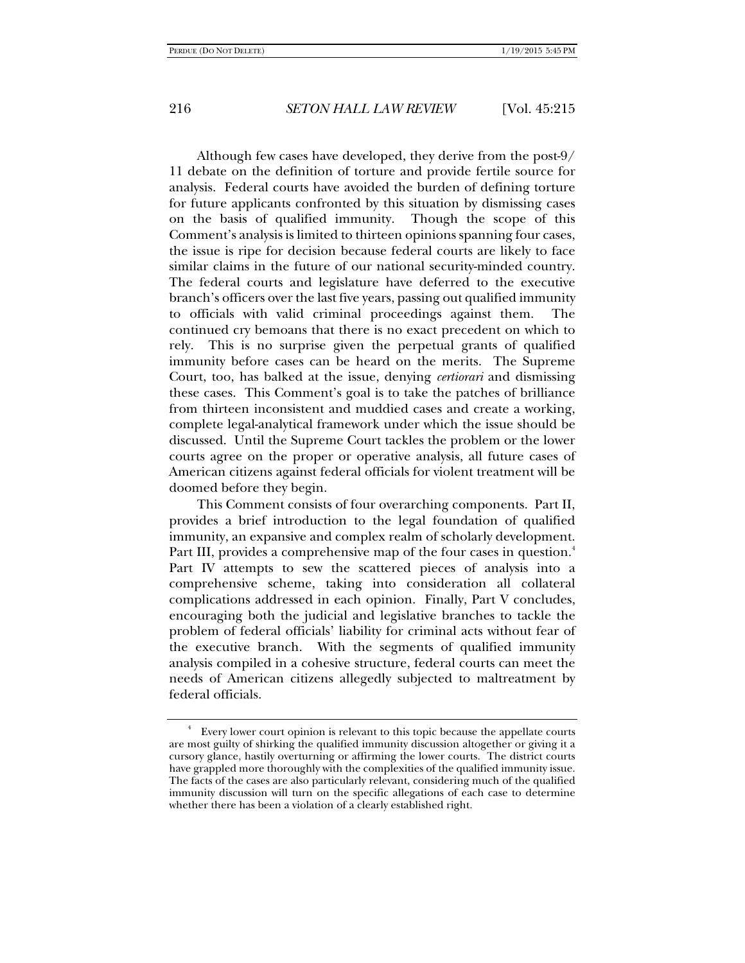Although few cases have developed, they derive from the post-9/ 11 debate on the definition of torture and provide fertile source for analysis. Federal courts have avoided the burden of defining torture for future applicants confronted by this situation by dismissing cases on the basis of qualified immunity. Though the scope of this Comment's analysis is limited to thirteen opinions spanning four cases, the issue is ripe for decision because federal courts are likely to face similar claims in the future of our national security-minded country. The federal courts and legislature have deferred to the executive branch's officers over the last five years, passing out qualified immunity to officials with valid criminal proceedings against them. The continued cry bemoans that there is no exact precedent on which to rely. This is no surprise given the perpetual grants of qualified immunity before cases can be heard on the merits. The Supreme Court, too, has balked at the issue, denying *certiorari* and dismissing these cases. This Comment's goal is to take the patches of brilliance from thirteen inconsistent and muddied cases and create a working, complete legal-analytical framework under which the issue should be discussed. Until the Supreme Court tackles the problem or the lower courts agree on the proper or operative analysis, all future cases of American citizens against federal officials for violent treatment will be doomed before they begin.

This Comment consists of four overarching components. Part II, provides a brief introduction to the legal foundation of qualified immunity, an expansive and complex realm of scholarly development. Part III, provides a comprehensive map of the four cases in question.<sup>4</sup> Part IV attempts to sew the scattered pieces of analysis into a comprehensive scheme, taking into consideration all collateral complications addressed in each opinion. Finally, Part V concludes, encouraging both the judicial and legislative branches to tackle the problem of federal officials' liability for criminal acts without fear of the executive branch. With the segments of qualified immunity analysis compiled in a cohesive structure, federal courts can meet the needs of American citizens allegedly subjected to maltreatment by federal officials.

<sup>4</sup> Every lower court opinion is relevant to this topic because the appellate courts are most guilty of shirking the qualified immunity discussion altogether or giving it a cursory glance, hastily overturning or affirming the lower courts. The district courts have grappled more thoroughly with the complexities of the qualified immunity issue. The facts of the cases are also particularly relevant, considering much of the qualified immunity discussion will turn on the specific allegations of each case to determine whether there has been a violation of a clearly established right.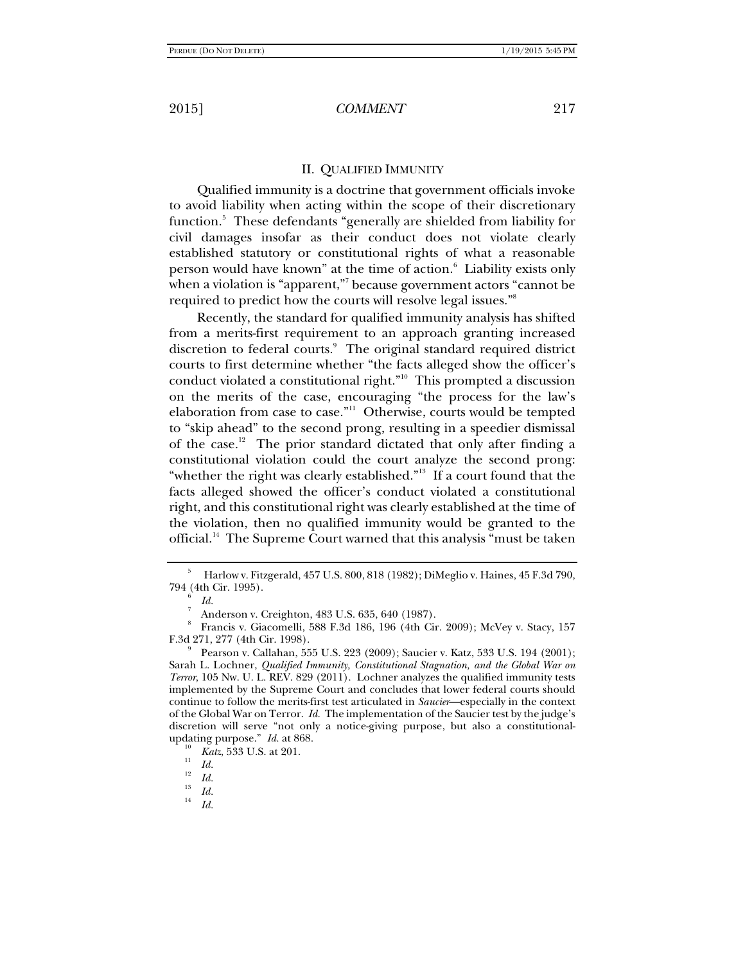#### II. QUALIFIED IMMUNITY

Qualified immunity is a doctrine that government officials invoke to avoid liability when acting within the scope of their discretionary function.<sup>5</sup> These defendants "generally are shielded from liability for civil damages insofar as their conduct does not violate clearly established statutory or constitutional rights of what a reasonable person would have known" at the time of action.<sup>6</sup> Liability exists only when a violation is "apparent,"7 because government actors "cannot be required to predict how the courts will resolve legal issues."8

Recently, the standard for qualified immunity analysis has shifted from a merits-first requirement to an approach granting increased discretion to federal courts.<sup>9</sup> The original standard required district courts to first determine whether "the facts alleged show the officer's conduct violated a constitutional right."10 This prompted a discussion on the merits of the case, encouraging "the process for the law's elaboration from case to case."<sup>11</sup> Otherwise, courts would be tempted to "skip ahead" to the second prong, resulting in a speedier dismissal of the case.<sup>12</sup> The prior standard dictated that only after finding a constitutional violation could the court analyze the second prong: "whether the right was clearly established."13 If a court found that the facts alleged showed the officer's conduct violated a constitutional right, and this constitutional right was clearly established at the time of the violation, then no qualified immunity would be granted to the official.<sup>14</sup> The Supreme Court warned that this analysis "must be taken

*Id.*

<sup>5</sup> Harlow v. Fitzgerald, 457 U.S. 800, 818 (1982); DiMeglio v. Haines, 45 F.3d 790, 794 (4th Cir. 1995). 6

*Id.* 

Anderson v. Creighton, 483 U.S. 635, 640 (1987).

<sup>8</sup> Francis v. Giacomelli, 588 F.3d 186, 196 (4th Cir. 2009); McVey v. Stacy, 157 F.3d 271, 277 (4th Cir. 1998).

Pearson v. Callahan, 555 U.S. 223 (2009); Saucier v. Katz, 533 U.S. 194 (2001); Sarah L. Lochner, *Qualified Immunity, Constitutional Stagnation, and the Global War on Terror*, 105 Nw. U. L. REV. 829 (2011). Lochner analyzes the qualified immunity tests implemented by the Supreme Court and concludes that lower federal courts should continue to follow the merits-first test articulated in *Saucier*—especially in the context of the Global War on Terror. *Id.* The implementation of the Saucier test by the judge's discretion will serve "not only a notice-giving purpose, but also a constitutionalupdating purpose." *Id.* at 868.

<sup>&</sup>lt;sup>10</sup> *Katz*, 533 U.S. at 201.<br><sup>11</sup> *Id.*<br>*12 Id.* 

 $\frac{13}{14}$  *Id.*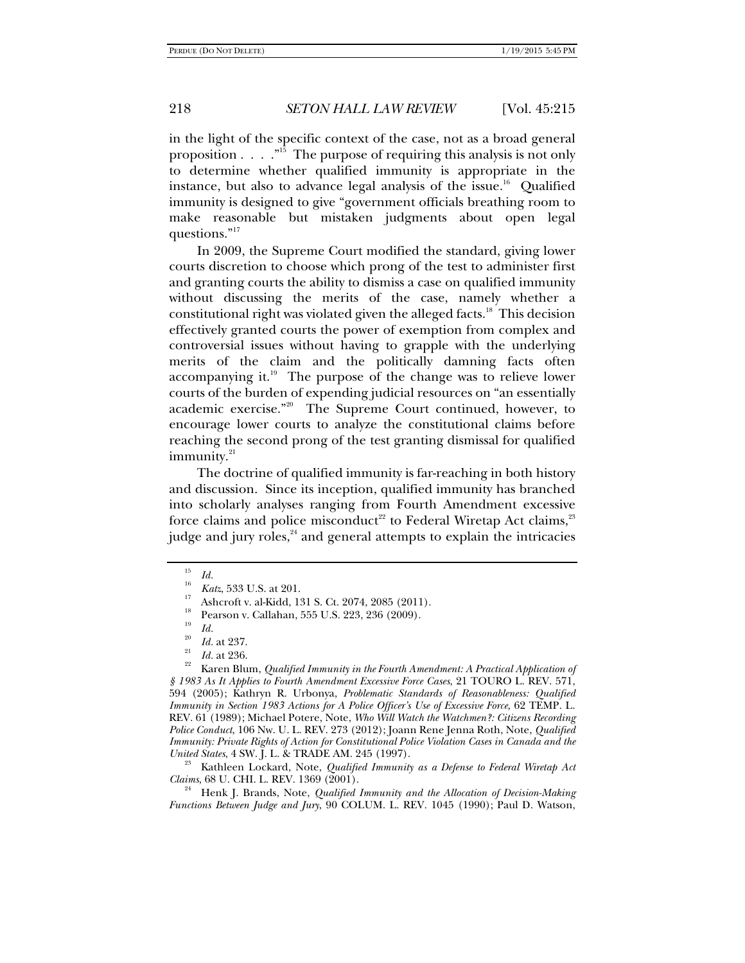in the light of the specific context of the case, not as a broad general proposition  $\ldots$  ."<sup>15</sup> The purpose of requiring this analysis is not only to determine whether qualified immunity is appropriate in the instance, but also to advance legal analysis of the issue.<sup>16</sup> Qualified immunity is designed to give "government officials breathing room to make reasonable but mistaken judgments about open legal questions."<sup>17</sup>

In 2009, the Supreme Court modified the standard, giving lower courts discretion to choose which prong of the test to administer first and granting courts the ability to dismiss a case on qualified immunity without discussing the merits of the case, namely whether a constitutional right was violated given the alleged facts.<sup>18</sup> This decision effectively granted courts the power of exemption from complex and controversial issues without having to grapple with the underlying merits of the claim and the politically damning facts often accompanying it. $19$  The purpose of the change was to relieve lower courts of the burden of expending judicial resources on "an essentially academic exercise."20 The Supreme Court continued, however, to encourage lower courts to analyze the constitutional claims before reaching the second prong of the test granting dismissal for qualified immunity.<sup>21</sup>

The doctrine of qualified immunity is far-reaching in both history and discussion. Since its inception, qualified immunity has branched into scholarly analyses ranging from Fourth Amendment excessive force claims and police misconduct<sup>22</sup> to Federal Wiretap Act claims,<sup>23</sup> judge and jury roles, $^{24}$  and general attempts to explain the intricacies

Kathleen Lockard, Note, *Qualified Immunity as a Defense to Federal Wiretap Act* 

*Claims*, 68 U. CHI. L. REV. 1369 (2001). 24 Henk J. Brands, Note, *Qualified Immunity and the Allocation of Decision-Making Functions Between Judge and Jury*, 90 COLUM. L. REV. 1045 (1990); Paul D. Watson,

<sup>15</sup>

<sup>&</sup>lt;sup>16</sup> *Id.*<br><sup>16</sup> *Katz*, 533 U.S. at 201.<br><sup>17</sup> Ashcroft v. al-Kidd, 131 S. Ct. 2074, 2085 (2011).

Pearson v. Callahan, 555 U.S. 223, 236 (2009).

<sup>19</sup>

*Id.* 20 *Id.* at 237. 21 *Id.* at 236. 22 Karen Blum, *Qualified Immunity in the Fourth Amendment: A Practical Application of § 1983 As It Applies to Fourth Amendment Excessive Force Cases*, 21 TOURO L. REV. 571, 594 (2005); Kathryn R. Urbonya, *Problematic Standards of Reasonableness: Qualified Immunity in Section 1983 Actions for A Police Officer's Use of Excessive Force*, 62 TEMP. L. REV. 61 (1989); Michael Potere, Note, *Who Will Watch the Watchmen?: Citizens Recording Police Conduct*, 106 Nw. U. L. REV. 273 (2012); Joann Rene Jenna Roth, Note, *Qualified Immunity: Private Rights of Action for Constitutional Police Violation Cases in Canada and the United States,* 4 SW. J. L. & TRADE AM. 245 (1997).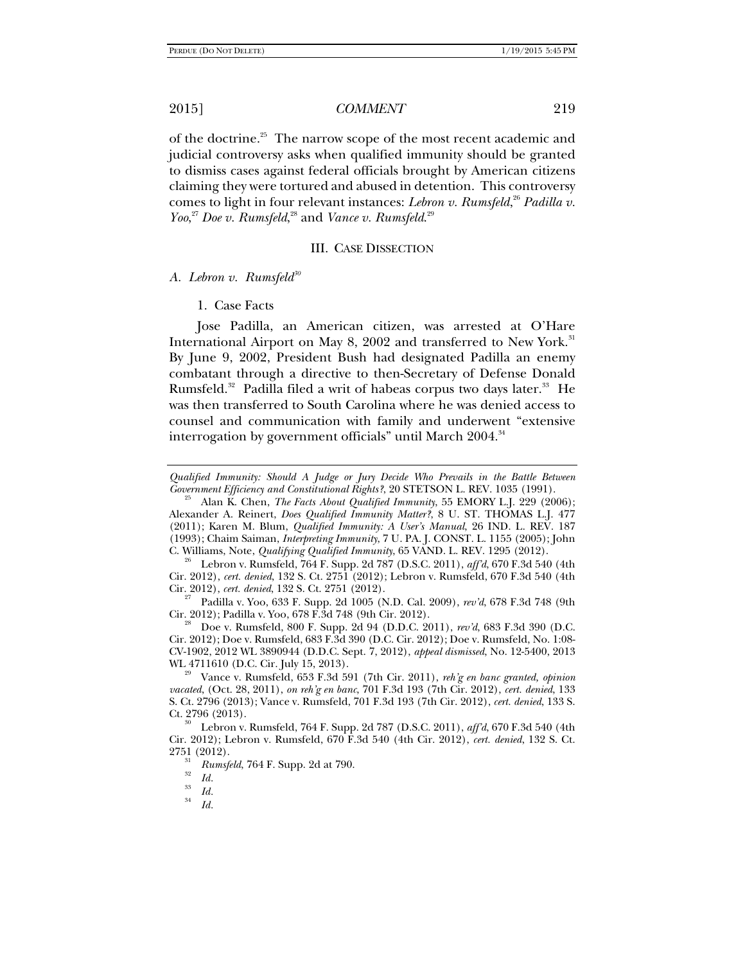of the doctrine.<sup>25</sup> The narrow scope of the most recent academic and judicial controversy asks when qualified immunity should be granted to dismiss cases against federal officials brought by American citizens claiming they were tortured and abused in detention. This controversy comes to light in four relevant instances: *Lebron v. Rumsfeld*, <sup>26</sup> *Padilla v. Yoo*,<sup>27</sup> *Doe v. Rumsfeld*,<sup>28</sup> and *Vance v. Rumsfeld*.<sup>29</sup>

#### III. CASE DISSECTION

A. Lebron v. Rumsfeld<sup>30</sup>

1. Case Facts

Jose Padilla, an American citizen, was arrested at O'Hare International Airport on May 8, 2002 and transferred to New York.<sup>31</sup> By June 9, 2002, President Bush had designated Padilla an enemy combatant through a directive to then-Secretary of Defense Donald Rumsfeld.<sup>32</sup> Padilla filed a writ of habeas corpus two days later.<sup>33</sup> He was then transferred to South Carolina where he was denied access to counsel and communication with family and underwent "extensive interrogation by government officials" until March 2004.<sup>34</sup>

Alan K. Chen, *The Facts About Qualified Immunity*, 55 EMORY L.J. 229 (2006); Alexander A. Reinert, *Does Qualified Immunity Matter?*, 8 U. ST. THOMAS L.J. 477 (2011); Karen M. Blum, *Qualified Immunity: A User's Manual*, 26 IND. L. REV. 187 (1993); Chaim Saiman, *Interpreting Immunity*, 7 U. PA. J. CONST. L. 1155 (2005); John C. Williams, Note, *Qualifying Qualified Immunity*, 65 VAND. L. REV. 1295 (2012). 26 Lebron v. Rumsfeld, 764 F. Supp. 2d 787 (D.S.C. 2011), *aff'd*, 670 F.3d 540 (4th

Cir. 2012), *cert. denied*, 132 S. Ct. 2751 (2012); Lebron v. Rumsfeld, 670 F.3d 540 (4th

<sup>27</sup> Padilla v. Yoo, 633 F. Supp. 2d 1005 (N.D. Cal. 2009), *rev'd*, 678 F.3d 748 (9th Cir. 2012); Padilla v. Yoo, 678 F.3d 748 (9th Cir. 2012).

Doe v. Rumsfeld, 800 F. Supp. 2d 94 (D.D.C. 2011),  $rev'd$ , 683 F.3d 390 (D.C. Cir. 2012); Doe v. Rumsfeld, 683 F.3d 390 (D.C. Cir. 2012); Doe v. Rumsfeld, No. 1:08- CV-1902, 2012 WL 3890944 (D.D.C. Sept. 7, 2012), *appeal dismissed*, No. 12-5400, 2013

<sup>29</sup> Vance v. Rumsfeld, 653 F.3d 591 (7th Cir. 2011), *reh'g en banc granted, opinion vacated*, (Oct. 28, 2011), *on reh'g en banc*, 701 F.3d 193 (7th Cir. 2012), *cert. denied*, 133 S. Ct. 2796 (2013); Vance v. Rumsfeld, 701 F.3d 193 (7th Cir. 2012), *cert. denied*, 133 S. Ct. 2796 (2013). 30 Lebron v. Rumsfeld, 764 F. Supp. 2d 787 (D.S.C. 2011), *aff'd*, 670 F.3d 540 (4th

Cir. 2012); Lebron v. Rumsfeld, 670 F.3d 540 (4th Cir. 2012), *cert. denied*, 132 S. Ct.

2751 (2012).<br><sup>31</sup> *Rumsfeld*, 764 F. Supp. 2d at 790.<br>*1d.* 

 $\frac{33}{34}$  *Id.* 

*Id.*

*Qualified Immunity: Should A Judge or Jury Decide Who Prevails in the Battle Between*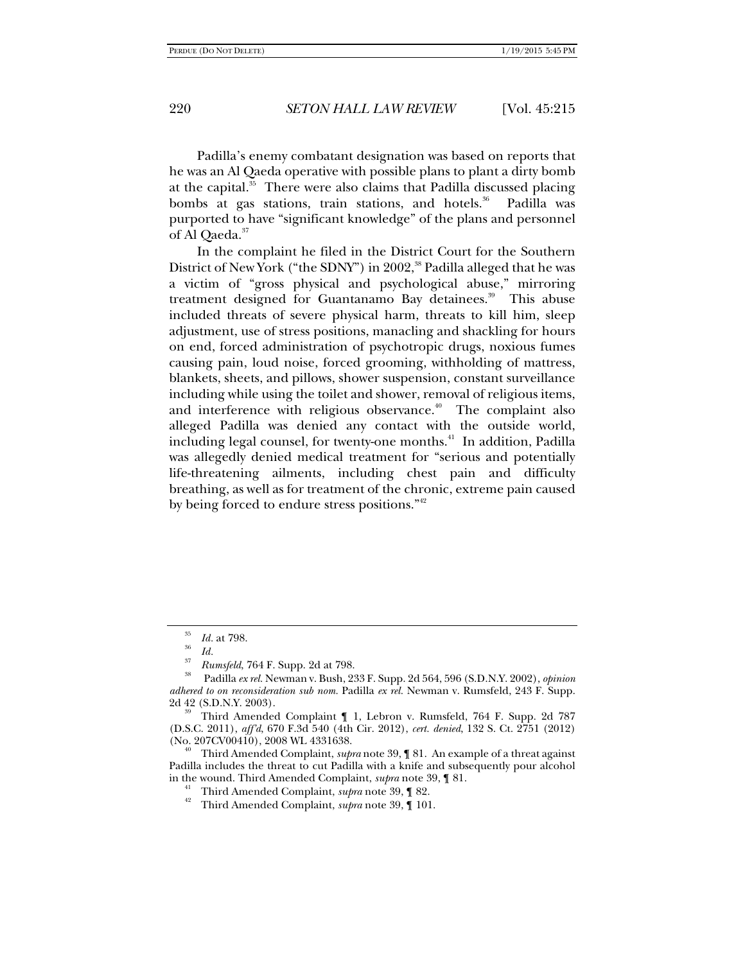Padilla's enemy combatant designation was based on reports that he was an Al Qaeda operative with possible plans to plant a dirty bomb at the capital. $35$  There were also claims that Padilla discussed placing bombs at gas stations, train stations, and hotels.<sup>36</sup> Padilla was purported to have "significant knowledge" of the plans and personnel of Al Qaeda.<sup>37</sup>

In the complaint he filed in the District Court for the Southern District of New York ("the SDNY") in 2002,<sup>38</sup> Padilla alleged that he was a victim of "gross physical and psychological abuse," mirroring treatment designed for Guantanamo Bay detainees.<sup>39</sup> This abuse included threats of severe physical harm, threats to kill him, sleep adjustment, use of stress positions, manacling and shackling for hours on end, forced administration of psychotropic drugs, noxious fumes causing pain, loud noise, forced grooming, withholding of mattress, blankets, sheets, and pillows, shower suspension, constant surveillance including while using the toilet and shower, removal of religious items, and interference with religious observance.<sup> $40$ </sup> The complaint also alleged Padilla was denied any contact with the outside world, including legal counsel, for twenty-one months.<sup>41</sup> In addition, Padilla was allegedly denied medical treatment for "serious and potentially life-threatening ailments, including chest pain and difficulty breathing, as well as for treatment of the chronic, extreme pain caused by being forced to endure stress positions."<sup>42</sup>

Third Amended Complaint, *supra* note 39, ¶ 81. An example of a threat against Padilla includes the threat to cut Padilla with a knife and subsequently pour alcohol in the wound. Third Amended Complaint, *supra* note 39, ¶ 81. 41 Third Amended Complaint, *supra* note 39, ¶ 82. 42 Third Amended Complaint, *supra* note 39, ¶ 101.

- 
- 

<sup>35</sup>*Id.* at 798. 36 *Id.* <sup>37</sup>*Rumsfeld*, 764 F. Supp. 2d at 798. 38 Padilla *ex rel.* Newman v. Bush, 233 F. Supp. 2d 564, 596 (S.D.N.Y. 2002), *opinion adhered to on reconsideration sub nom.* Padilla *ex rel.* Newman v. Rumsfeld, 243 F. Supp. 2d 42 (S.D.N.Y. 2003). 39 Third Amended Complaint ¶ 1, Lebron v. Rumsfeld, 764 F. Supp. 2d 787

<sup>(</sup>D.S.C. 2011), *aff'd*, 670 F.3d 540 (4th Cir. 2012), *cert. denied*, 132 S. Ct. 2751 (2012)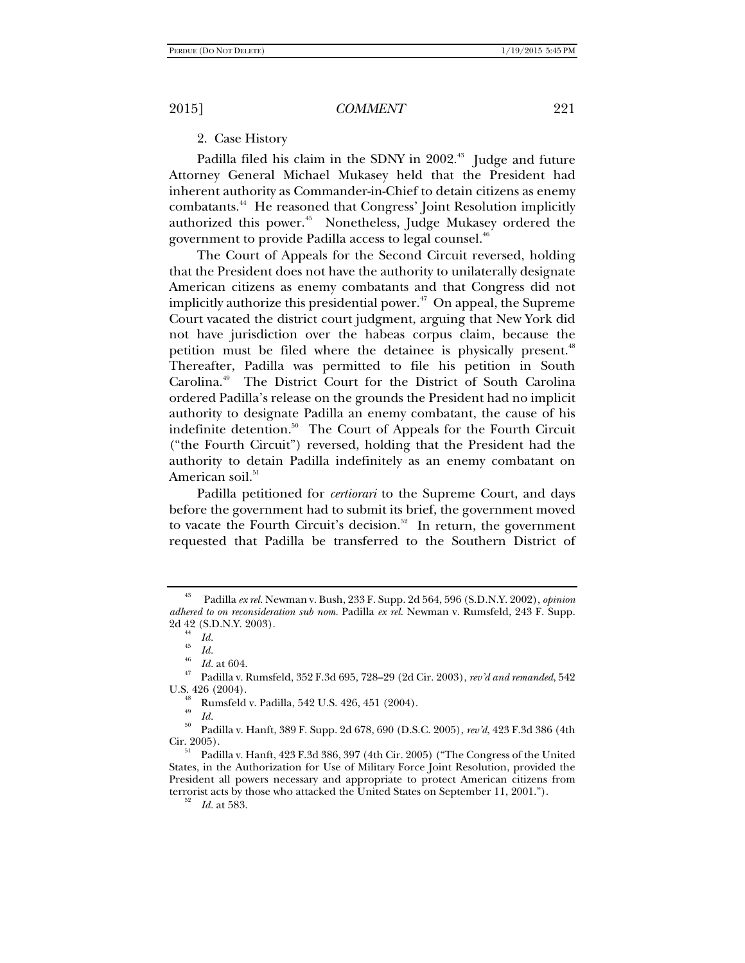## 2. Case History

Padilla filed his claim in the SDNY in 2002.<sup>43</sup> Judge and future Attorney General Michael Mukasey held that the President had inherent authority as Commander-in-Chief to detain citizens as enemy combatants.44 He reasoned that Congress' Joint Resolution implicitly authorized this power.<sup>45</sup> Nonetheless, Judge Mukasey ordered the government to provide Padilla access to legal counsel.<sup>46</sup>

The Court of Appeals for the Second Circuit reversed, holding that the President does not have the authority to unilaterally designate American citizens as enemy combatants and that Congress did not implicitly authorize this presidential power. $47$  On appeal, the Supreme Court vacated the district court judgment, arguing that New York did not have jurisdiction over the habeas corpus claim, because the petition must be filed where the detainee is physically present.<sup>48</sup> Thereafter, Padilla was permitted to file his petition in South Carolina.49The District Court for the District of South Carolina ordered Padilla's release on the grounds the President had no implicit authority to designate Padilla an enemy combatant, the cause of his indefinite detention.50The Court of Appeals for the Fourth Circuit ("the Fourth Circuit") reversed, holding that the President had the authority to detain Padilla indefinitely as an enemy combatant on American soil.<sup>51</sup>

Padilla petitioned for *certiorari* to the Supreme Court, and days before the government had to submit its brief, the government moved to vacate the Fourth Circuit's decision.<sup>52</sup> In return, the government requested that Padilla be transferred to the Southern District of

Rumsfeld v. Padilla, 542 U.S. 426, 451 (2004).

*Id.* 50 Padilla v. Hanft, 389 F. Supp. 2d 678, 690 (D.S.C. 2005), *rev'd*, 423 F.3d 386 (4th

<sup>43</sup> Padilla *ex rel.* Newman v. Bush, 233 F. Supp. 2d 564, 596 (S.D.N.Y. 2002), *opinion adhered to on reconsideration sub nom.* Padilla *ex rel.* Newman v. Rumsfeld, 243 F. Supp. 2d 42 (S.D.N.Y. 2003).<br> $\frac{44}{1}$  Id.

 $\frac{45}{46}$  *Id.*  $\frac{1}{46}$  *Id.* at 604.

<sup>&</sup>lt;sup>47</sup> Padilla v. Rumsfeld, 352 F.3d 695, 728–29 (2d Cir. 2003), *rev'd and remanded*, 542 U.S. 426 (2004).

<sup>49</sup>

Padilla v. Hanft, 423 F.3d 386, 397 (4th Cir. 2005) ("The Congress of the United States, in the Authorization for Use of Military Force Joint Resolution, provided the President all powers necessary and appropriate to protect American citizens from terrorist acts by those who attacked the United States on September 11, 2001."). 52 *Id.* at 583.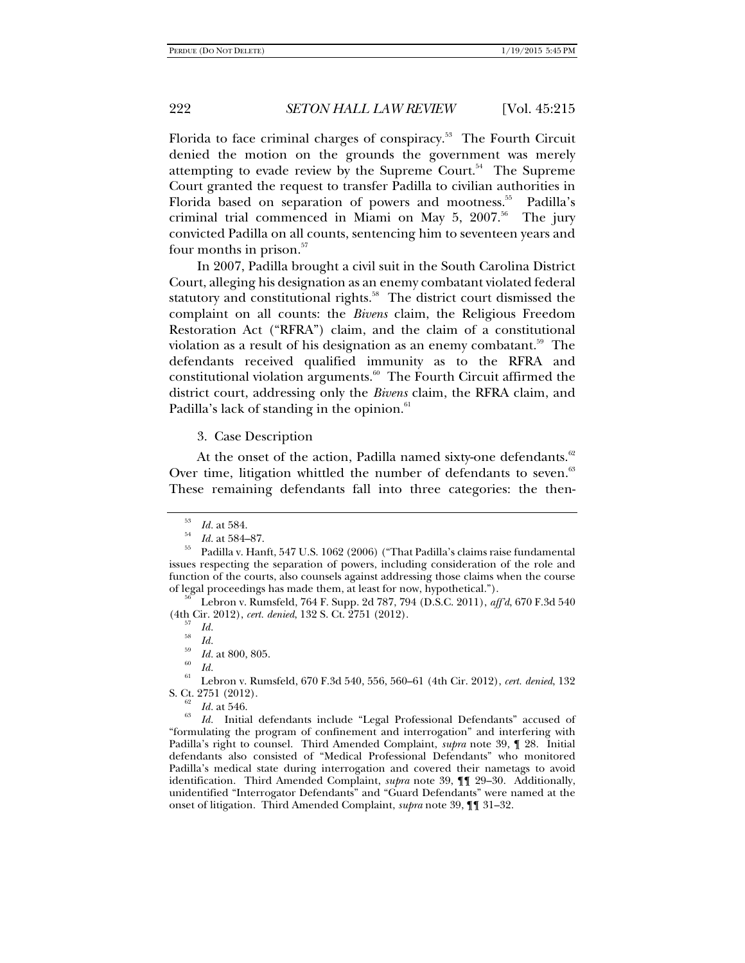Florida to face criminal charges of conspiracy.<sup>53</sup> The Fourth Circuit denied the motion on the grounds the government was merely attempting to evade review by the Supreme Court. $54$  The Supreme Court granted the request to transfer Padilla to civilian authorities in Florida based on separation of powers and mootness.<sup>55</sup> Padilla's criminal trial commenced in Miami on May  $5$ ,  $2007.^{56}$  The jury convicted Padilla on all counts, sentencing him to seventeen years and four months in prison. $57$ 

In 2007, Padilla brought a civil suit in the South Carolina District Court, alleging his designation as an enemy combatant violated federal statutory and constitutional rights.<sup>58</sup> The district court dismissed the complaint on all counts: the *Bivens* claim, the Religious Freedom Restoration Act ("RFRA") claim, and the claim of a constitutional violation as a result of his designation as an enemy combatant.<sup>59</sup> The defendants received qualified immunity as to the RFRA and constitutional violation arguments. $60$  The Fourth Circuit affirmed the district court, addressing only the *Bivens* claim, the RFRA claim, and Padilla's lack of standing in the opinion.<sup>61</sup>

3. Case Description

At the onset of the action, Padilla named sixty-one defendants.<sup>62</sup> Over time, litigation whittled the number of defendants to seven.<sup>63</sup> These remaining defendants fall into three categories: the then-

(4th Cir. 2012), *cert. denied*, 132 S. Ct. 2751 (2012).<br><sup>57</sup> *Id.*<br>*58 Id.* 

 *Id.* 61 Lebron v. Rumsfeld, 670 F.3d 540, 556, 560–61 (4th Cir. 2012), *cert. denied*, 132 S. Ct. 2751 (2012).<br><sup>62</sup> *Id.* at 546.

 *Id.* Initial defendants include "Legal Professional Defendants" accused of "formulating the program of confinement and interrogation" and interfering with Padilla's right to counsel. Third Amended Complaint, *supra* note 39, ¶ 28. Initial defendants also consisted of "Medical Professional Defendants" who monitored Padilla's medical state during interrogation and covered their nametags to avoid identification. Third Amended Complaint, *supra* note 39, ¶¶ 29–30. Additionally, unidentified "Interrogator Defendants" and "Guard Defendants" were named at the onset of litigation. Third Amended Complaint, *supra* note 39, ¶¶ 31–32.

<sup>&</sup>lt;sup>53</sup> *Id.* at 584.<br><sup>54</sup> *Id.* at 584–87.

Padilla v. Hanft, 547 U.S. 1062 (2006) ("That Padilla's claims raise fundamental issues respecting the separation of powers, including consideration of the role and function of the courts, also counsels against addressing those claims when the course of legal proceedings has made them, at least for now, hypothetical."). 56 Lebron v. Rumsfeld, 764 F. Supp. 2d 787, 794 (D.S.C. 2011), *aff'd*, 670 F.3d 540

<sup>&</sup>lt;sup>59</sup>*Id.* at 800, 805.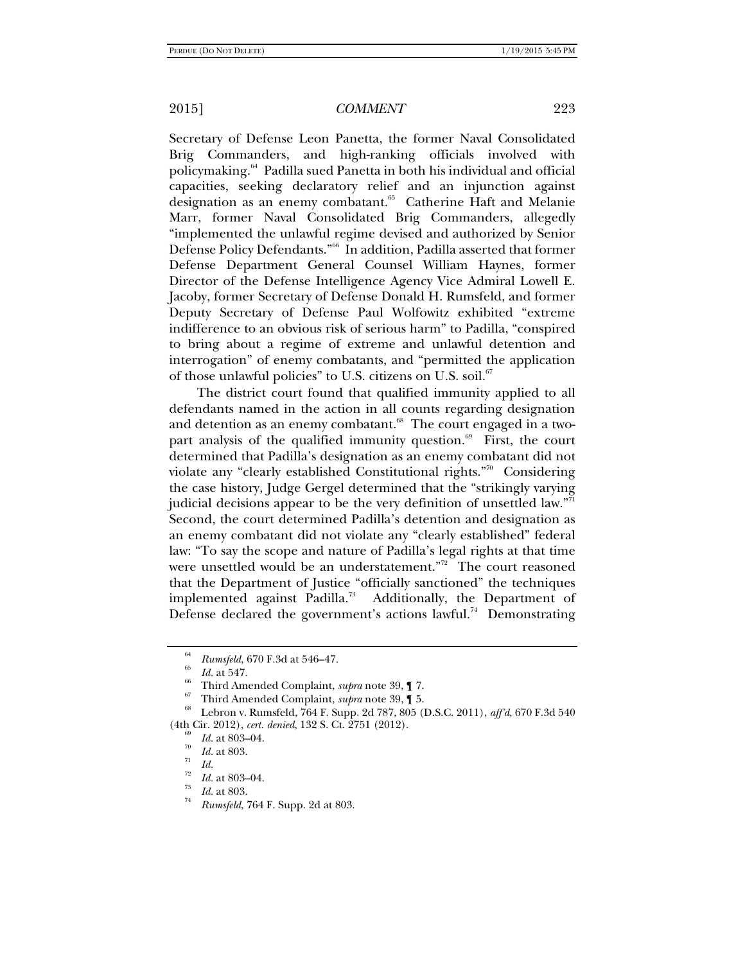Secretary of Defense Leon Panetta, the former Naval Consolidated Brig Commanders, and high-ranking officials involved with policymaking.64 Padilla sued Panetta in both his individual and official capacities, seeking declaratory relief and an injunction against designation as an enemy combatant.<sup>65</sup> Catherine Haft and Melanie Marr, former Naval Consolidated Brig Commanders, allegedly "implemented the unlawful regime devised and authorized by Senior Defense Policy Defendants."66 In addition, Padilla asserted that former Defense Department General Counsel William Haynes, former Director of the Defense Intelligence Agency Vice Admiral Lowell E. Jacoby, former Secretary of Defense Donald H. Rumsfeld, and former Deputy Secretary of Defense Paul Wolfowitz exhibited "extreme indifference to an obvious risk of serious harm" to Padilla, "conspired to bring about a regime of extreme and unlawful detention and interrogation" of enemy combatants, and "permitted the application of those unlawful policies" to U.S. citizens on U.S. soil.<sup>67</sup>

The district court found that qualified immunity applied to all defendants named in the action in all counts regarding designation and detention as an enemy combatant.<sup>68</sup> The court engaged in a twopart analysis of the qualified immunity question. $69$  First, the court determined that Padilla's designation as an enemy combatant did not violate any "clearly established Constitutional rights."70 Considering the case history, Judge Gergel determined that the "strikingly varying judicial decisions appear to be the very definition of unsettled law."<sup>11</sup> Second, the court determined Padilla's detention and designation as an enemy combatant did not violate any "clearly established" federal law: "To say the scope and nature of Padilla's legal rights at that time were unsettled would be an understatement."<sup>72</sup> The court reasoned that the Department of Justice "officially sanctioned" the techniques implemented against Padilla.<sup>73</sup> Additionally, the Department of Defense declared the government's actions lawful.<sup>74</sup> Demonstrating

<sup>&</sup>lt;sup>64</sup> *Rumsfeld*, 670 F.3d at 546–47.<br><sup>65</sup> *Id.* at 547.

<sup>&</sup>lt;sup>86</sup> Third Amended Complaint, *supra* note 39, ¶ 7.<br><sup>67</sup> Third Amended Complaint, *supra* note 39, ¶ 5.<br><sup>68</sup> Lebron v. Rumsfeld, 764 F. Supp. 2d 787, 805 (D.S.C. 2011), *aff'd*, 670 F.3d 540 (4th Cir. 2012), *cert. denied*, 132 S. Ct. 2751 (2012).<br><sup>69</sup> *Id.* at 803–04.

 $\frac{70}{71}$  *Id.* at 803.

<sup>&</sup>lt;sup>72</sup> *Id.* at 803–04.<br> *Id.* at 803.

*Rumsfeld*, 764 F. Supp. 2d at 803.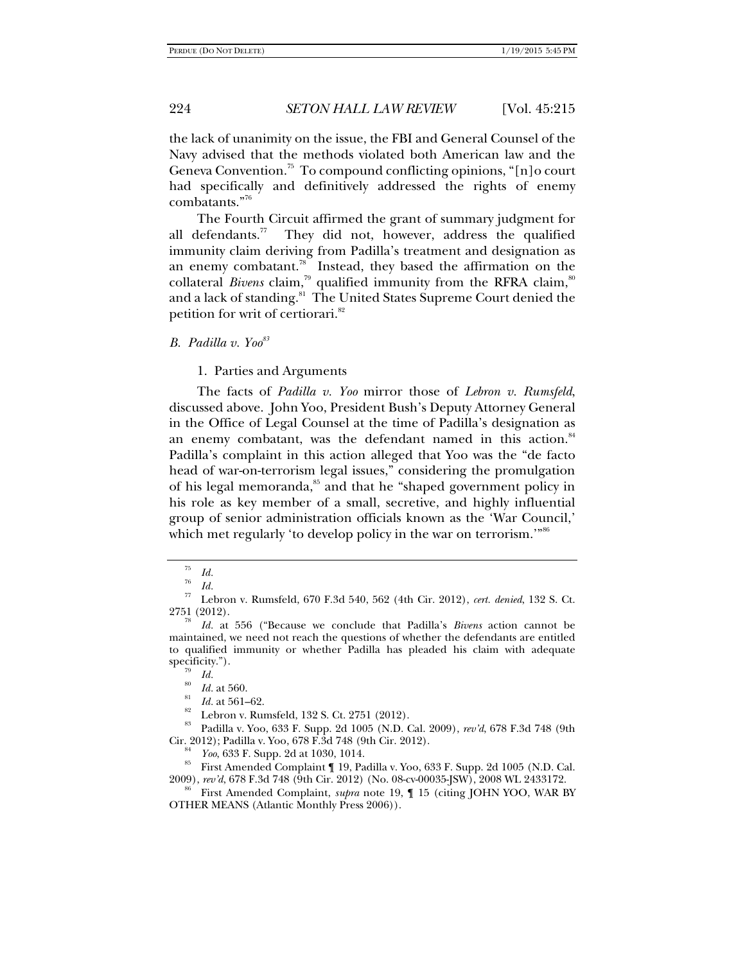the lack of unanimity on the issue, the FBI and General Counsel of the Navy advised that the methods violated both American law and the Geneva Convention.<sup>75</sup> To compound conflicting opinions, "[n]o court had specifically and definitively addressed the rights of enemy combatants."76

The Fourth Circuit affirmed the grant of summary judgment for all defendants.<sup>77</sup> They did not, however, address the qualified immunity claim deriving from Padilla's treatment and designation as an enemy combatant.<sup>78</sup> Instead, they based the affirmation on the collateral *Bivens* claim,<sup>79</sup> qualified immunity from the RFRA claim,<sup>80</sup> and a lack of standing.<sup>81</sup> The United States Supreme Court denied the petition for writ of certiorari.<sup>82</sup>

*B. Padilla v. Yoo83*

1. Parties and Arguments

The facts of *Padilla v. Yoo* mirror those of *Lebron v. Rumsfeld*, discussed above. John Yoo, President Bush's Deputy Attorney General in the Office of Legal Counsel at the time of Padilla's designation as an enemy combatant, was the defendant named in this action.<sup>84</sup> Padilla's complaint in this action alleged that Yoo was the "de facto head of war-on-terrorism legal issues," considering the promulgation of his legal memoranda,<sup>85</sup> and that he "shaped government policy in his role as key member of a small, secretive, and highly influential group of senior administration officials known as the 'War Council,' which met regularly 'to develop policy in the war on terrorism."<sup>86</sup>

<sup>75</sup>*Id.* <sup>76</sup>

*Id.* 77 Lebron v. Rumsfeld, 670 F.3d 540, 562 (4th Cir. 2012), *cert. denied*, 132 S. Ct. 2751 (2012).

*Id.* at 556 ("Because we conclude that Padilla's *Bivens* action cannot be maintained, we need not reach the questions of whether the defendants are entitled to qualified immunity or whether Padilla has pleaded his claim with adequate specificity.").<br> $\frac{79}{Id}$ .

<sup>&</sup>lt;sup>80</sup> *Id.* at 560.<br><sup>81</sup> *Id.* at 561–62.<br><sup>82</sup> Lebron v. Rumsfeld, 132 S. Ct. 2751 (2012).<br><sup>83</sup> Dedille v. Vac. 522 E. Supp. 2d 1005 (N.D.)

<sup>83</sup> Padilla v. Yoo, 633 F. Supp. 2d 1005 (N.D. Cal. 2009), *rev'd*, 678 F.3d 748 (9th

<sup>&</sup>lt;sup>84</sup> *Yoo*, 633 F. Supp. 2d at 1030, 1014.<br><sup>85</sup> First Amended Complaint ¶ 19, Padilla v. Yoo, 633 F. Supp. 2d 1005 (N.D. Cal.

<sup>2009),</sup> *rev'd*, 678 F.3d 748 (9th Cir. 2012) (No. 08-cv-00035-JSW), 2008 WL 2433172. 86 First Amended Complaint, *supra* note 19, ¶ 15 (citing JOHN YOO, WAR BY

OTHER MEANS (Atlantic Monthly Press 2006)).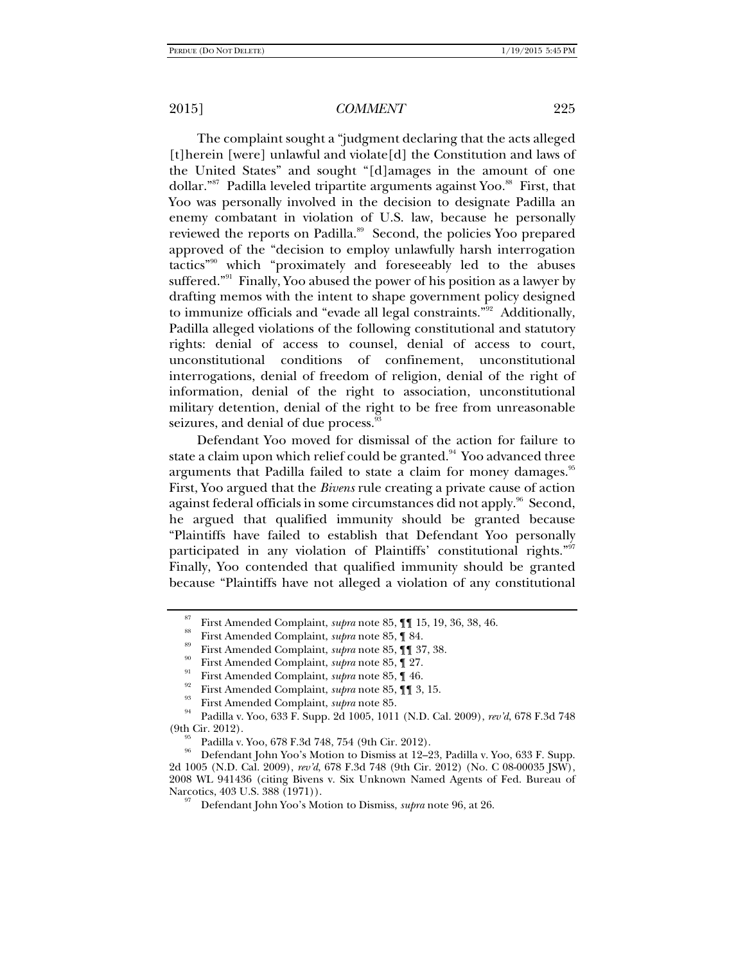The complaint sought a "judgment declaring that the acts alleged [t]herein [were] unlawful and violate[d] the Constitution and laws of the United States" and sought "[d]amages in the amount of one dollar."<sup>87</sup> Padilla leveled tripartite arguments against Yoo.<sup>88</sup> First, that Yoo was personally involved in the decision to designate Padilla an enemy combatant in violation of U.S. law, because he personally reviewed the reports on Padilla.<sup>89</sup> Second, the policies Yoo prepared approved of the "decision to employ unlawfully harsh interrogation tactics"90 which "proximately and foreseeably led to the abuses suffered."<sup>91</sup> Finally, Yoo abused the power of his position as a lawyer by drafting memos with the intent to shape government policy designed to immunize officials and "evade all legal constraints."92 Additionally, Padilla alleged violations of the following constitutional and statutory rights: denial of access to counsel, denial of access to court, unconstitutional conditions of confinement, unconstitutional interrogations, denial of freedom of religion, denial of the right of information, denial of the right to association, unconstitutional military detention, denial of the right to be free from unreasonable seizures, and denial of due process.

Defendant Yoo moved for dismissal of the action for failure to state a claim upon which relief could be granted.<sup>94</sup> Yoo advanced three arguments that Padilla failed to state a claim for money damages.<sup>95</sup> First, Yoo argued that the *Bivens* rule creating a private cause of action against federal officials in some circumstances did not apply.<sup>96</sup> Second, he argued that qualified immunity should be granted because "Plaintiffs have failed to establish that Defendant Yoo personally participated in any violation of Plaintiffs' constitutional rights."<sup>97</sup> Finally, Yoo contended that qualified immunity should be granted because "Plaintiffs have not alleged a violation of any constitutional

<sup>&</sup>lt;sup>87</sup> First Amended Complaint, *supra* note 85, 1 15, 19, 36, 38, 46.<br>
<sup>88</sup> First Amended Complaint, *supra* note 85, 1 84.<br>
<sup>89</sup> First Amended Complaint, *supra* note 85, 1 37, 38.<br>
First Amended Complaint, *supra* note 8 (9th Cir. 2012).<br>
<sup>95</sup> Padilla v. Yoo, 678 F.3d 748, 754 (9th Cir. 2012).<br>
<sup>96</sup> Passachus Jaka Varianta Pinnia ta 19.9

<sup>96</sup> Defendant John Yoo's Motion to Dismiss at 12–23, Padilla v. Yoo, 633 F. Supp. 2d 1005 (N.D. Cal. 2009), *rev'd*, 678 F.3d 748 (9th Cir. 2012) (No. C 08-00035 JSW), 2008 WL 941436 (citing Bivens v. Six Unknown Named Agents of Fed. Bureau of Narcotics, 403 U.S. 388 (1971)).<br><sup>97</sup> Defendant John Yoo's Motion to Dismiss, *supra* note 96, at 26.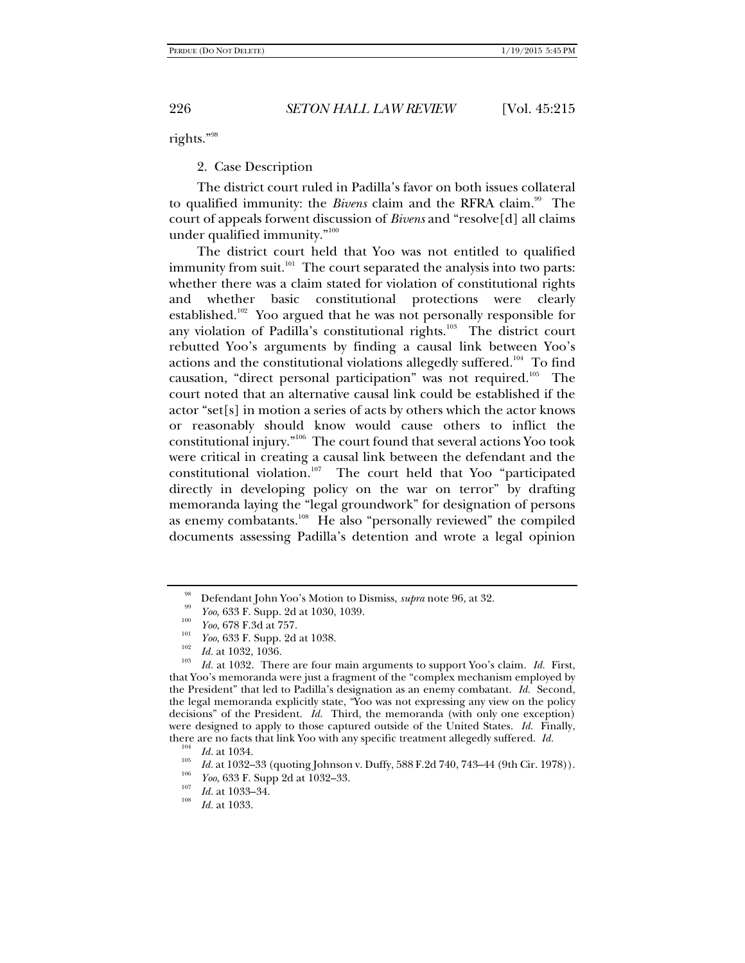rights."98

2. Case Description

The district court ruled in Padilla's favor on both issues collateral to qualified immunity: the *Bivens* claim and the RFRA claim.<sup>99</sup> The court of appeals forwent discussion of *Bivens* and "resolve[d] all claims under qualified immunity."100

The district court held that Yoo was not entitled to qualified immunity from suit. $101$  The court separated the analysis into two parts: whether there was a claim stated for violation of constitutional rights and whether basic constitutional protections were clearly established.<sup>102</sup> Yoo argued that he was not personally responsible for any violation of Padilla's constitutional rights.<sup>103</sup> The district court rebutted Yoo's arguments by finding a causal link between Yoo's actions and the constitutional violations allegedly suffered.<sup>104</sup> To find causation, "direct personal participation" was not required.<sup>105</sup> The court noted that an alternative causal link could be established if the actor "set[s] in motion a series of acts by others which the actor knows or reasonably should know would cause others to inflict the constitutional injury."106 The court found that several actions Yoo took were critical in creating a causal link between the defendant and the constitutional violation.107 The court held that Yoo "participated directly in developing policy on the war on terror" by drafting memoranda laying the "legal groundwork" for designation of persons as enemy combatants.<sup>108</sup> He also "personally reviewed" the compiled documents assessing Padilla's detention and wrote a legal opinion

Defendant John Yoo's Motion to Dismiss, *supra* note 96, at 32.

<sup>&</sup>lt;sup>33</sup> *Yoo*, 633 F. Supp. 2d at 1030, 1039.<br><sup>100</sup> *Yoo*, 678 F.3d at 757.

<sup>&</sup>lt;sup>101</sup> *Yoo*, 633 F. Supp. 2d at 1038.<br> *Id.* at 1032, 1036.<br> *Id.* at 1032. There are four main arguments to support Yoo's claim. *Id.* First, that Yoo's memoranda were just a fragment of the "complex mechanism employed by the President" that led to Padilla's designation as an enemy combatant. *Id.* Second, the legal memoranda explicitly state, "Yoo was not expressing any view on the policy decisions" of the President. *Id.* Third, the memoranda (with only one exception) were designed to apply to those captured outside of the United States. *Id.* Finally, there are no facts that link Yoo with any specific treatment allegedly suffered. *Id.*  $104$  *Id.* at 1034.

<sup>&</sup>lt;sup>105</sup> *Id.* at 1032–33 (quoting Johnson v. Duffy, 588 F.2d 740, 743–44 (9th Cir. 1978)).

<sup>&</sup>lt;sup>106</sup> *Yoo*, 633 F. Supp 2d at 1032–33.<br> *Id.* at 1033–34.

*Id.* at 1033.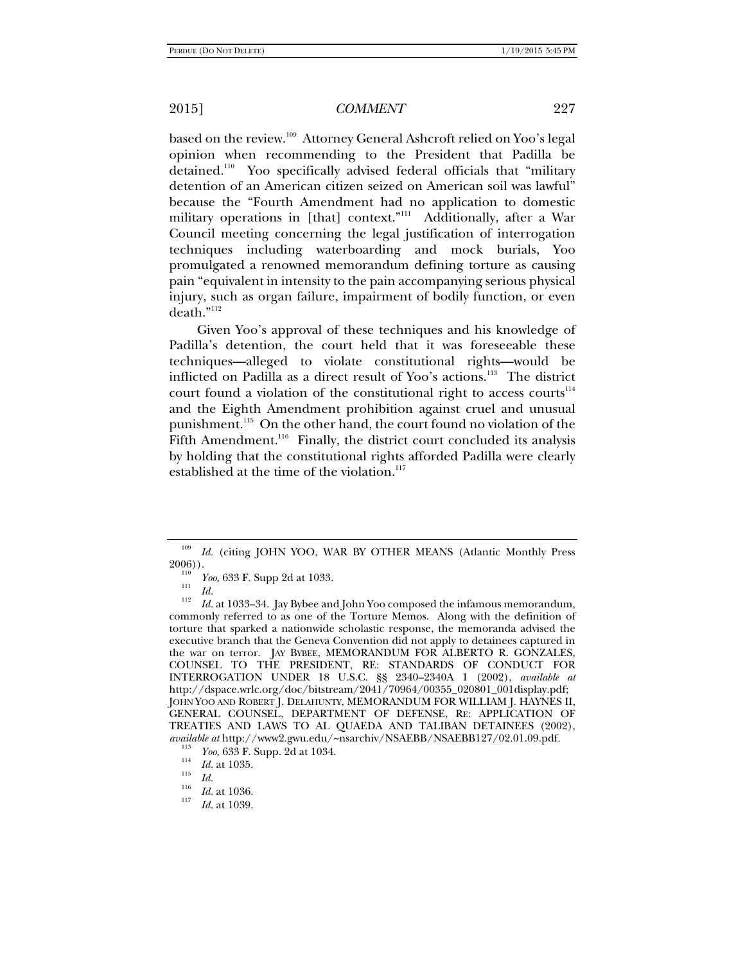based on the review.<sup>109</sup> Attorney General Ashcroft relied on Yoo's legal opinion when recommending to the President that Padilla be detained.110 Yoo specifically advised federal officials that "military detention of an American citizen seized on American soil was lawful" because the "Fourth Amendment had no application to domestic military operations in [that] context."<sup>111</sup> Additionally, after a War Council meeting concerning the legal justification of interrogation techniques including waterboarding and mock burials, Yoo promulgated a renowned memorandum defining torture as causing pain "equivalent in intensity to the pain accompanying serious physical injury, such as organ failure, impairment of bodily function, or even death."112

Given Yoo's approval of these techniques and his knowledge of Padilla's detention, the court held that it was foreseeable these techniques—alleged to violate constitutional rights—would be inflicted on Padilla as a direct result of Yoo's actions.113 The district court found a violation of the constitutional right to access courts<sup> $114$ </sup> and the Eighth Amendment prohibition against cruel and unusual punishment.115 On the other hand, the court found no violation of the Fifth Amendment.<sup>116</sup> Finally, the district court concluded its analysis by holding that the constitutional rights afforded Padilla were clearly established at the time of the violation. $117$ 

<sup>109</sup> *Id.* (citing JOHN YOO, WAR BY OTHER MEANS (Atlantic Monthly Press  $2006)$ ).

<sup>&</sup>lt;sup>110</sup> *Yoo*, 633 F. Supp 2d at 1033.<br>
<sup>112</sup> *Id.* **1033** 34 J. **D. 1** 

*Id.* at 1033–34. Jay Bybee and John Yoo composed the infamous memorandum, commonly referred to as one of the Torture Memos. Along with the definition of torture that sparked a nationwide scholastic response, the memoranda advised the executive branch that the Geneva Convention did not apply to detainees captured in the war on terror. JAY BYBEE, MEMORANDUM FOR ALBERTO R. GONZALES, COUNSEL TO THE PRESIDENT, RE: STANDARDS OF CONDUCT FOR INTERROGATION UNDER 18 U.S.C. §§ 2340–2340A 1 (2002), *available at* http://dspace.wrlc.org/doc/bitstream/2041/70964/00355\_020801\_001display.pdf; JOHN YOO AND ROBERT J. DELAHUNTY, MEMORANDUM FOR WILLIAM J. HAYNES II, GENERAL COUNSEL, DEPARTMENT OF DEFENSE, RE: APPLICATION OF TREATIES AND LAWS TO AL QUAEDA AND TALIBAN DETAINEES (2002), *available at* http://www2.gwu.edu/~nsarchiv/NSAEBB/NSAEBB127/02.01.09.pdf.

<sup>&</sup>lt;sup>113</sup> *Yoo*, 633 F. Supp. 2d at 1034.<br><sup>114</sup> *Id.* at 1035.<br>*Id.* 

 $\frac{116}{117}$  *Id.* at 1036.

*Id.* at 1039.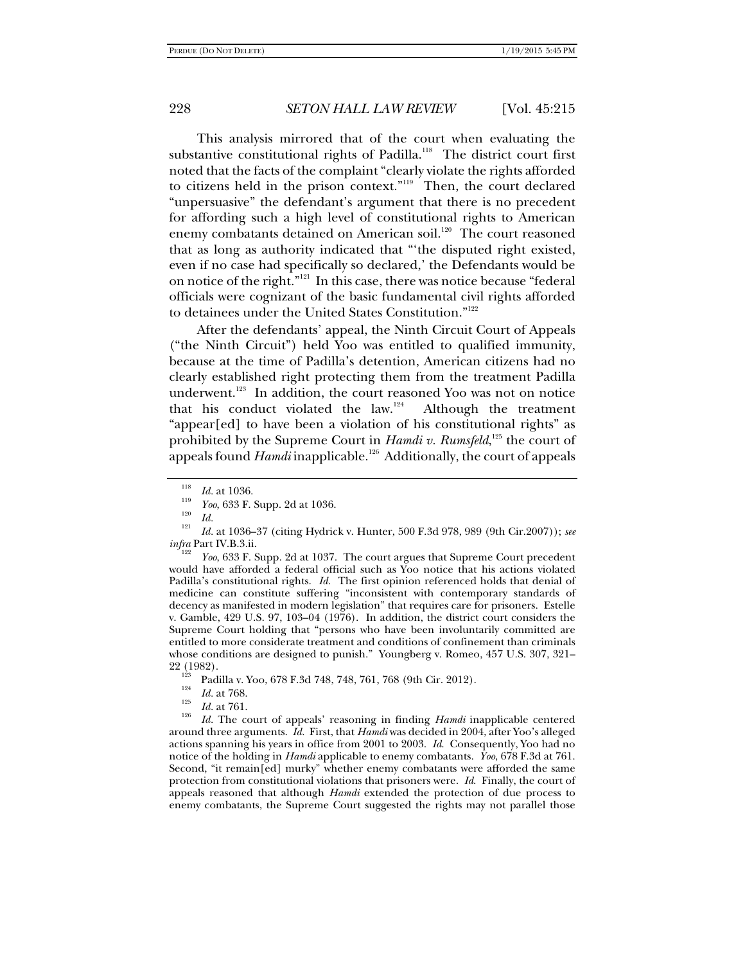This analysis mirrored that of the court when evaluating the substantive constitutional rights of Padilla.<sup>118</sup> The district court first noted that the facts of the complaint "clearly violate the rights afforded to citizens held in the prison context."<sup>119</sup> Then, the court declared "unpersuasive" the defendant's argument that there is no precedent for affording such a high level of constitutional rights to American enemy combatants detained on American soil.<sup>120</sup> The court reasoned that as long as authority indicated that "'the disputed right existed, even if no case had specifically so declared,' the Defendants would be on notice of the right."<sup>121</sup> In this case, there was notice because "federal officials were cognizant of the basic fundamental civil rights afforded to detainees under the United States Constitution."122

After the defendants' appeal, the Ninth Circuit Court of Appeals ("the Ninth Circuit") held Yoo was entitled to qualified immunity, because at the time of Padilla's detention, American citizens had no clearly established right protecting them from the treatment Padilla underwent.<sup>123</sup> In addition, the court reasoned Yoo was not on notice that his conduct violated the  $law$ <sup>124</sup> Although the treatment "appear[ed] to have been a violation of his constitutional rights" as prohibited by the Supreme Court in *Hamdi v. Rumsfeld*,<sup>125</sup> the court of appeals found *Hamdi* inapplicable.<sup>126</sup> Additionally, the court of appeals

 *Yoo*, 633 F. Supp. 2d at 1037. The court argues that Supreme Court precedent would have afforded a federal official such as Yoo notice that his actions violated Padilla's constitutional rights. *Id.* The first opinion referenced holds that denial of medicine can constitute suffering "inconsistent with contemporary standards of decency as manifested in modern legislation" that requires care for prisoners. Estelle v. Gamble, 429 U.S. 97, 103–04 (1976). In addition, the district court considers the Supreme Court holding that "persons who have been involuntarily committed are entitled to more considerate treatment and conditions of confinement than criminals whose conditions are designed to punish." Youngberg v. Romeo, 457 U.S. 307, 321– 22 (1982).<br><sup>123</sup> Padilla v. Yoo, 678 F.3d 748, 748, 761, 768 (9th Cir. 2012).<br><sup>124</sup> Id. at 768.

 *Id.* The court of appeals' reasoning in finding *Hamdi* inapplicable centered around three arguments. *Id.* First, that *Hamdi* was decided in 2004, after Yoo's alleged actions spanning his years in office from 2001 to 2003. *Id*. Consequently, Yoo had no notice of the holding in *Hamdi* applicable to enemy combatants. *Yoo*, 678 F.3d at 761. Second, "it remain[ed] murky" whether enemy combatants were afforded the same protection from constitutional violations that prisoners were. *Id*. Finally, the court of appeals reasoned that although *Hamdi* extended the protection of due process to enemy combatants, the Supreme Court suggested the rights may not parallel those

<sup>118</sup>  $\frac{118}{119}$  *Id.* at 1036.

*Yoo*, 633 F. Supp. 2d at 1036.<br><sup>120</sup> *Id.* 1200 **CE** (111 **IV.** 11

*Id.* at 1036–37 (citing Hydrick v. Hunter, 500 F.3d 978, 989 (9th Cir.2007)); *see infra* Part IV.B.3.ii.

 $\frac{125}{126}$  *Id.* at 761.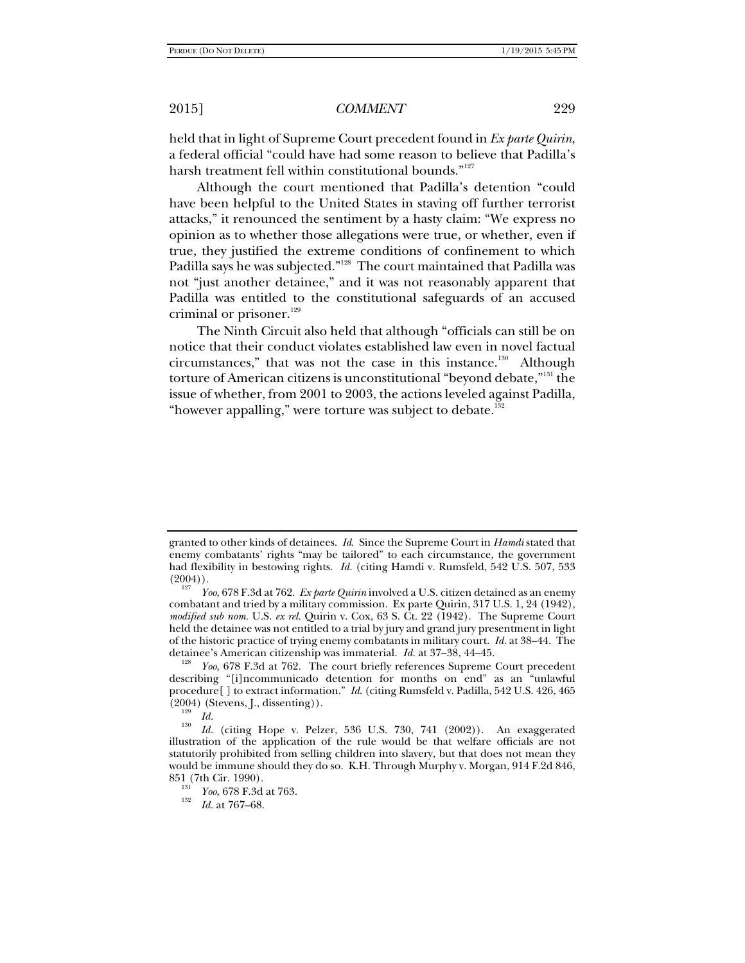held that in light of Supreme Court precedent found in *Ex parte Quirin*, a federal official "could have had some reason to believe that Padilla's harsh treatment fell within constitutional bounds."<sup>127</sup>

Although the court mentioned that Padilla's detention "could have been helpful to the United States in staving off further terrorist attacks," it renounced the sentiment by a hasty claim: "We express no opinion as to whether those allegations were true, or whether, even if true, they justified the extreme conditions of confinement to which Padilla says he was subjected."<sup>128</sup> The court maintained that Padilla was not "just another detainee," and it was not reasonably apparent that Padilla was entitled to the constitutional safeguards of an accused criminal or prisoner.<sup>129</sup>

The Ninth Circuit also held that although "officials can still be on notice that their conduct violates established law even in novel factual circumstances," that was not the case in this instance.<sup>130</sup> Although torture of American citizens is unconstitutional "beyond debate,"131 the issue of whether, from 2001 to 2003, the actions leveled against Padilla, "however appalling," were torture was subject to debate. $132$ 

granted to other kinds of detainees. *Id*. Since the Supreme Court in *Hamdi* stated that enemy combatants' rights "may be tailored" to each circumstance, the government had flexibility in bestowing rights. *Id.* (citing Hamdi v. Rumsfeld, 542 U.S. 507, 533  $(2004)$ ).

*Yoo*, 678 F.3d at 762. *Ex parte Quirin* involved a U.S. citizen detained as an enemy combatant and tried by a military commission. Ex parte Quirin, 317 U.S. 1, 24 (1942), *modified sub nom.* U.S. *ex rel.* Quirin v. Cox, 63 S. Ct. 22 (1942). The Supreme Court held the detainee was not entitled to a trial by jury and grand jury presentment in light of the historic practice of trying enemy combatants in military court. *Id.* at 38–44. The detainee's American citizenship was immaterial. *Id.* at 37–38, 44–45.<br><sup>128</sup> *Yoo*, 678 F.3d at 762. The court briefly references Supreme Court precedent

describing "[i]ncommunicado detention for months on end" as an "unlawful procedure[ ] to extract information." *Id*. (citing Rumsfeld v. Padilla, 542 U.S. 426, 465  $(2004)$  (Stevens, J., dissenting)).

 $\frac{129}{130}$  *Id.* 

*Id.* (citing Hope v. Pelzer, 536 U.S. 730, 741 (2002)). An exaggerated illustration of the application of the rule would be that welfare officials are not statutorily prohibited from selling children into slavery, but that does not mean they would be immune should they do so. K.H. Through Murphy v. Morgan, 914 F.2d 846, 851 (7th Cir. 1990).<br><sup>131</sup> *Yoo*, 678 F.3d at 763.<br><sup>132</sup> *L*<sub>1 at</sub> 767 68</sub>

*Id.* at 767–68.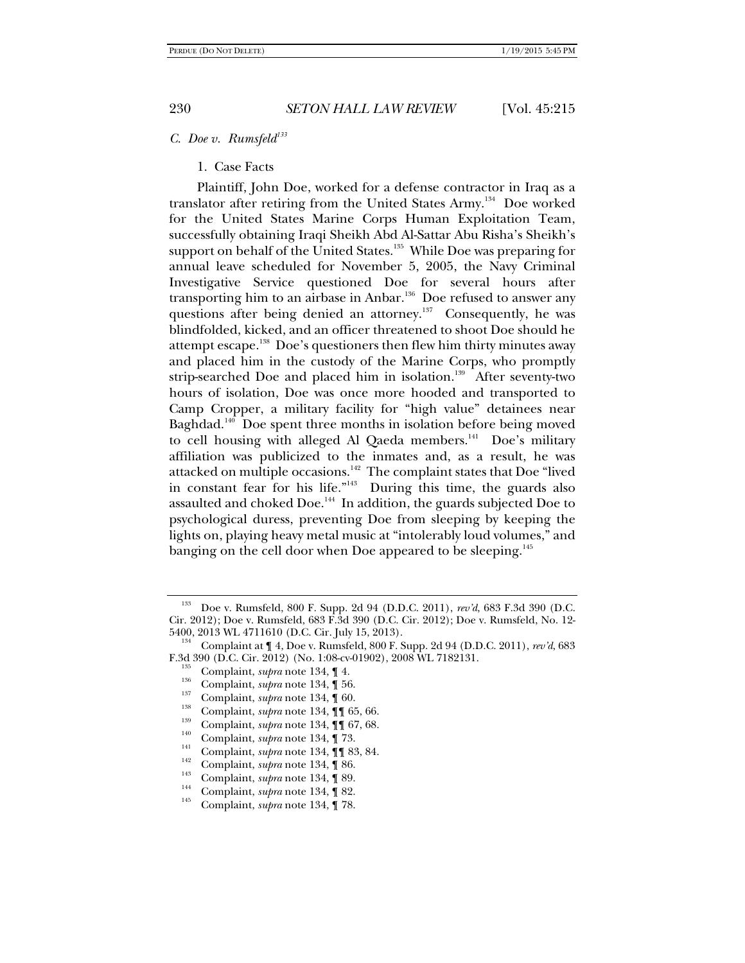#### *C. Doe v. Rumsfeld*<sup>133</sup>

1. Case Facts

Plaintiff, John Doe, worked for a defense contractor in Iraq as a translator after retiring from the United States Army.<sup>134</sup> Doe worked for the United States Marine Corps Human Exploitation Team, successfully obtaining Iraqi Sheikh Abd Al-Sattar Abu Risha's Sheikh's support on behalf of the United States.<sup>135</sup> While Doe was preparing for annual leave scheduled for November 5, 2005, the Navy Criminal Investigative Service questioned Doe for several hours after transporting him to an airbase in Anbar.<sup>136</sup> Doe refused to answer any questions after being denied an attorney.<sup>137</sup> Consequently, he was blindfolded, kicked, and an officer threatened to shoot Doe should he attempt escape.<sup>138</sup> Doe's questioners then flew him thirty minutes away and placed him in the custody of the Marine Corps, who promptly strip-searched Doe and placed him in isolation.<sup>139</sup> After seventy-two hours of isolation, Doe was once more hooded and transported to Camp Cropper, a military facility for "high value" detainees near Baghdad.<sup>140</sup> Doe spent three months in isolation before being moved to cell housing with alleged Al Qaeda members.<sup>141</sup> Doe's military affiliation was publicized to the inmates and, as a result, he was attacked on multiple occasions.<sup>142</sup> The complaint states that Doe "lived in constant fear for his life."143 During this time, the guards also assaulted and choked Doe.<sup>144</sup> In addition, the guards subjected Doe to psychological duress, preventing Doe from sleeping by keeping the lights on, playing heavy metal music at "intolerably loud volumes," and banging on the cell door when Doe appeared to be sleeping.<sup>145</sup>

<sup>133</sup> Doe v. Rumsfeld, 800 F. Supp. 2d 94 (D.D.C. 2011), *rev'd*, 683 F.3d 390 (D.C. Cir. 2012); Doe v. Rumsfeld, 683 F.3d 390 (D.C. Cir. 2012); Doe v. Rumsfeld, No. 12-

<sup>5400, 2013</sup> WL 4711610 (D.C. Cir. July 15, 2013).<br><sup>134</sup> Complaint at ¶ 4, Doe v. Rumsfeld, 800 F. Supp. 2d 94 (D.D.C. 2011), *rev'd*, 683<br>F.3d 390 (D.C. Cir. 2012) (No. 1:08-cv-01902), 2008 WL 7182131. F.3d 390 (D.C. Cir. 2012) (No. 1:08-cv-01902), 2008 WL 7182131.<br>
<sup>135</sup> Complaint, *supra* note 134, 14.<br>
<sup>136</sup> Complaint, *supra* note 134, 16.<br>
<sup>137</sup> Complaint, *supra* note 134, 160.<br>
<sup>138</sup> Complaint, *supra* note 134,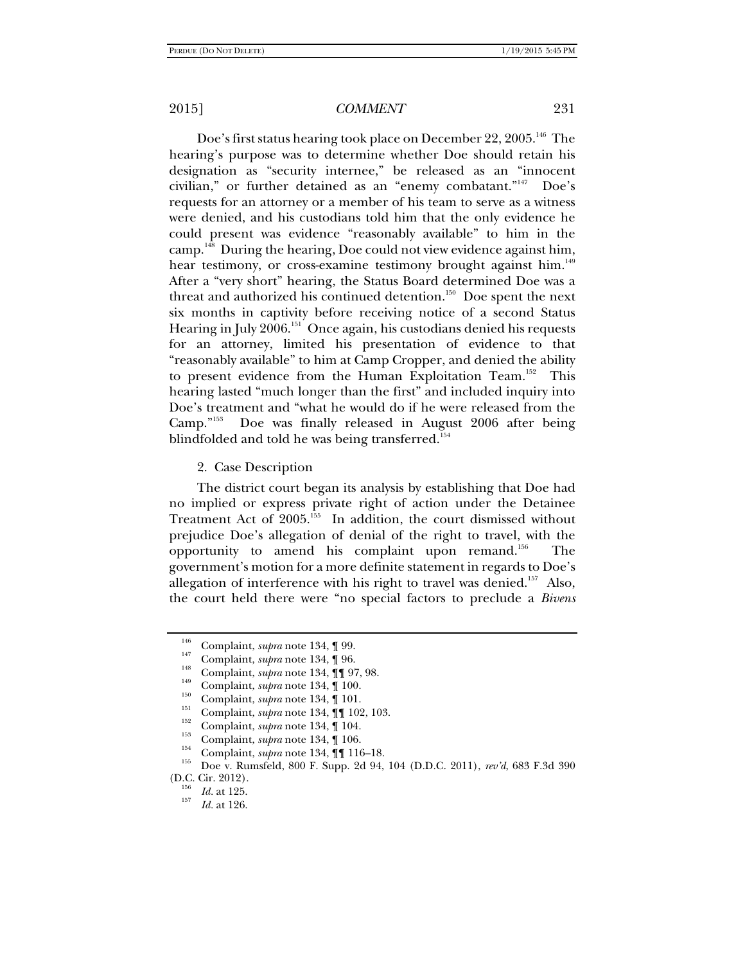Doe's first status hearing took place on December 22, 2005.<sup>146</sup> The hearing's purpose was to determine whether Doe should retain his designation as "security internee," be released as an "innocent civilian," or further detained as an "enemy combatant."<sup>147</sup> Doe's requests for an attorney or a member of his team to serve as a witness were denied, and his custodians told him that the only evidence he could present was evidence "reasonably available" to him in the camp.148 During the hearing, Doe could not view evidence against him, hear testimony, or cross-examine testimony brought against him.<sup>149</sup> After a "very short" hearing, the Status Board determined Doe was a threat and authorized his continued detention.<sup>150</sup> Doe spent the next six months in captivity before receiving notice of a second Status Hearing in July 2006.<sup>151</sup> Once again, his custodians denied his requests for an attorney, limited his presentation of evidence to that "reasonably available" to him at Camp Cropper, and denied the ability to present evidence from the Human Exploitation Team.<sup>152</sup> This hearing lasted "much longer than the first" and included inquiry into Doe's treatment and "what he would do if he were released from the Camp."153 Doe was finally released in August 2006 after being blindfolded and told he was being transferred.<sup>154</sup>

2. Case Description

The district court began its analysis by establishing that Doe had no implied or express private right of action under the Detainee Treatment Act of 2005.<sup>155</sup> In addition, the court dismissed without prejudice Doe's allegation of denial of the right to travel, with the opportunity to amend his complaint upon remand.<sup>156</sup> The government's motion for a more definite statement in regards to Doe's allegation of interference with his right to travel was denied.<sup>157</sup> Also, the court held there were "no special factors to preclude a *Bivens*

<sup>&</sup>lt;sup>146</sup> Complaint, *supra* note 134, ¶ 99.<br>
<sup>147</sup> Complaint, *supra* note 134, ¶ 96.<br>
<sup>148</sup> Complaint, *supra* note 134, ¶ 97, 98.<br>
Complaint, *supra* note 134, ¶ 100.<br>
<sup>151</sup> Complaint, *supra* note 134, ¶ 101.<br>
<sup>151</sup> Compl (D.C. Cir. 2012).<br><sup>156</sup> *Id.* at 125.

*Id.* at 126.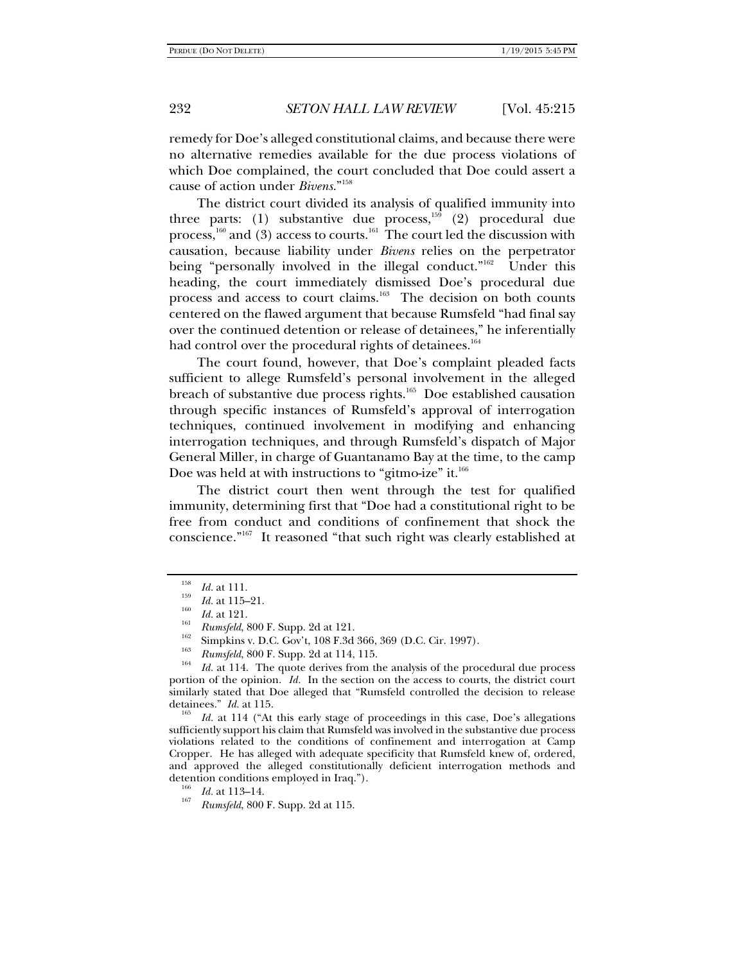remedy for Doe's alleged constitutional claims, and because there were no alternative remedies available for the due process violations of which Doe complained, the court concluded that Doe could assert a cause of action under *Bivens*."158

The district court divided its analysis of qualified immunity into three parts: (1) substantive due process,<sup>159</sup> (2) procedural due process, $\frac{1}{160}$  and  $\frac{1}{30}$  access to courts.<sup>161</sup> The court led the discussion with causation, because liability under *Bivens* relies on the perpetrator being "personally involved in the illegal conduct."<sup>162</sup> Under this heading, the court immediately dismissed Doe's procedural due process and access to court claims.<sup>163</sup> The decision on both counts centered on the flawed argument that because Rumsfeld "had final say over the continued detention or release of detainees," he inferentially had control over the procedural rights of detainees.<sup>164</sup>

The court found, however, that Doe's complaint pleaded facts sufficient to allege Rumsfeld's personal involvement in the alleged breach of substantive due process rights.<sup>165</sup> Doe established causation through specific instances of Rumsfeld's approval of interrogation techniques, continued involvement in modifying and enhancing interrogation techniques, and through Rumsfeld's dispatch of Major General Miller, in charge of Guantanamo Bay at the time, to the camp Doe was held at with instructions to "gitmo-ize" it. $166$ 

The district court then went through the test for qualified immunity, determining first that "Doe had a constitutional right to be free from conduct and conditions of confinement that shock the conscience."167 It reasoned "that such right was clearly established at

*Id.* at 114 ("At this early stage of proceedings in this case, Doe's allegations sufficiently support his claim that Rumsfeld was involved in the substantive due process violations related to the conditions of confinement and interrogation at Camp Cropper. He has alleged with adequate specificity that Rumsfeld knew of, ordered, and approved the alleged constitutionally deficient interrogation methods and detention conditions employed in Iraq.").<br><sup>166</sup> *Id.* at 113–14.

 $\frac{158}{159}$  *Id.* at 111.

 $\frac{^{159}}{^{160}}$  *Id.* at 115–21.

*Id. Rumsfeld*, 800 F. Supp. 2d at 121.<br> *Ida.* Simpkins v. D.C. Gov't, 108 F.3d 366, 369 (D.C. Cir. 1997).<br> *Rumsfeld*, 800 F. Supp. 2d at 114, 115.

*Id.* at 114. The quote derives from the analysis of the procedural due process portion of the opinion. *Id.* In the section on the access to courts, the district court similarly stated that Doe alleged that "Rumsfeld controlled the decision to release detainees."  $Id$  at 115.

*Rumsfeld*, 800 F. Supp. 2d at 115.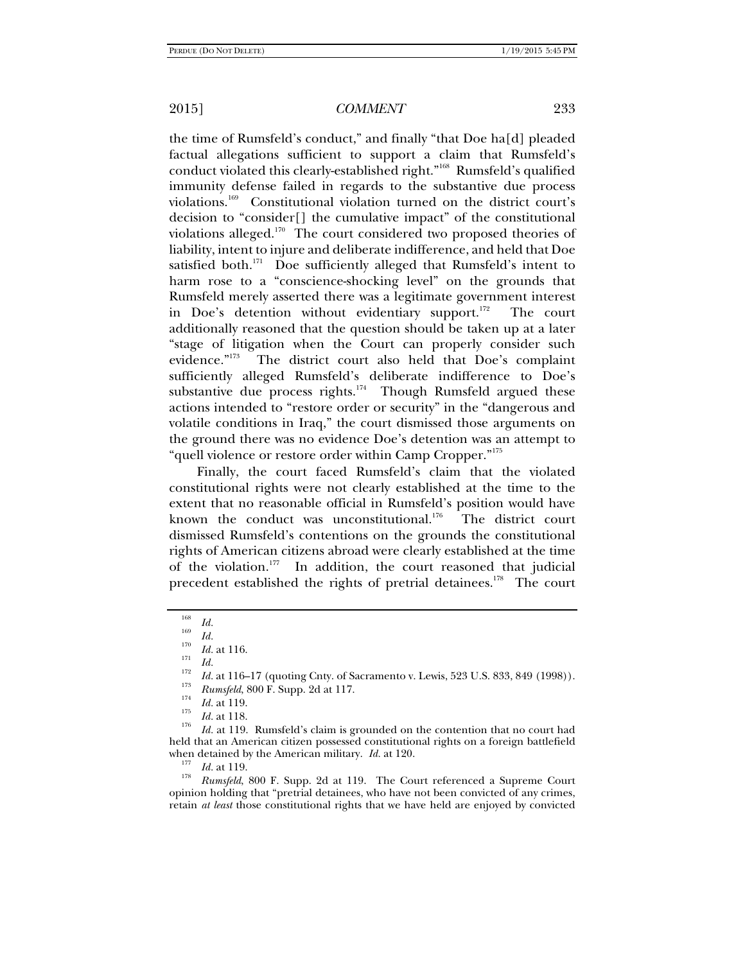the time of Rumsfeld's conduct," and finally "that Doe ha[d] pleaded factual allegations sufficient to support a claim that Rumsfeld's conduct violated this clearly-established right."168 Rumsfeld's qualified immunity defense failed in regards to the substantive due process violations.169 Constitutional violation turned on the district court's decision to "consider[] the cumulative impact" of the constitutional violations alleged.<sup>170</sup> The court considered two proposed theories of liability, intent to injure and deliberate indifference, and held that Doe satisfied both. $^{171}$  Doe sufficiently alleged that Rumsfeld's intent to harm rose to a "conscience-shocking level" on the grounds that Rumsfeld merely asserted there was a legitimate government interest in Doe's detention without evidentiary support.<sup>172</sup> The court additionally reasoned that the question should be taken up at a later "stage of litigation when the Court can properly consider such evidence."<sup>173</sup> The district court also held that Doe's complaint The district court also held that Doe's complaint sufficiently alleged Rumsfeld's deliberate indifference to Doe's substantive due process rights.<sup>174</sup> Though Rumsfeld argued these actions intended to "restore order or security" in the "dangerous and volatile conditions in Iraq," the court dismissed those arguments on the ground there was no evidence Doe's detention was an attempt to "quell violence or restore order within Camp Cropper."175

Finally, the court faced Rumsfeld's claim that the violated constitutional rights were not clearly established at the time to the extent that no reasonable official in Rumsfeld's position would have known the conduct was unconstitutional. $176$  The district court dismissed Rumsfeld's contentions on the grounds the constitutional rights of American citizens abroad were clearly established at the time of the violation.<sup>177</sup> In addition, the court reasoned that judicial precedent established the rights of pretrial detainees.<sup>178</sup> The court

opinion holding that "pretrial detainees, who have not been convicted of any crimes, retain *at least* those constitutional rights that we have held are enjoyed by convicted

<sup>168</sup>  $\frac{168}{169}$  *Id.* 

*ITO Id.* at 116.<br>
<sup>172</sup> *Id.* at 116–17 (quoting Cnty. of Sacramento v. Lewis, 523 U.S. 833, 849 (1998)).<br>
<sup>173</sup> <sup>173</sup>

<sup>&</sup>lt;sup>173</sup> *Rumsfeld*, 800 F. Supp. 2d at 117.<br>
<sup>174</sup> *Id.* at 119.

 $\frac{I}{176}$  *Id.* at 118.

*Id.* at 119. Rumsfeld's claim is grounded on the contention that no court had held that an American citizen possessed constitutional rights on a foreign battlefield when detained by the American military. *Id.* at 120.<br><sup>177</sup> *Id.* at 119.<br><sup>178</sup> *Rumsfeld*, 800 F. Supp. 2d at 119. The Court referenced a Supreme Court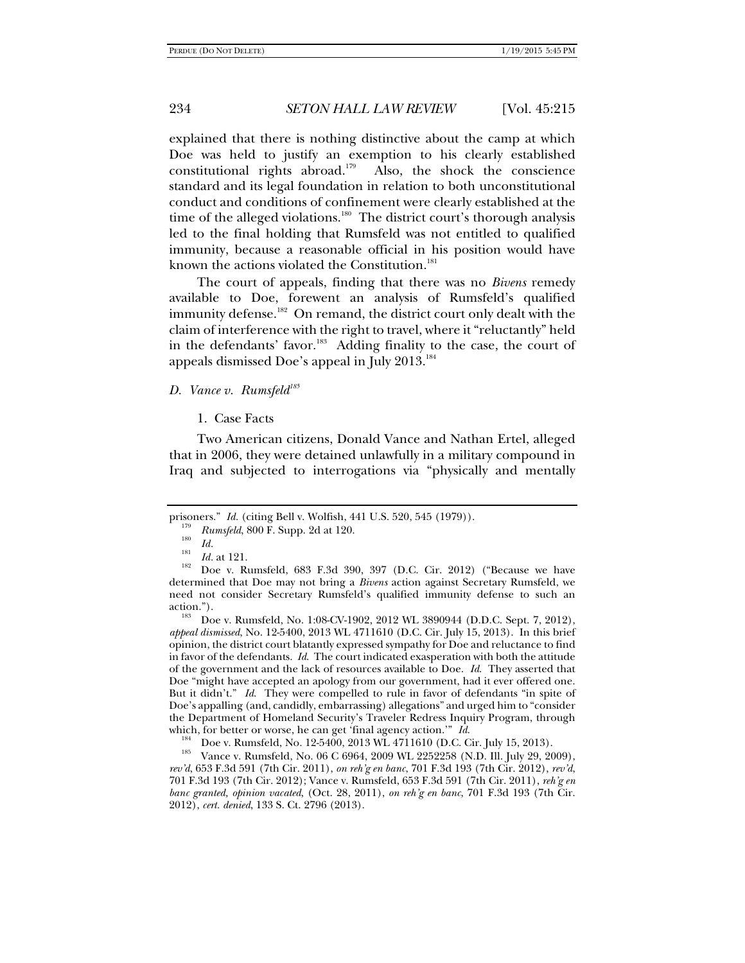explained that there is nothing distinctive about the camp at which Doe was held to justify an exemption to his clearly established constitutional rights abroad.<sup>179</sup> Also, the shock the conscience standard and its legal foundation in relation to both unconstitutional conduct and conditions of confinement were clearly established at the time of the alleged violations.<sup>180</sup> The district court's thorough analysis led to the final holding that Rumsfeld was not entitled to qualified immunity, because a reasonable official in his position would have known the actions violated the Constitution.<sup>181</sup>

The court of appeals, finding that there was no *Bivens* remedy available to Doe, forewent an analysis of Rumsfeld's qualified immunity defense.<sup>182</sup> On remand, the district court only dealt with the claim of interference with the right to travel, where it "reluctantly" held in the defendants' favor.<sup>183</sup> Adding finality to the case, the court of appeals dismissed Doe's appeal in July 2013.<sup>184</sup>

## *D. Vance v. Rumsfeld*<sup>185</sup>

1. Case Facts

Two American citizens, Donald Vance and Nathan Ertel, alleged that in 2006, they were detained unlawfully in a military compound in Iraq and subjected to interrogations via "physically and mentally

*appeal dismissed*, No. 12-5400, 2013 WL 4711610 (D.C. Cir. July 15, 2013). In this brief opinion, the district court blatantly expressed sympathy for Doe and reluctance to find in favor of the defendants. *Id*. The court indicated exasperation with both the attitude of the government and the lack of resources available to Doe. *Id*. They asserted that Doe "might have accepted an apology from our government, had it ever offered one. But it didn't." *Id*. They were compelled to rule in favor of defendants "in spite of Doe's appalling (and, candidly, embarrassing) allegations" and urged him to "consider the Department of Homeland Security's Traveler Redress Inquiry Program, through which, for better or worse, he can get 'final agency action.'"  $Id$ .

<sup>184</sup> Doe v. Rumsfeld, No. 12-5400, 2013 WL 4711610 (D.C. Cir. July 15, 2013).<br>Vance v. Rumsfeld, No. 06 C 6964, 2009 WL 2252258 (N.D. Ill. July 29, 2009), *rev'd*, 653 F.3d 591 (7th Cir. 2011), *on reh'g en banc*, 701 F.3d 193 (7th Cir. 2012), *rev'd*, 701 F.3d 193 (7th Cir. 2012); Vance v. Rumsfeld, 653 F.3d 591 (7th Cir. 2011), *reh'g en banc granted, opinion vacated*, (Oct. 28, 2011), *on reh'g en banc*, 701 F.3d 193 (7th Cir. 2012), *cert. denied*, 133 S. Ct. 2796 (2013).

prisoners." *Id.* (citing Bell v. Wolfish, 441 U.S. 520, 545 (1979)).

 $Rumsfeld$ , 800 F. Supp. 2d at 120.

 $\frac{180}{181}$  *Id.* at 121.

<sup>&</sup>lt;sup>182</sup> Doe v. Rumsfeld, 683 F.3d 390, 397 (D.C. Cir. 2012) ("Because we have determined that Doe may not bring a *Bivens* action against Secretary Rumsfeld, we need not consider Secretary Rumsfeld's qualified immunity defense to such an action.").<br><sup>183</sup> Doe v. Rumsfeld, No. 1:08-CV-1902, 2012 WL 3890944 (D.D.C. Sept. 7, 2012),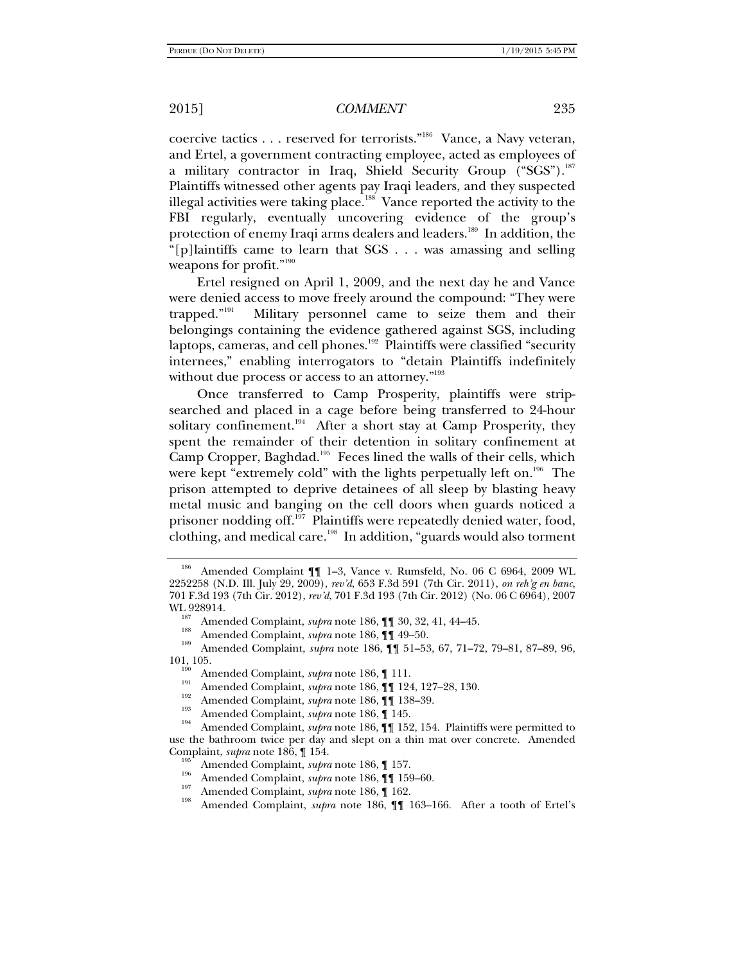coercive tactics . . . reserved for terrorists."186 Vance, a Navy veteran, and Ertel, a government contracting employee, acted as employees of a military contractor in Iraq, Shield Security Group ("SGS").<sup>187</sup> Plaintiffs witnessed other agents pay Iraqi leaders, and they suspected illegal activities were taking place.<sup>188</sup> Vance reported the activity to the FBI regularly, eventually uncovering evidence of the group's protection of enemy Iraqi arms dealers and leaders.<sup>189</sup> In addition, the "[p]laintiffs came to learn that SGS . . . was amassing and selling weapons for profit."<sup>190</sup>

Ertel resigned on April 1, 2009, and the next day he and Vance were denied access to move freely around the compound: "They were trapped."191 Military personnel came to seize them and their belongings containing the evidence gathered against SGS, including laptops, cameras, and cell phones.<sup>192</sup> Plaintiffs were classified "security internees," enabling interrogators to "detain Plaintiffs indefinitely without due process or access to an attorney."<sup>193</sup>

Once transferred to Camp Prosperity, plaintiffs were stripsearched and placed in a cage before being transferred to 24-hour solitary confinement.<sup>194</sup> After a short stay at Camp Prosperity, they spent the remainder of their detention in solitary confinement at Camp Cropper, Baghdad.<sup>195</sup> Feces lined the walls of their cells, which were kept "extremely cold" with the lights perpetually left on.<sup>196</sup> The prison attempted to deprive detainees of all sleep by blasting heavy metal music and banging on the cell doors when guards noticed a prisoner nodding off.<sup>197</sup> Plaintiffs were repeatedly denied water, food, clothing, and medical care.<sup>198</sup> In addition, "guards would also torment

Amended Complaint  $\P$  1-3, Vance v. Rumsfeld, No. 06 C 6964, 2009 WL 2252258 (N.D. Ill. July 29, 2009), *rev'd*, 653 F.3d 591 (7th Cir. 2011), *on reh'g en banc*, 701 F.3d 193 (7th Cir. 2012), *rev'd*, 701 F.3d 193 (7th Cir. 2012) (No. 06 C 6964), 2007

WL 928914.<br><sup>187</sup> Amended Complaint, *supra* note 186, ¶¶ 30, 32, 41, 44–45.<br><sup>188</sup> Amended Complaint, *supra* note 186, ¶¶ 51–53, 67, 71–72, 79–81, 87–89, 96,<br>101, 105.

Amended Complaint, *supra* note 186,  $\P$  111.<br>
<sup>191</sup> Amended Complaint, *supra* note 186,  $\P$  124, 127–28, 130.<br>
<sup>192</sup> Amended Complaint, *supra* note 186,  $\P$  138–39.<br>
Amended Complaint, *supra* note 186,  $\P$  145.<br>
<sup>194</sup> use the bathroom twice per day and slept on a thin mat over concrete. Amended Complaint, *supra* note 186,  $\P$  154.<br>
<sup>195</sup> Amended Complaint, *supra* note 186,  $\P$  157.<br>
<sup>196</sup> Amended Complaint, *supra* note 186,  $\P$  159–60.<br>
<sup>197</sup> Amended Complaint, *supra* note 186,  $\P$  162.<br>
<sup>198</sup> Amended Compla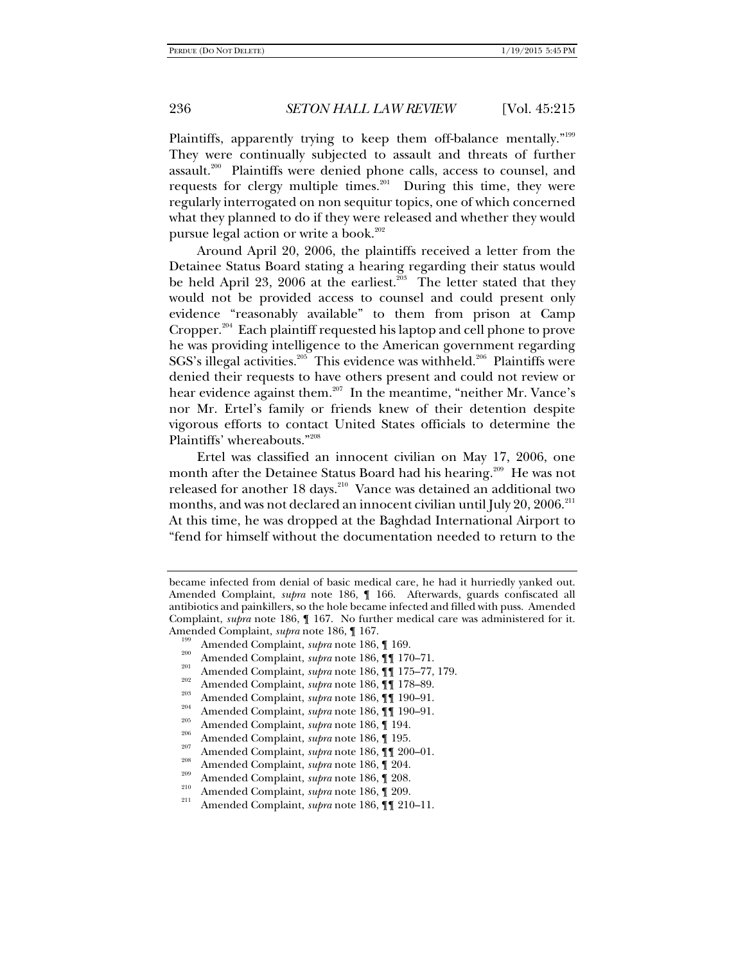Plaintiffs, apparently trying to keep them off-balance mentally."<sup>199</sup> They were continually subjected to assault and threats of further assault.200 Plaintiffs were denied phone calls, access to counsel, and requests for clergy multiple times.<sup>201</sup> During this time, they were regularly interrogated on non sequitur topics, one of which concerned what they planned to do if they were released and whether they would pursue legal action or write a book. $202$ 

Around April 20, 2006, the plaintiffs received a letter from the Detainee Status Board stating a hearing regarding their status would be held April 23, 2006 at the earliest.<sup>203</sup> The letter stated that they would not be provided access to counsel and could present only evidence "reasonably available" to them from prison at Camp Cropper.<sup>204</sup> Each plaintiff requested his laptop and cell phone to prove he was providing intelligence to the American government regarding SGS's illegal activities.<sup>205</sup> This evidence was withheld.<sup>206</sup> Plaintiffs were denied their requests to have others present and could not review or hear evidence against them.<sup>207</sup> In the meantime, "neither Mr. Vance's nor Mr. Ertel's family or friends knew of their detention despite vigorous efforts to contact United States officials to determine the Plaintiffs' whereabouts."208

Ertel was classified an innocent civilian on May 17, 2006, one month after the Detainee Status Board had his hearing.<sup>209</sup> He was not released for another 18 days.<sup>210</sup> Vance was detained an additional two months, and was not declared an innocent civilian until July 20, 2006. $^{211}$ At this time, he was dropped at the Baghdad International Airport to "fend for himself without the documentation needed to return to the

Amended Complaint, *supra* note 186,  $\P$  167.<br>
<sup>199</sup> Amended Complaint, *supra* note 186,  $\P$  169.<br>
<sup>200</sup> Amended Complaint, *supra* note 186,  $\P$  170–71.<br>
<sup>201</sup> Amended Complaint, *supra* note 186,  $\P$  175–77, 179.<br>
<sup>202</sup>

- 
- 
- 
- 
- 
- 
- 
- 

became infected from denial of basic medical care, he had it hurriedly yanked out. Amended Complaint, *supra* note 186, ¶ 166. Afterwards, guards confiscated all antibiotics and painkillers, so the hole became infected and filled with puss. Amended Complaint, *supra* note 186, ¶ 167. No further medical care was administered for it.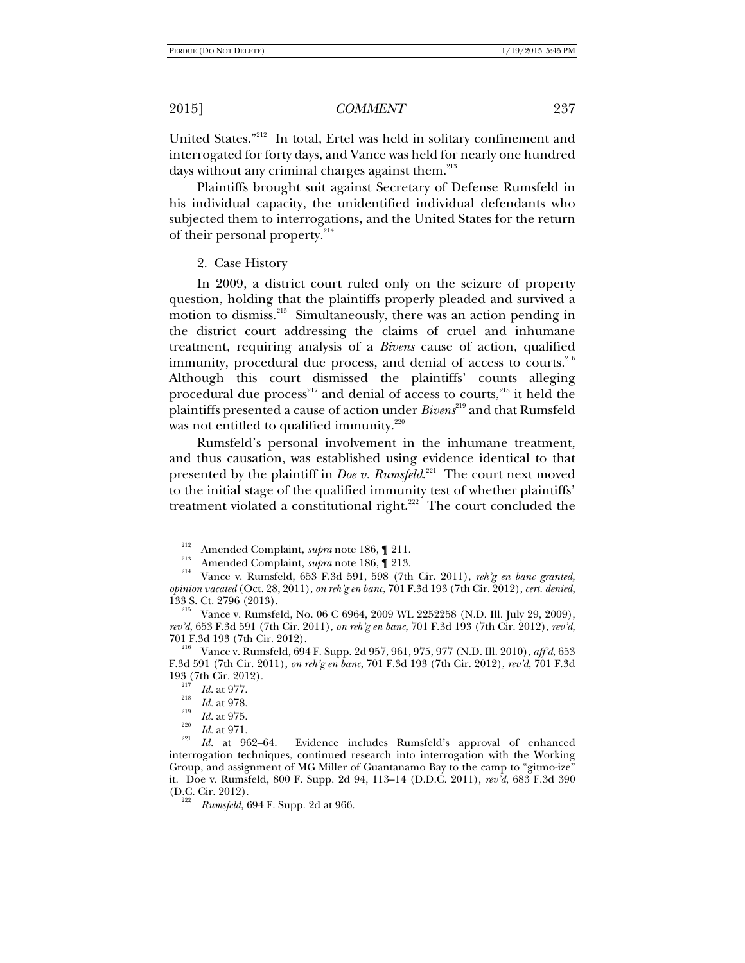United States."212 In total, Ertel was held in solitary confinement and interrogated for forty days, and Vance was held for nearly one hundred days without any criminal charges against them.<sup>213</sup>

Plaintiffs brought suit against Secretary of Defense Rumsfeld in his individual capacity, the unidentified individual defendants who subjected them to interrogations, and the United States for the return of their personal property.<sup>214</sup>

2. Case History

In 2009, a district court ruled only on the seizure of property question, holding that the plaintiffs properly pleaded and survived a motion to dismiss.<sup>215</sup> Simultaneously, there was an action pending in the district court addressing the claims of cruel and inhumane treatment, requiring analysis of a *Bivens* cause of action, qualified immunity, procedural due process, and denial of access to courts.<sup>216</sup> Although this court dismissed the plaintiffs' counts alleging procedural due process<sup>217</sup> and denial of access to courts,<sup>218</sup> it held the plaintiffs presented a cause of action under *Bivens*219 and that Rumsfeld was not entitled to qualified immunity. $220$ 

Rumsfeld's personal involvement in the inhumane treatment, and thus causation, was established using evidence identical to that presented by the plaintiff in *Doe v. Rumsfeld*.<sup>221</sup> The court next moved to the initial stage of the qualified immunity test of whether plaintiffs' treatment violated a constitutional right.<sup>222</sup> The court concluded the

<sup>&</sup>lt;sup>212</sup> Amended Complaint, *supra* note 186, ¶ 211.<br><sup>213</sup> Amended Complaint, *supra* note 186, ¶ 213.<br><sup>214</sup> Vance v. Rumsfeld, 653 F.3d 591, 598 (7th Cir. 2011), *reh'g en banc granted*, *opinion vacated* (Oct. 28, 2011), *on reh'g en banc*, 701 F.3d 193 (7th Cir. 2012), *cert. denied*, 133 S. Ct. 2796 (2013).<br><sup>215</sup> Vance v. Rumsfeld, No. 06 C 6964, 2009 WL 2252258 (N.D. Ill. July 29, 2009),

*rev'd*, 653 F.3d 591 (7th Cir. 2011), *on reh'g en banc*, 701 F.3d 193 (7th Cir. 2012), *rev'd*,

<sup>&</sup>lt;sup>216</sup> Vance v. Rumsfeld, 694 F. Supp. 2d 957, 961, 975, 977 (N.D. Ill. 2010), *aff'd*, 653 F.3d 591 (7th Cir. 2011)*, on reh'g en banc*, 701 F.3d 193 (7th Cir. 2012), *rev'd*, 701 F.3d  $\frac{193}{^{217}}$  (7th Cir. 2012).<br>*Id.* at 977.

 $\frac{218}{219}$  *Id.* at 978.

 $\frac{^{219}}{^{220}}$  *Id.* at 975.

<sup>&</sup>lt;sup>221</sup> *Id.* at 962-64. Evidence includes Rumsfeld's approval of enhanced interrogation techniques, continued research into interrogation with the Working Group, and assignment of MG Miller of Guantanamo Bay to the camp to "gitmo-ize" it. Doe v. Rumsfeld, 800 F. Supp. 2d 94, 113–14 (D.D.C. 2011), *rev'd*, 683 F.3d 390  $(D.C. Cir. 2012).$ 

*Rumsfeld*, 694 F. Supp. 2d at 966.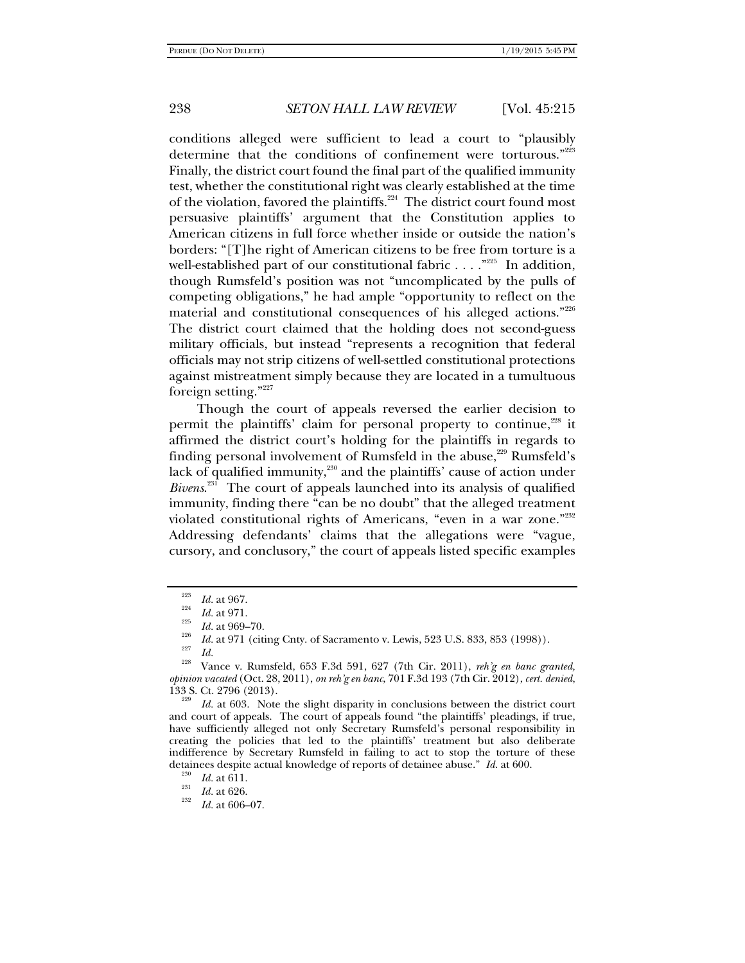conditions alleged were sufficient to lead a court to "plausibly determine that the conditions of confinement were torturous."<sup>223</sup> Finally, the district court found the final part of the qualified immunity test, whether the constitutional right was clearly established at the time of the violation, favored the plaintiffs.<sup>224</sup> The district court found most persuasive plaintiffs' argument that the Constitution applies to American citizens in full force whether inside or outside the nation's borders: "[T]he right of American citizens to be free from torture is a well-established part of our constitutional fabric  $\dots$ ."<sup>225</sup> In addition, though Rumsfeld's position was not "uncomplicated by the pulls of competing obligations," he had ample "opportunity to reflect on the material and constitutional consequences of his alleged actions."226 The district court claimed that the holding does not second-guess military officials, but instead "represents a recognition that federal officials may not strip citizens of well-settled constitutional protections against mistreatment simply because they are located in a tumultuous foreign setting."227

Though the court of appeals reversed the earlier decision to permit the plaintiffs' claim for personal property to continue,<sup>228</sup> it affirmed the district court's holding for the plaintiffs in regards to finding personal involvement of Rumsfeld in the abuse, $229$  Rumsfeld's lack of qualified immunity, $230$  and the plaintiffs' cause of action under *Bivens*. 231 The court of appeals launched into its analysis of qualified immunity, finding there "can be no doubt" that the alleged treatment violated constitutional rights of Americans, "even in a war zone."232 Addressing defendants' claims that the allegations were "vague, cursory, and conclusory," the court of appeals listed specific examples

<sup>223</sup> <sup>223</sup>*Id.* at 967.<br><sup>224</sup>*Id.* at 971.

<sup>&</sup>lt;sup>226</sup> Id. at 969–70.<br><sup>226</sup> Id. at 971 (citing Cnty. of Sacramento v. Lewis, 523 U.S. 833, 853 (1998)).

<sup>&</sup>lt;sup>227</sup> *Id.* 228 Vance v. Rumsfeld, 653 F.3d 591, 627 (7th Cir. 2011), *reh'g en banc granted*, *opinion vacated* (Oct. 28, 2011), *on reh'g en banc*, 701 F.3d 193 (7th Cir. 2012), *cert. denied*, 133 S. Ct. 2796 (2013).

*Id.* at 603. Note the slight disparity in conclusions between the district court and court of appeals. The court of appeals found "the plaintiffs' pleadings, if true, have sufficiently alleged not only Secretary Rumsfeld's personal responsibility in creating the policies that led to the plaintiffs' treatment but also deliberate indifference by Secretary Rumsfeld in failing to act to stop the torture of these detainees despite actual knowledge of reports of detainee abuse." *Id.* at 600.<br><sup>230</sup> *Id.* at 611.

 $\frac{231}{232}$  *Id.* at 626.

*Id.* at 606–07.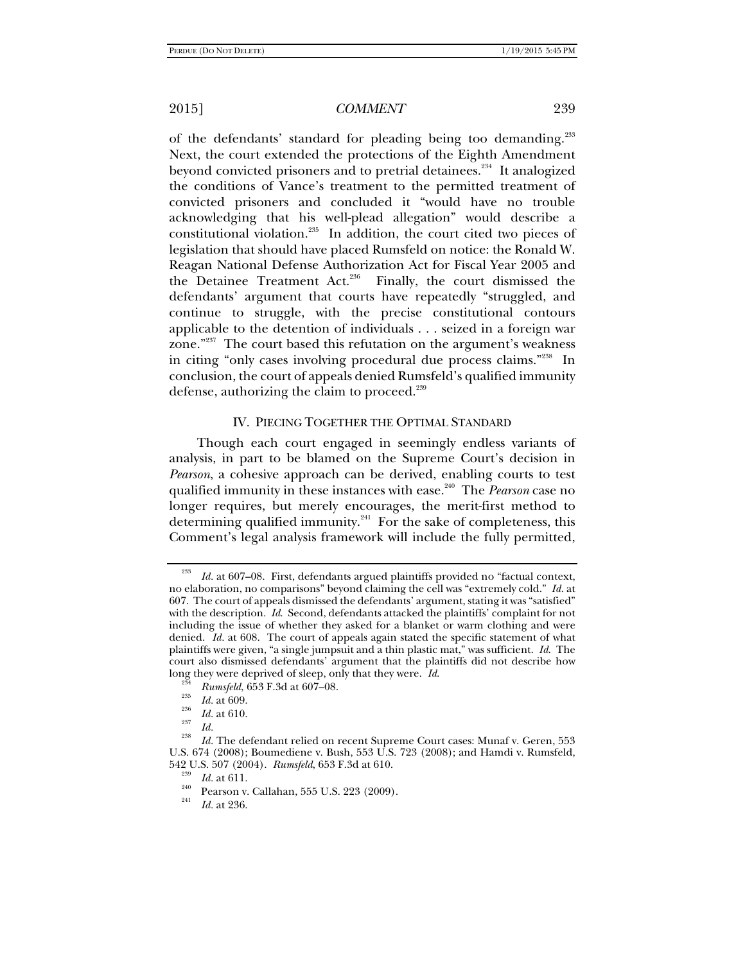of the defendants' standard for pleading being too demanding.<sup>233</sup> Next, the court extended the protections of the Eighth Amendment beyond convicted prisoners and to pretrial detainees.<sup>234</sup> It analogized the conditions of Vance's treatment to the permitted treatment of convicted prisoners and concluded it "would have no trouble acknowledging that his well-plead allegation" would describe a constitutional violation.<sup>235</sup> In addition, the court cited two pieces of legislation that should have placed Rumsfeld on notice: the Ronald W. Reagan National Defense Authorization Act for Fiscal Year 2005 and the Detainee Treatment Act.<sup>236</sup> Finally, the court dismissed the defendants' argument that courts have repeatedly "struggled, and continue to struggle, with the precise constitutional contours applicable to the detention of individuals . . . seized in a foreign war zone."<sup>237</sup> The court based this refutation on the argument's weakness in citing "only cases involving procedural due process claims."238 In conclusion, the court of appeals denied Rumsfeld's qualified immunity defense, authorizing the claim to proceed.<sup>239</sup>

### IV. PIECING TOGETHER THE OPTIMAL STANDARD

Though each court engaged in seemingly endless variants of analysis, in part to be blamed on the Supreme Court's decision in *Pearson*, a cohesive approach can be derived, enabling courts to test qualified immunity in these instances with ease.240 The *Pearson* case no longer requires, but merely encourages, the merit-first method to determining qualified immunity.<sup>241</sup> For the sake of completeness, this Comment's legal analysis framework will include the fully permitted,

<sup>233</sup> *Id.* at 607–08. First, defendants argued plaintiffs provided no "factual context, no elaboration, no comparisons" beyond claiming the cell was "extremely cold." *Id.* at 607. The court of appeals dismissed the defendants' argument, stating it was "satisfied" with the description. *Id.* Second, defendants attacked the plaintiffs' complaint for not including the issue of whether they asked for a blanket or warm clothing and were denied. *Id.* at 608. The court of appeals again stated the specific statement of what plaintiffs were given, "a single jumpsuit and a thin plastic mat," was sufficient. *Id*. The court also dismissed defendants' argument that the plaintiffs did not describe how long they were deprived of sleep, only that they were. Id.

<sup>&</sup>lt;sup>234</sup> *Rumsfeld*, 653 F.3d at 607–08.<br><sup>235</sup> *Id.* at 609.

 $\frac{^{236}}{^{237}}$  *Id.* at 610.

 $\frac{237}{238}$  *Id.* 

*Id.* The defendant relied on recent Supreme Court cases: Munaf v. Geren, 553 U.S. 674 (2008); Boumediene v. Bush, 553 U.S. 723 (2008); and Hamdi v. Rumsfeld, 542 U.S. 507 (2004). *Rumsfeld*, 653 F.3d at 610.<br><sup>239</sup> Id. at 611.

<sup>&</sup>lt;sup>240</sup> Pearson v. Callahan, 555 U.S. 223 (2009).

*Id.* at 236.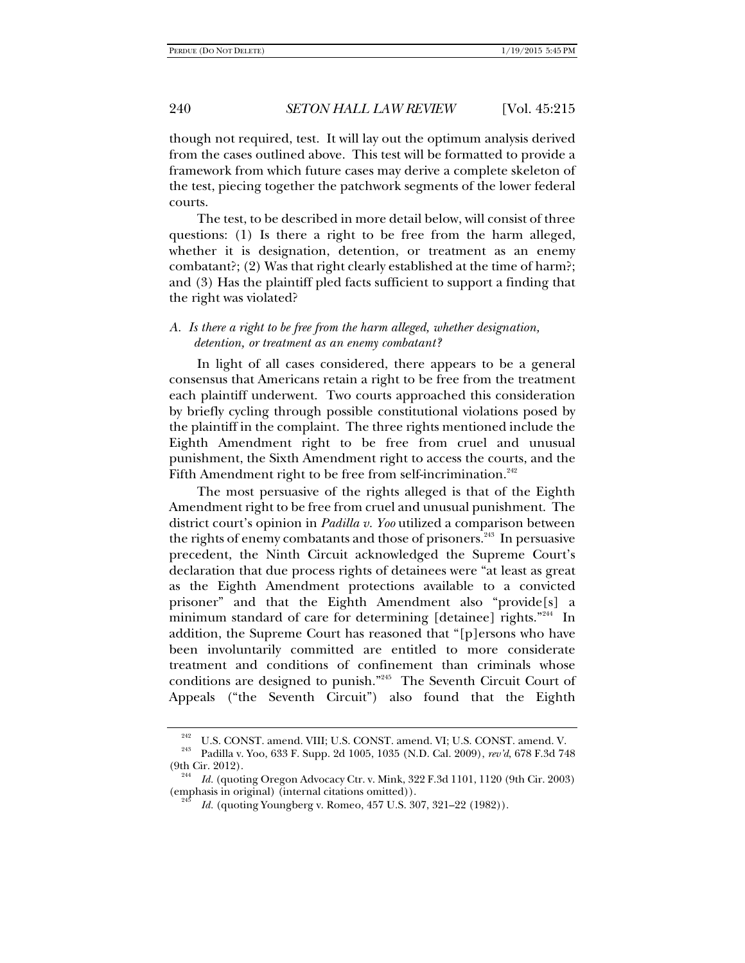though not required, test. It will lay out the optimum analysis derived from the cases outlined above. This test will be formatted to provide a framework from which future cases may derive a complete skeleton of the test, piecing together the patchwork segments of the lower federal courts.

The test, to be described in more detail below, will consist of three questions: (1) Is there a right to be free from the harm alleged, whether it is designation, detention, or treatment as an enemy combatant?; (2) Was that right clearly established at the time of harm?; and (3) Has the plaintiff pled facts sufficient to support a finding that the right was violated?

## *A. Is there a right to be free from the harm alleged, whether designation, detention, or treatment as an enemy combatant?*

In light of all cases considered, there appears to be a general consensus that Americans retain a right to be free from the treatment each plaintiff underwent. Two courts approached this consideration by briefly cycling through possible constitutional violations posed by the plaintiff in the complaint. The three rights mentioned include the Eighth Amendment right to be free from cruel and unusual punishment, the Sixth Amendment right to access the courts, and the Fifth Amendment right to be free from self-incrimination.<sup>242</sup>

The most persuasive of the rights alleged is that of the Eighth Amendment right to be free from cruel and unusual punishment. The district court's opinion in *Padilla v. Yoo* utilized a comparison between the rights of enemy combatants and those of prisoners.<sup>243</sup> In persuasive precedent, the Ninth Circuit acknowledged the Supreme Court's declaration that due process rights of detainees were "at least as great as the Eighth Amendment protections available to a convicted prisoner" and that the Eighth Amendment also "provide[s] a minimum standard of care for determining [detainee] rights."<sup>244</sup> In addition, the Supreme Court has reasoned that "[p]ersons who have been involuntarily committed are entitled to more considerate treatment and conditions of confinement than criminals whose conditions are designed to punish."245 The Seventh Circuit Court of Appeals ("the Seventh Circuit") also found that the Eighth

<sup>242</sup> U.S. CONST. amend. VIII; U.S. CONST. amend. VI; U.S. CONST. amend. V. 243 Padilla v. Yoo, 633 F. Supp. 2d 1005, 1035 (N.D. Cal. 2009), *rev'd*, 678 F.3d 748

<sup>(9</sup>th Cir. 2012). 244 *Id.* (quoting Oregon Advocacy Ctr. v. Mink, 322 F.3d 1101, 1120 (9th Cir. 2003)

<sup>(</sup>emphasis in original) (internal citations omitted)).

*Id.* (quoting Youngberg v. Romeo, 457 U.S. 307, 321–22 (1982)).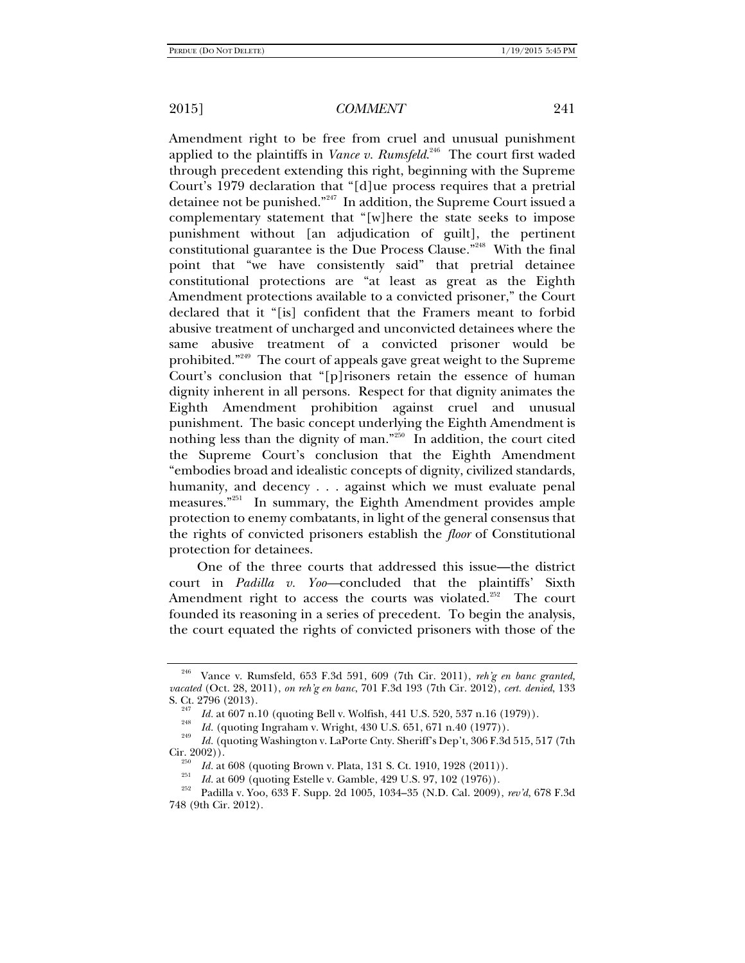Amendment right to be free from cruel and unusual punishment applied to the plaintiffs in *Vance v. Rumsfeld.*<sup>246</sup> The court first waded through precedent extending this right, beginning with the Supreme Court's 1979 declaration that "[d]ue process requires that a pretrial detainee not be punished."247 In addition, the Supreme Court issued a complementary statement that "[w]here the state seeks to impose punishment without [an adjudication of guilt], the pertinent constitutional guarantee is the Due Process Clause."248 With the final point that "we have consistently said" that pretrial detainee constitutional protections are "at least as great as the Eighth Amendment protections available to a convicted prisoner," the Court declared that it "[is] confident that the Framers meant to forbid abusive treatment of uncharged and unconvicted detainees where the same abusive treatment of a convicted prisoner would be prohibited."249 The court of appeals gave great weight to the Supreme Court's conclusion that "[p]risoners retain the essence of human dignity inherent in all persons. Respect for that dignity animates the Eighth Amendment prohibition against cruel and unusual punishment. The basic concept underlying the Eighth Amendment is nothing less than the dignity of man."250 In addition, the court cited the Supreme Court's conclusion that the Eighth Amendment "embodies broad and idealistic concepts of dignity, civilized standards, humanity, and decency . . . against which we must evaluate penal measures."251 In summary, the Eighth Amendment provides ample protection to enemy combatants, in light of the general consensus that the rights of convicted prisoners establish the *floor* of Constitutional protection for detainees.

One of the three courts that addressed this issue—the district court in *Padilla v. Yoo—*concluded that the plaintiffs' Sixth Amendment right to access the courts was violated.<sup>252</sup> The court founded its reasoning in a series of precedent. To begin the analysis, the court equated the rights of convicted prisoners with those of the

<sup>246</sup> Vance v. Rumsfeld, 653 F.3d 591, 609 (7th Cir. 2011), *reh'g en banc granted, vacated* (Oct. 28, 2011), *on reh'g en banc*, 701 F.3d 193 (7th Cir. 2012), *cert. denied*, 133

<sup>&</sup>lt;sup>247</sup> *Id.* at 607 n.10 (quoting Bell v. Wolfish, 441 U.S. 520, 537 n.16 (1979)).

<sup>&</sup>lt;sup>248</sup> *Id.* (quoting Ingraham v. Wright, 430 U.S. 651, 671 n.40 (1977)).

*Id.* (quoting Washington v. LaPorte Cnty. Sheriff's Dep't, 306 F.3d 515, 517 (7th Cir. 2002)).<br><sup>250</sup> *Id.* at 608 (quoting Brown v. Plata, 131 S. Ct. 1910, 1928 (2011)).

<sup>&</sup>lt;sup>251</sup> *Id.* at 609 (quoting Estelle v. Gamble, 429 U.S. 97, 102 (1976)).<br><sup>252</sup> Padilla v. Yoo, 633 F. Supp. 2d 1005, 1034–35 (N.D. Cal. 2009), rev'd, 678 F.3d 748 (9th Cir. 2012).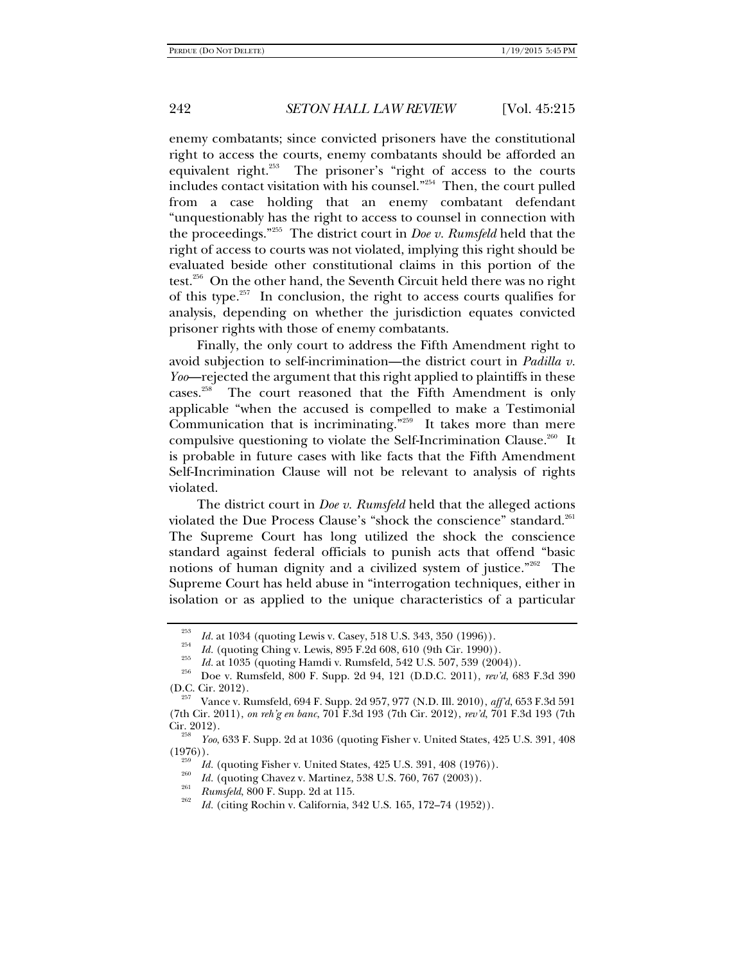enemy combatants; since convicted prisoners have the constitutional right to access the courts, enemy combatants should be afforded an equivalent right.<sup>253</sup> The prisoner's "right of access to the courts includes contact visitation with his counsel."254 Then, the court pulled from a case holding that an enemy combatant defendant "unquestionably has the right to access to counsel in connection with the proceedings."255 The district court in *Doe v. Rumsfeld* held that the right of access to courts was not violated, implying this right should be evaluated beside other constitutional claims in this portion of the test.<sup>256</sup> On the other hand, the Seventh Circuit held there was no right of this type.257 In conclusion, the right to access courts qualifies for analysis, depending on whether the jurisdiction equates convicted prisoner rights with those of enemy combatants.

Finally, the only court to address the Fifth Amendment right to avoid subjection to self-incrimination—the district court in *Padilla v. Yoo*—rejected the argument that this right applied to plaintiffs in these cases.<sup>258</sup> The court reasoned that the Fifth Amendment is only applicable "when the accused is compelled to make a Testimonial Communication that is incriminating."259 It takes more than mere compulsive questioning to violate the Self-Incrimination Clause.<sup>260</sup> It is probable in future cases with like facts that the Fifth Amendment Self-Incrimination Clause will not be relevant to analysis of rights violated.

The district court in *Doe v. Rumsfeld* held that the alleged actions violated the Due Process Clause's "shock the conscience" standard.<sup>261</sup> The Supreme Court has long utilized the shock the conscience standard against federal officials to punish acts that offend "basic notions of human dignity and a civilized system of justice."262 The Supreme Court has held abuse in "interrogation techniques, either in isolation or as applied to the unique characteristics of a particular

<sup>253</sup>

<sup>&</sup>lt;sup>253</sup> *Id.* at 1034 (quoting Lewis v. Casey, 518 U.S. 343, 350 (1996)).<br>
<sup>254</sup> *Id.* (quoting Ching v. Lewis, 895 F.2d 608, 610 (9th Cir. 1990)).<br> *Id.* at 1035 (quoting Hamdi v. Rumsfeld, 542 U.S. 507, 539 (2004)).<br>
Doe (D.C. Cir. 2012). 257 Vance v. Rumsfeld, 694 F. Supp. 2d 957, 977 (N.D. Ill. 2010), *aff'd*, 653 F.3d 591

<sup>(7</sup>th Cir. 2011), *on reh'g en banc*, 701 F.3d 193 (7th Cir. 2012), *rev'd*, 701 F.3d 193 (7th

<sup>&</sup>lt;sup>238</sup> *Yoo*, 633 F. Supp. 2d at 1036 (quoting Fisher v. United States, 425 U.S. 391, 408 (1976)).

<sup>&</sup>lt;sup>259</sup> *Id.* (quoting Fisher v. United States, 425 U.S. 391, 408 (1976)).

<sup>&</sup>lt;sup>260</sup> *Id.* (quoting Chavez v. Martinez, 538 U.S. 760, 767 (2003)).<br> *Rumsfeld*, 800 F. Supp. 2d at 115.

*Id.* (citing Rochin v. California, 342 U.S. 165, 172–74 (1952)).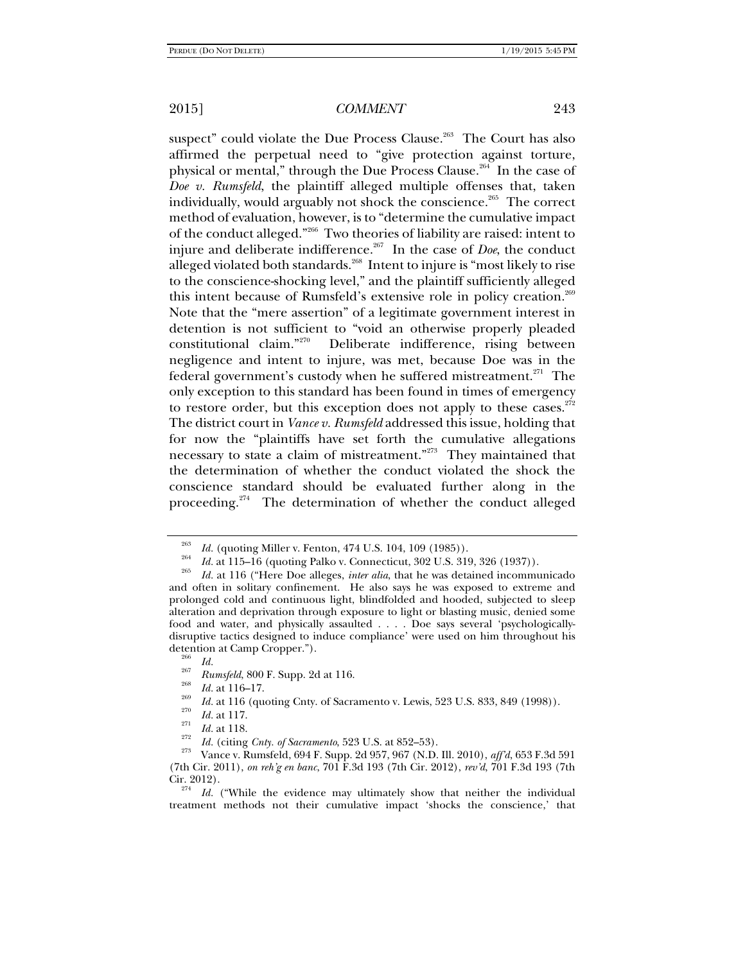suspect" could violate the Due Process Clause.<sup>263</sup> The Court has also affirmed the perpetual need to "give protection against torture, physical or mental," through the Due Process Clause. $2^{64}$  In the case of *Doe v. Rumsfeld*, the plaintiff alleged multiple offenses that, taken individually, would arguably not shock the conscience.<sup>265</sup> The correct method of evaluation, however, is to "determine the cumulative impact of the conduct alleged."266 Two theories of liability are raised: intent to injure and deliberate indifference.267 In the case of *Doe*, the conduct alleged violated both standards.<sup>268</sup> Intent to injure is "most likely to rise to the conscience-shocking level," and the plaintiff sufficiently alleged this intent because of Rumsfeld's extensive role in policy creation.<sup>269</sup> Note that the "mere assertion" of a legitimate government interest in detention is not sufficient to "void an otherwise properly pleaded constitutional claim."270 Deliberate indifference, rising between negligence and intent to injure, was met, because Doe was in the federal government's custody when he suffered mistreatment.<sup>271</sup> The only exception to this standard has been found in times of emergency to restore order, but this exception does not apply to these cases. $272$ The district court in *Vance v. Rumsfeld* addressed this issue, holding that for now the "plaintiffs have set forth the cumulative allegations necessary to state a claim of mistreatment."273 They maintained that the determination of whether the conduct violated the shock the conscience standard should be evaluated further along in the proceeding.<sup>274</sup> The determination of whether the conduct alleged

<sup>263</sup>

<sup>&</sup>lt;sup>263</sup> *Id.* (quoting Miller v. Fenton, 474 U.S. 104, 109 (1985)).<br><sup>264</sup> *Id.* at 115–16 (quoting Palko v. Connecticut, 302 U.S. 319, 326 (1937)).

*Id.* at 116 ("Here Doe alleges, *inter alia*, that he was detained incommunicado and often in solitary confinement. He also says he was exposed to extreme and prolonged cold and continuous light, blindfolded and hooded, subjected to sleep alteration and deprivation through exposure to light or blasting music, denied some food and water, and physically assaulted . . . . Doe says several 'psychologicallydisruptive tactics designed to induce compliance' were used on him throughout his detention at Camp Cropper.").<br><sup>266</sup> *Id.*<br><sup>267</sup> *Rumsfeld*, 800 F. Supp. 2d at 116.

<sup>&</sup>lt;sup>268</sup> *Id.* at 116–17.<br><sup>269</sup> *Id.* at 116 (quoting Cnty. of Sacramento v. Lewis, 523 U.S. 833, 849 (1998)).<br><sup>270</sup> *Id.* at 117.

*II*<br><sup>272</sup> *Id.* (citing *Cnty. of Sacramento,* 523 U.S. at 852–53).<br><sup>273</sup> Vance v. Rumsfeld, 694 F. Supp. 2d 957, 967 (N.D. III. 2010), *aff'd*, 653 F.3d 591 (7th Cir. 2011), *on reh'g en banc*, 701 F.3d 193 (7th Cir. 2012), *rev'd*, 701 F.3d 193 (7th Cir. 2012).

*Id.* ("While the evidence may ultimately show that neither the individual treatment methods not their cumulative impact 'shocks the conscience,' that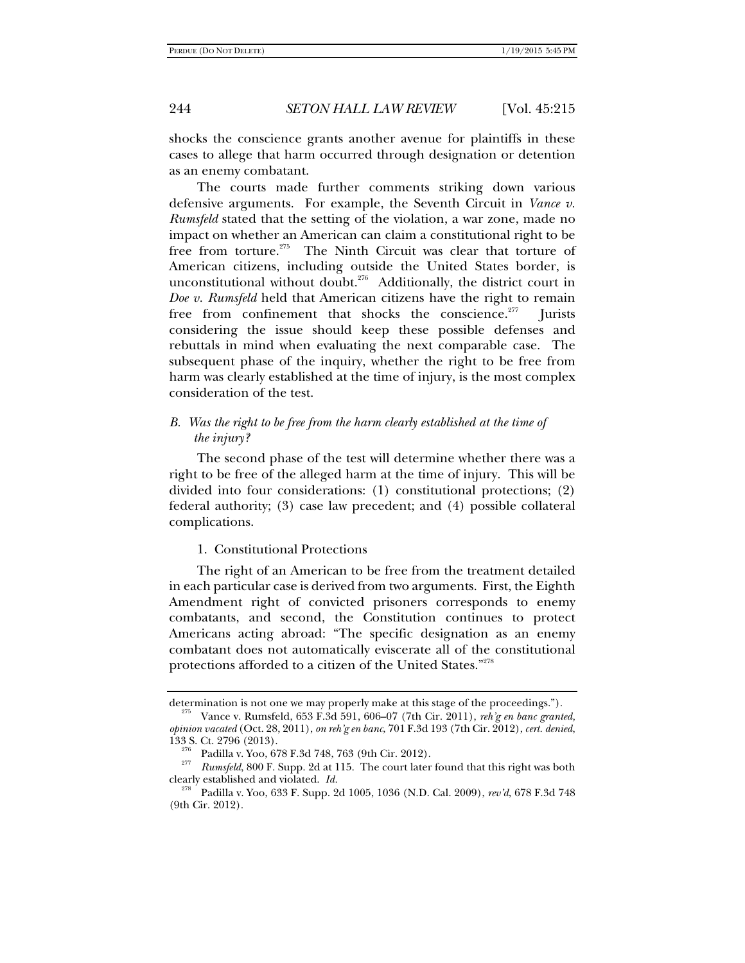shocks the conscience grants another avenue for plaintiffs in these cases to allege that harm occurred through designation or detention as an enemy combatant.

The courts made further comments striking down various defensive arguments. For example, the Seventh Circuit in *Vance v. Rumsfeld* stated that the setting of the violation, a war zone, made no impact on whether an American can claim a constitutional right to be free from torture.<sup>275</sup> The Ninth Circuit was clear that torture of American citizens, including outside the United States border, is unconstitutional without doubt.<sup>276</sup> Additionally, the district court in *Doe v. Rumsfeld* held that American citizens have the right to remain free from confinement that shocks the conscience.<sup>277</sup> Jurists considering the issue should keep these possible defenses and rebuttals in mind when evaluating the next comparable case. The subsequent phase of the inquiry, whether the right to be free from harm was clearly established at the time of injury, is the most complex consideration of the test.

## *B.* Was the right to be free from the harm clearly established at the time of *the injury?*

The second phase of the test will determine whether there was a right to be free of the alleged harm at the time of injury. This will be divided into four considerations: (1) constitutional protections; (2) federal authority; (3) case law precedent; and (4) possible collateral complications.

1. Constitutional Protections

The right of an American to be free from the treatment detailed in each particular case is derived from two arguments. First, the Eighth Amendment right of convicted prisoners corresponds to enemy combatants, and second, the Constitution continues to protect Americans acting abroad: "The specific designation as an enemy combatant does not automatically eviscerate all of the constitutional protections afforded to a citizen of the United States."278

determination is not one we may properly make at this stage of the proceedings."). 275 Vance v. Rumsfeld, 653 F.3d 591, 606–07 (7th Cir. 2011), *reh'g en banc granted,* 

*opinion vacated* (Oct. 28, 2011), *on reh'g en banc*, 701 F.3d 193 (7th Cir. 2012), *cert. denied*,

<sup>&</sup>lt;sup>276</sup> Padilla v. Yoo, 678 F.3d 748, 763 (9th Cir. 2012).<br><sup>277</sup> *Rumsfeld*, 800 F. Supp. 2d at 115. The court later found that this right was both clearly established and violated. *Id.* 278 Padilla v. Yoo, 633 F. Supp. 2d 1005, 1036 (N.D. Cal. 2009), *rev'd*, 678 F.3d 748

<sup>(9</sup>th Cir. 2012).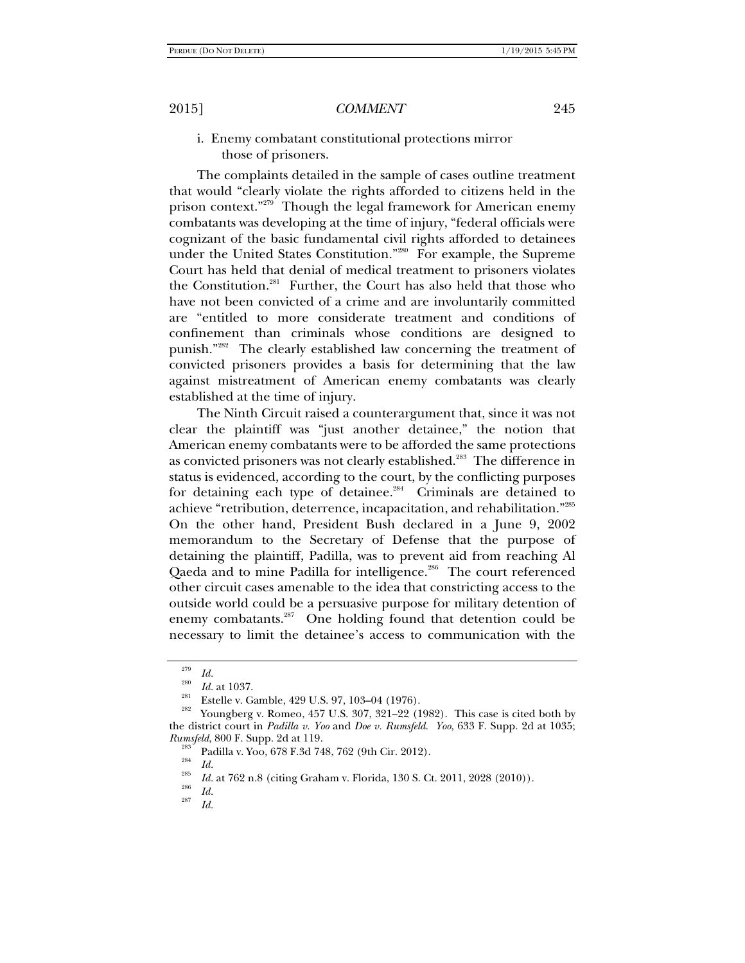i. Enemy combatant constitutional protections mirror those of prisoners.

The complaints detailed in the sample of cases outline treatment that would "clearly violate the rights afforded to citizens held in the prison context."<sup>279</sup> Though the legal framework for American enemy combatants was developing at the time of injury, "federal officials were cognizant of the basic fundamental civil rights afforded to detainees under the United States Constitution."<sup>280</sup> For example, the Supreme Court has held that denial of medical treatment to prisoners violates the Constitution.<sup>281</sup> Further, the Court has also held that those who have not been convicted of a crime and are involuntarily committed are "entitled to more considerate treatment and conditions of confinement than criminals whose conditions are designed to punish."282 The clearly established law concerning the treatment of convicted prisoners provides a basis for determining that the law against mistreatment of American enemy combatants was clearly established at the time of injury.

The Ninth Circuit raised a counterargument that, since it was not clear the plaintiff was "just another detainee," the notion that American enemy combatants were to be afforded the same protections as convicted prisoners was not clearly established.<sup>283</sup> The difference in status is evidenced, according to the court, by the conflicting purposes for detaining each type of detainee.<sup>284</sup> Criminals are detained to achieve "retribution, deterrence, incapacitation, and rehabilitation."285 On the other hand, President Bush declared in a June 9, 2002 memorandum to the Secretary of Defense that the purpose of detaining the plaintiff, Padilla, was to prevent aid from reaching Al Qaeda and to mine Padilla for intelligence.<sup>286</sup> The court referenced other circuit cases amenable to the idea that constricting access to the outside world could be a persuasive purpose for military detention of enemy combatants.<sup>287</sup> One holding found that detention could be necessary to limit the detainee's access to communication with the

<sup>&</sup>lt;sup>279</sup> *Id.*<br><sup>280</sup> *Id.* at 1037.

<sup>&</sup>lt;sup>281</sup> Estelle v. Gamble, 429 U.S. 97, 103–04 (1976).<br><sup>282</sup> Youngberg v. Romeo, 457 U.S. 307, 321–22 (1982). This case is cited both by the district court in *Padilla v. Yoo* and *Doe v. Rumsfeld*. *Yoo*, 633 F. Supp. 2d at 1035; *Rumsfeld*, 800 F. Supp. 2d at 119.<br><sup>283</sup> Padilla v. Yoo, 678 F.3d 748, 762 (9th Cir. 2012).<br>*Id.* 285 **Id.** 286 **Participal in 120.000** 

<sup>&</sup>lt;sup>285</sup> *Id.* at 762 n.8 (citing Graham v. Florida, 130 S. Ct. 2011, 2028 (2010)).<br><sup>286</sup> *Id.* 287

*Id.*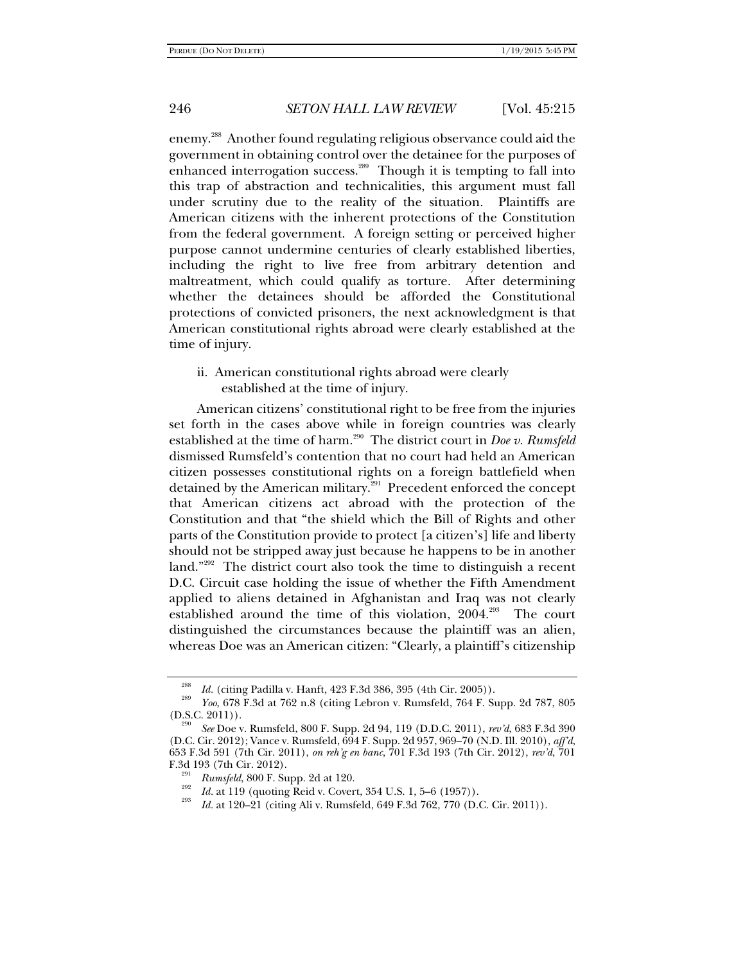enemy.288 Another found regulating religious observance could aid the government in obtaining control over the detainee for the purposes of enhanced interrogation success.<sup>289</sup> Though it is tempting to fall into this trap of abstraction and technicalities, this argument must fall under scrutiny due to the reality of the situation. Plaintiffs are American citizens with the inherent protections of the Constitution from the federal government. A foreign setting or perceived higher purpose cannot undermine centuries of clearly established liberties, including the right to live free from arbitrary detention and maltreatment, which could qualify as torture. After determining whether the detainees should be afforded the Constitutional protections of convicted prisoners, the next acknowledgment is that American constitutional rights abroad were clearly established at the time of injury.

ii. American constitutional rights abroad were clearly established at the time of injury.

American citizens' constitutional right to be free from the injuries set forth in the cases above while in foreign countries was clearly established at the time of harm.290 The district court in *Doe v. Rumsfeld* dismissed Rumsfeld's contention that no court had held an American citizen possesses constitutional rights on a foreign battlefield when detained by the American military.<sup>291</sup> Precedent enforced the concept that American citizens act abroad with the protection of the Constitution and that "the shield which the Bill of Rights and other parts of the Constitution provide to protect [a citizen's] life and liberty should not be stripped away just because he happens to be in another land."<sup>292</sup> The district court also took the time to distinguish a recent D.C. Circuit case holding the issue of whether the Fifth Amendment applied to aliens detained in Afghanistan and Iraq was not clearly established around the time of this violation, 2004.<sup>293</sup> The court distinguished the circumstances because the plaintiff was an alien, whereas Doe was an American citizen: "Clearly, a plaintiff's citizenship

<sup>288</sup>

<sup>&</sup>lt;sup>288</sup> *Id.* (citing Padilla v. Hanft, 423 F.3d 386, 395 (4th Cir. 2005)).<br><sup>289</sup> *Yoo*, 678 F.3d at 762 n.8 (citing Lebron v. Rumsfeld, 764 F. Supp. 2d 787, 805 (D.S.C. 2011)).

<sup>(</sup>D.S.C. 2011)). 290 *See* Doe v. Rumsfeld, 800 F. Supp. 2d 94, 119 (D.D.C. 2011), *rev'd*, 683 F.3d 390 (D.C. Cir. 2012); Vance v. Rumsfeld, 694 F. Supp. 2d 957, 969–70 (N.D. Ill. 2010), *aff'd*, 653 F.3d 591 (7th Cir. 2011), *on reh'g en banc*, 701 F.3d 193 (7th Cir. 2012), *rev'd*, 701 F.3d 193 (7th Cir. 2012).

*Rumsfeld*, 800 F. Supp. 2d at 120.<br> *Rumsfeld*, 800 F. Supp. 2d at 120.<br> *Rumsfeld*, 800 F. Supp. 2d at 120.<br> *Rumsfeld*, 640 F. 34, 759, 770 (D. 0)

*Id.* at 120–21 (citing Ali v. Rumsfeld, 649 F.3d 762, 770 (D.C. Cir. 2011)).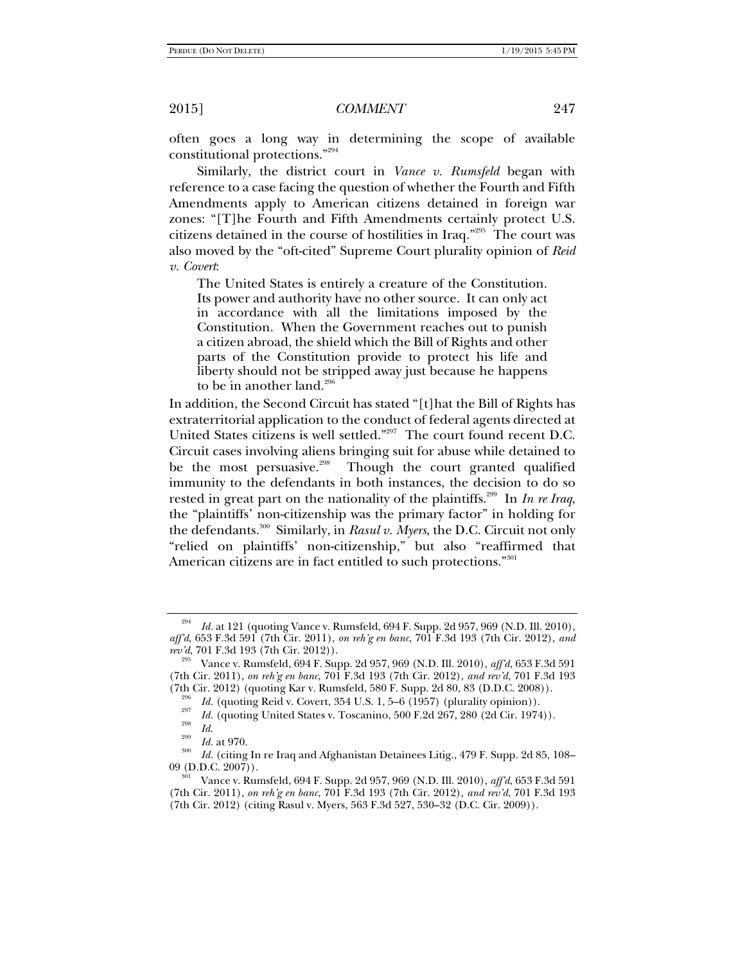often goes a long way in determining the scope of available constitutional protections."294

Similarly, the district court in *Vance v. Rumsfeld* began with reference to a case facing the question of whether the Fourth and Fifth Amendments apply to American citizens detained in foreign war zones: "[T]he Fourth and Fifth Amendments certainly protect U.S. citizens detained in the course of hostilities in Iraq."295 The court was also moved by the "oft-cited" Supreme Court plurality opinion of *Reid v. Covert*:

The United States is entirely a creature of the Constitution. Its power and authority have no other source. It can only act in accordance with all the limitations imposed by the Constitution. When the Government reaches out to punish a citizen abroad, the shield which the Bill of Rights and other parts of the Constitution provide to protect his life and liberty should not be stripped away just because he happens to be in another land. $296$ 

In addition, the Second Circuit has stated "[t]hat the Bill of Rights has extraterritorial application to the conduct of federal agents directed at United States citizens is well settled."297 The court found recent D.C. Circuit cases involving aliens bringing suit for abuse while detained to be the most persuasive.<sup>298</sup> Though the court granted qualified immunity to the defendants in both instances, the decision to do so rested in great part on the nationality of the plaintiffs.299 In *In re Iraq*, the "plaintiffs' non-citizenship was the primary factor" in holding for the defendants.300 Similarly, in *Rasul v. Myers*, the D.C. Circuit not only "relied on plaintiffs' non-citizenship," but also "reaffirmed that American citizens are in fact entitled to such protections."<sup>301</sup>

<sup>294</sup> *Id.* at 121 (quoting Vance v. Rumsfeld, 694 F. Supp. 2d 957, 969 (N.D. Ill. 2010), *aff'd*, 653 F.3d 591 (7th Cir. 2011), *on reh'g en banc*, 701 F.3d 193 (7th Cir. 2012), *and rev'd*, 701 F.3d 193 (7th Cir. 2012)). 295 Vance v. Rumsfeld, 694 F. Supp. 2d 957, 969 (N.D. Ill. 2010), *aff'd*, 653 F.3d 591

<sup>(7</sup>th Cir. 2011), *on reh'g en banc*, 701 F.3d 193 (7th Cir. 2012), *and rev'd*, 701 F.3d 193 (7th Cir. 2012) (quoting Kar v. Rumsfeld, 580 F. Supp. 2d 80, 83 (D.D.C. 2008)).<br> *Id.* (quoting Reid v. Covert, 354 U.S. 1, 5–6 (1957) (plurality opinion)).

*Id.* (quoting United States v. Toscanino, 500 F.2d 267, 280 (2d Cir. 1974)).<br> *Id.* at 970.<br>
<sup>300</sup> *Id.* at 970.

 $\frac{300}{100}$  *Id.* (citing In re Iraq and Afghanistan Detainees Litig., 479 F. Supp. 2d 85, 108–09 (D.D.C. 2007)).

<sup>09 (</sup>D.D.C. 2007)). 301 Vance v. Rumsfeld, 694 F. Supp. 2d 957, 969 (N.D. Ill. 2010), *aff'd*, 653 F.3d 591 (7th Cir. 2011), *on reh'g en banc*, 701 F.3d 193 (7th Cir. 2012), *and rev'd*, 701 F.3d 193 (7th Cir. 2012) (citing Rasul v. Myers, 563 F.3d 527, 530–32 (D.C. Cir. 2009)).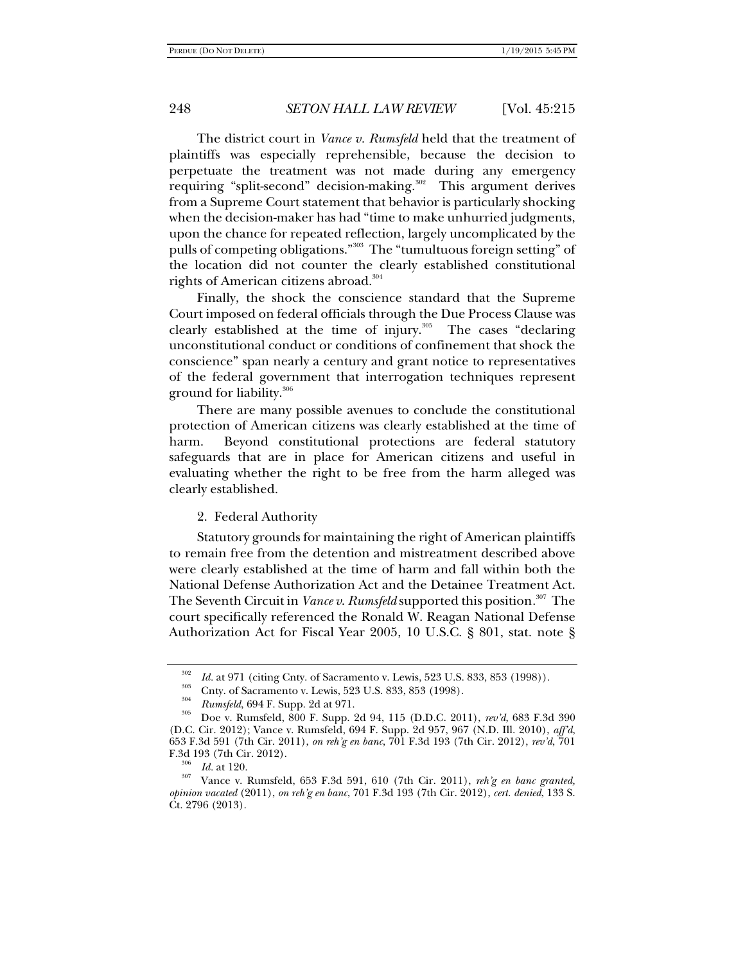The district court in *Vance v. Rumsfeld* held that the treatment of plaintiffs was especially reprehensible, because the decision to perpetuate the treatment was not made during any emergency requiring "split-second" decision-making.<sup>302</sup> This argument derives from a Supreme Court statement that behavior is particularly shocking when the decision-maker has had "time to make unhurried judgments, upon the chance for repeated reflection, largely uncomplicated by the pulls of competing obligations."303 The "tumultuous foreign setting" of the location did not counter the clearly established constitutional rights of American citizens abroad.<sup>304</sup>

Finally, the shock the conscience standard that the Supreme Court imposed on federal officials through the Due Process Clause was clearly established at the time of injury.<sup>305</sup> The cases "declaring unconstitutional conduct or conditions of confinement that shock the conscience" span nearly a century and grant notice to representatives of the federal government that interrogation techniques represent ground for liability.<sup>306</sup>

There are many possible avenues to conclude the constitutional protection of American citizens was clearly established at the time of harm. Beyond constitutional protections are federal statutory safeguards that are in place for American citizens and useful in evaluating whether the right to be free from the harm alleged was clearly established.

#### 2. Federal Authority

Statutory grounds for maintaining the right of American plaintiffs to remain free from the detention and mistreatment described above were clearly established at the time of harm and fall within both the National Defense Authorization Act and the Detainee Treatment Act. The Seventh Circuit in *Vance v*. *Rumsfeld* supported this position*.* 307 The court specifically referenced the Ronald W. Reagan National Defense Authorization Act for Fiscal Year 2005, 10 U.S.C. § 801, stat. note §

<sup>&</sup>lt;sup>302</sup>*Id.* at 971 (citing Cnty. of Sacramento v. Lewis, 523 U.S. 833, 853 (1998)).<br>
303 Cnty. of Sacramento v. Lewis, 523 U.S. 833, 853 (1998).<br> *Rumsfeld*, 694 F. Supp. 2d at 971.

<sup>&</sup>lt;sup>305</sup> Doe v. Rumsfeld, 800 F. Supp. 2d 94, 115 (D.D.C. 2011), *rev'd*, 683 F.3d 390 (D.C. Cir. 2012); Vance v. Rumsfeld, 694 F. Supp. 2d 957, 967 (N.D. Ill. 2010), *aff'd*, 653 F.3d 591 (7th Cir. 2011), *on reh'g en banc*, 701 F.3d 193 (7th Cir. 2012), *rev'd*, 701 F.3d 193 (7th Cir. 2012).<br><sup>306</sup> *Id.* at 120.<br><sup>307</sup> Vance v. Rumsfeld, 653 F.3d 591, 610 (7th Cir. 2011), *reh'g en banc granted,* 

*opinion vacated* (2011), *on reh'g en banc*, 701 F.3d 193 (7th Cir. 2012), *cert. denied*, 133 S. Ct. 2796 (2013).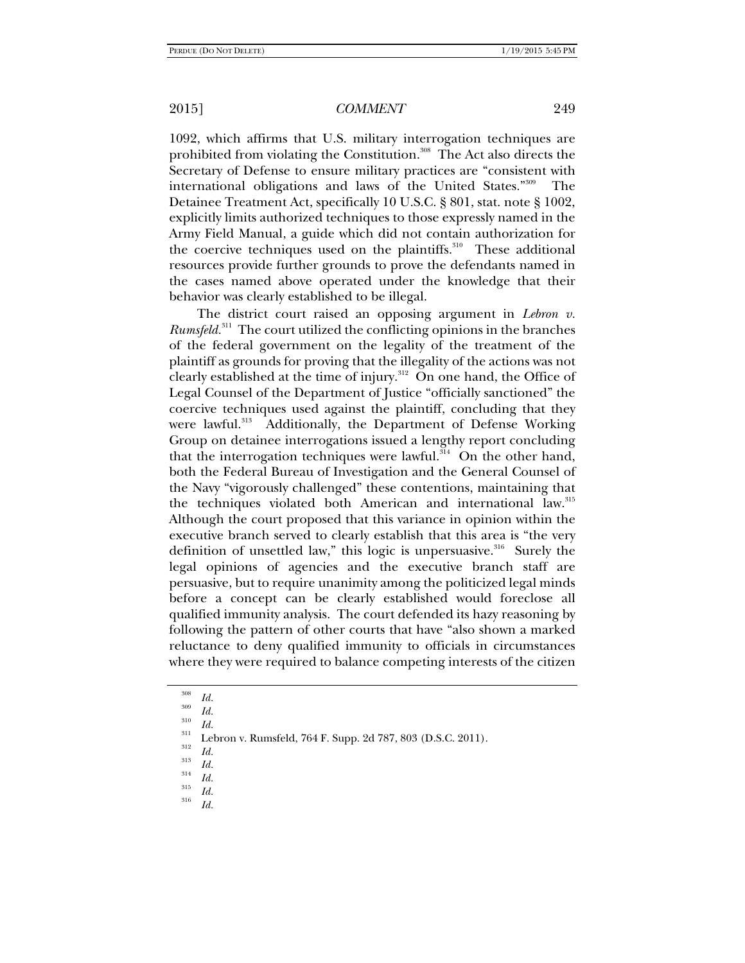1092, which affirms that U.S. military interrogation techniques are prohibited from violating the Constitution.<sup>308</sup> The Act also directs the Secretary of Defense to ensure military practices are "consistent with international obligations and laws of the United States."309 The Detainee Treatment Act, specifically 10 U.S.C. § 801, stat. note § 1002, explicitly limits authorized techniques to those expressly named in the Army Field Manual, a guide which did not contain authorization for the coercive techniques used on the plaintiffs.<sup>310</sup> These additional resources provide further grounds to prove the defendants named in the cases named above operated under the knowledge that their behavior was clearly established to be illegal.

The district court raised an opposing argument in *Lebron v. Rumsfeld.*311 The court utilized the conflicting opinions in the branches of the federal government on the legality of the treatment of the plaintiff as grounds for proving that the illegality of the actions was not clearly established at the time of injury.<sup>312</sup> On one hand, the Office of Legal Counsel of the Department of Justice "officially sanctioned" the coercive techniques used against the plaintiff, concluding that they were lawful.<sup>313</sup> Additionally, the Department of Defense Working Group on detainee interrogations issued a lengthy report concluding that the interrogation techniques were lawful.<sup> $314$ </sup> On the other hand, both the Federal Bureau of Investigation and the General Counsel of the Navy "vigorously challenged" these contentions, maintaining that the techniques violated both American and international law.<sup>315</sup> Although the court proposed that this variance in opinion within the executive branch served to clearly establish that this area is "the very definition of unsettled law," this logic is unpersuasive. $316$  Surely the legal opinions of agencies and the executive branch staff are persuasive, but to require unanimity among the politicized legal minds before a concept can be clearly established would foreclose all qualified immunity analysis. The court defended its hazy reasoning by following the pattern of other courts that have "also shown a marked reluctance to deny qualified immunity to officials in circumstances where they were required to balance competing interests of the citizen

<sup>308</sup>*Id.* <sup>309</sup>

<sup>&</sup>lt;sup>310</sup>*Id.* Lebron v. Rumsfeld, 764 F. Supp. 2d 787, 803 (D.S.C. 2011). *Id.* 

 $\frac{313}{314}$  *Id. Id.* 

 $\frac{315}{316}$  *Id.* 

*Id.*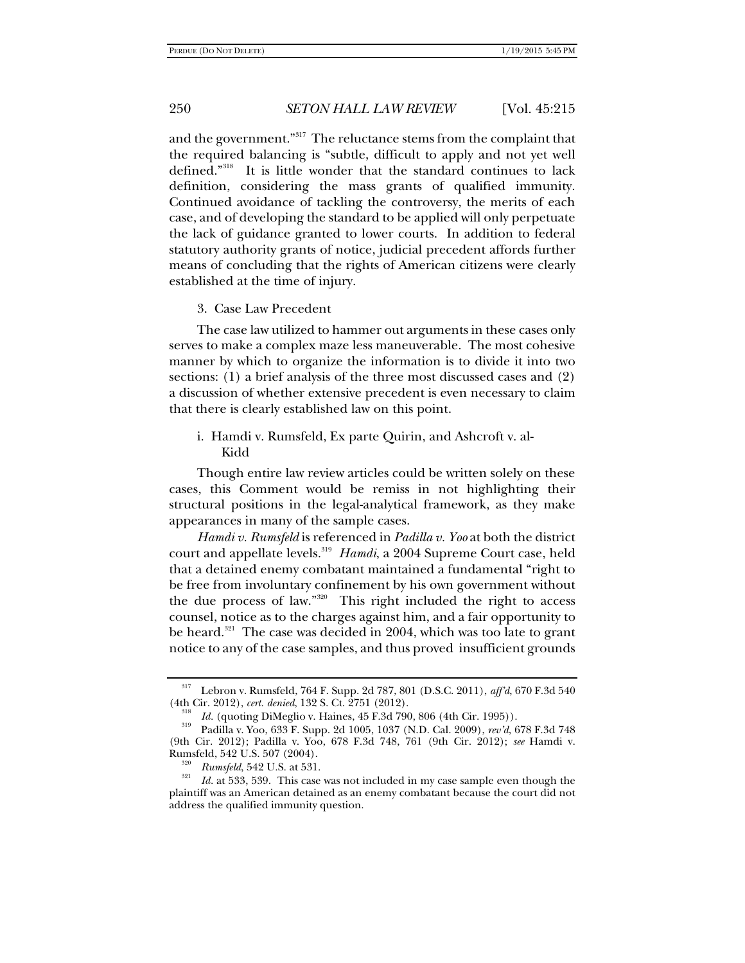and the government."<sup>317</sup> The reluctance stems from the complaint that the required balancing is "subtle, difficult to apply and not yet well defined."318 It is little wonder that the standard continues to lack definition, considering the mass grants of qualified immunity. Continued avoidance of tackling the controversy, the merits of each case, and of developing the standard to be applied will only perpetuate the lack of guidance granted to lower courts. In addition to federal statutory authority grants of notice, judicial precedent affords further means of concluding that the rights of American citizens were clearly established at the time of injury.

#### 3. Case Law Precedent

The case law utilized to hammer out arguments in these cases only serves to make a complex maze less maneuverable. The most cohesive manner by which to organize the information is to divide it into two sections: (1) a brief analysis of the three most discussed cases and (2) a discussion of whether extensive precedent is even necessary to claim that there is clearly established law on this point.

## i. Hamdi v. Rumsfeld, Ex parte Quirin, and Ashcroft v. al-Kidd

Though entire law review articles could be written solely on these cases, this Comment would be remiss in not highlighting their structural positions in the legal-analytical framework, as they make appearances in many of the sample cases.

*Hamdi v. Rumsfeld* is referenced in *Padilla v. Yoo* at both the district court and appellate levels.<sup>319</sup> *Hamdi*, a 2004 Supreme Court case, held that a detained enemy combatant maintained a fundamental "right to be free from involuntary confinement by his own government without the due process of law."320 This right included the right to access counsel, notice as to the charges against him, and a fair opportunity to be heard.<sup>321</sup> The case was decided in 2004, which was too late to grant notice to any of the case samples, and thus proved insufficient grounds

<sup>317</sup> Lebron v. Rumsfeld, 764 F. Supp. 2d 787, 801 (D.S.C. 2011), *aff'd*, 670 F.3d 540 (4th Cir. 2012), *cert. denied*, 132 S. Ct. 2751 (2012).<br><sup>318</sup> Id. (quoting DiMeglio v. Haines, 45 F.3d 790, 806 (4th Cir. 1995)).

<sup>&</sup>lt;sup>319</sup> Padilla v. Yoo, 633 F. Supp. 2d 1005, 1037 (N.D. Cal. 2009), *rev'd*, 678 F.3d 748 (9th Cir. 2012); Padilla v. Yoo, 678 F.3d 748, 761 (9th Cir. 2012); *see* Hamdi v. Rumsfeld, 542 U.S. 507 (2004).<br><sup>320</sup> *Rumsfeld*, 542 U.S. at 531.<br>*321 Id.* at 533, 539. This case was not included in my case sample even though the

plaintiff was an American detained as an enemy combatant because the court did not address the qualified immunity question.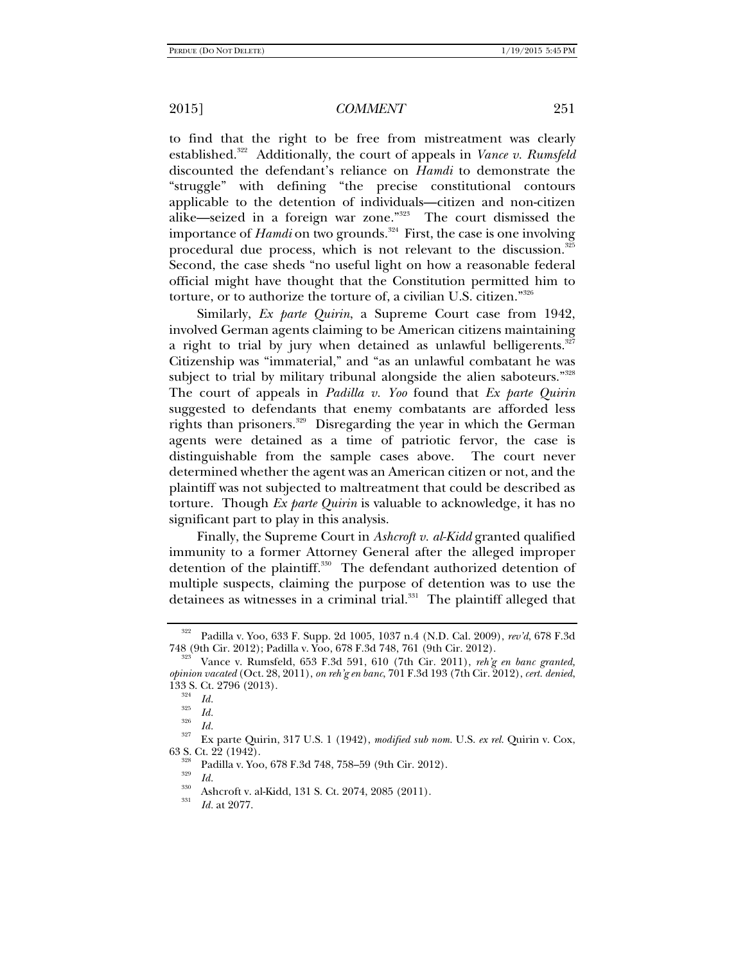to find that the right to be free from mistreatment was clearly established.<sup>322</sup> Additionally, the court of appeals in *Vance v. Rumsfeld* discounted the defendant's reliance on *Hamdi* to demonstrate the "struggle" with defining "the precise constitutional contours applicable to the detention of individuals—citizen and non-citizen alike—seized in a foreign war zone."323 The court dismissed the importance of *Hamdi* on two grounds.<sup>324</sup> First, the case is one involving procedural due process, which is not relevant to the discussion.<sup>325</sup> Second, the case sheds "no useful light on how a reasonable federal official might have thought that the Constitution permitted him to torture, or to authorize the torture of, a civilian U.S. citizen."326

Similarly, *Ex parte Quirin*, a Supreme Court case from 1942, involved German agents claiming to be American citizens maintaining a right to trial by jury when detained as unlawful belligerents. $327$ Citizenship was "immaterial," and "as an unlawful combatant he was subject to trial by military tribunal alongside the alien saboteurs."<sup>328</sup> The court of appeals in *Padilla v. Yoo* found that *Ex parte Quirin* suggested to defendants that enemy combatants are afforded less rights than prisoners.<sup>329</sup> Disregarding the year in which the German agents were detained as a time of patriotic fervor, the case is distinguishable from the sample cases above. The court never determined whether the agent was an American citizen or not, and the plaintiff was not subjected to maltreatment that could be described as torture. Though *Ex parte Quirin* is valuable to acknowledge, it has no significant part to play in this analysis.

Finally, the Supreme Court in *Ashcroft v. al-Kidd* granted qualified immunity to a former Attorney General after the alleged improper detention of the plaintiff.<sup>330</sup> The defendant authorized detention of multiple suspects, claiming the purpose of detention was to use the detainees as witnesses in a criminal trial.<sup>331</sup> The plaintiff alleged that

<sup>322</sup> Padilla v. Yoo, 633 F. Supp. 2d 1005, 1037 n.4 (N.D. Cal. 2009), *rev'd*, 678 F.3d

<sup>748 (9</sup>th Cir. 2012); Padilla v. Yoo, 678 F.3d 748, 761 (9th Cir. 2012). 323 Vance v. Rumsfeld, 653 F.3d 591, 610 (7th Cir. 2011), *reh'g en banc granted, opinion vacated* (Oct. 28, 2011), *on reh'g en banc*, 701 F.3d 193 (7th Cir. 2012), *cert. denied*, 133 S. Ct. 2796 (2013).<br><sup>324</sup> *Id.*<br><sup>325</sup> *Id.*<br><sup>326</sup> *Id.* 

<sup>&</sup>lt;sup>327</sup> Ex parte Quirin, 317 U.S. 1 (1942), *modified sub nom.* U.S. *ex rel.* Quirin v. Cox, 63 S. Ct. 22 (1942).

<sup>&</sup>lt;sup>328</sup> Padilla v. Yoo, 678 F.3d 748, 758–59 (9th Cir. 2012).<br><sup>329</sup> Id.

<sup>&</sup>lt;sup>330</sup> Ashcroft v. al-Kidd, 131 S. Ct. 2074, 2085 (2011).

*Id.* at 2077.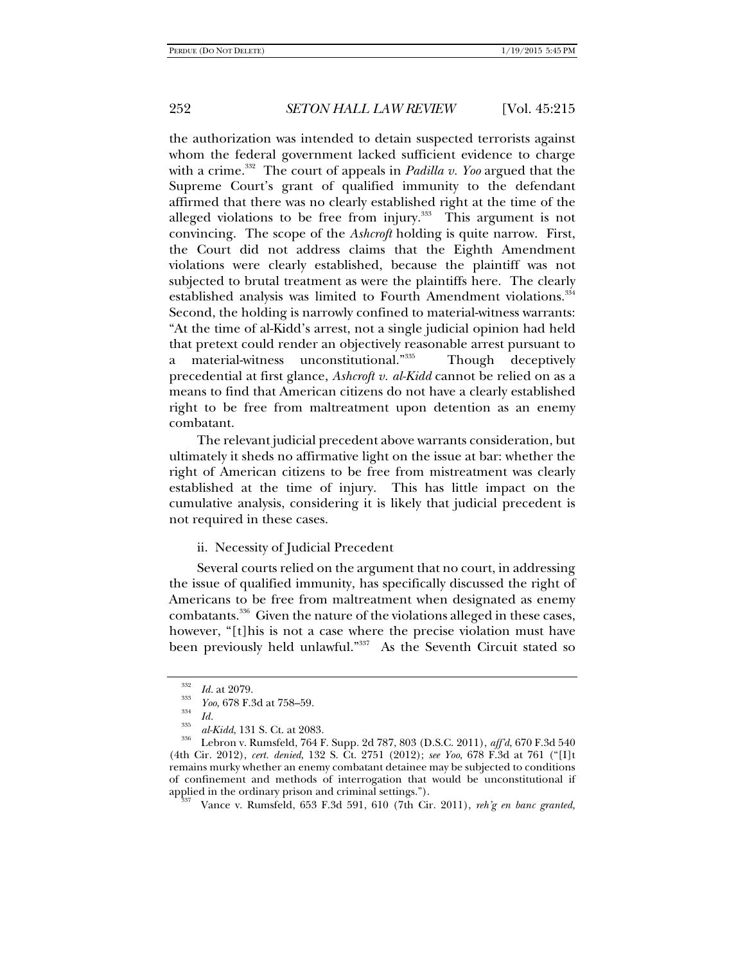the authorization was intended to detain suspected terrorists against whom the federal government lacked sufficient evidence to charge with a crime.<sup>332</sup> The court of appeals in *Padilla v. Yoo* argued that the Supreme Court's grant of qualified immunity to the defendant affirmed that there was no clearly established right at the time of the alleged violations to be free from injury.<sup>333</sup> This argument is not convincing. The scope of the *Ashcroft* holding is quite narrow. First, the Court did not address claims that the Eighth Amendment violations were clearly established, because the plaintiff was not subjected to brutal treatment as were the plaintiffs here. The clearly established analysis was limited to Fourth Amendment violations.<sup>334</sup> Second, the holding is narrowly confined to material-witness warrants: "At the time of al-Kidd's arrest, not a single judicial opinion had held that pretext could render an objectively reasonable arrest pursuant to a material-witness unconstitutional."335 Though deceptively precedential at first glance, *Ashcroft v. al-Kidd* cannot be relied on as a means to find that American citizens do not have a clearly established right to be free from maltreatment upon detention as an enemy combatant.

The relevant judicial precedent above warrants consideration, but ultimately it sheds no affirmative light on the issue at bar: whether the right of American citizens to be free from mistreatment was clearly established at the time of injury. This has little impact on the cumulative analysis, considering it is likely that judicial precedent is not required in these cases.

#### ii. Necessity of Judicial Precedent

Several courts relied on the argument that no court, in addressing the issue of qualified immunity, has specifically discussed the right of Americans to be free from maltreatment when designated as enemy combatants.336 Given the nature of the violations alleged in these cases, however, "[t]his is not a case where the precise violation must have been previously held unlawful."<sup>337</sup> As the Seventh Circuit stated so

<sup>332</sup>

<sup>&</sup>lt;sup>332</sup> *Id.* at 2079.<br><sup>333</sup> *Yoo*, 678 F.3d at 758–59.

<sup>&</sup>lt;sup>334</sup> *Id. al-Kidd*, 131 S. Ct. at 2083.

<sup>&</sup>lt;sup>336</sup> Lebron v. Rumsfeld, 764 F. Supp. 2d 787, 803 (D.S.C. 2011), *aff'd*, 670 F.3d 540 (4th Cir. 2012), *cert. denied*, 132 S. Ct. 2751 (2012); *see Yoo*, 678 F.3d at 761 ("[I]t remains murky whether an enemy combatant detainee may be subjected to conditions of confinement and methods of interrogation that would be unconstitutional if applied in the ordinary prison and criminal settings.").<br><sup>337</sup> Vance v. Rumsfeld, 653 F.3d 591, 610 (7th Cir. 2011), *reh'g en banc granted*,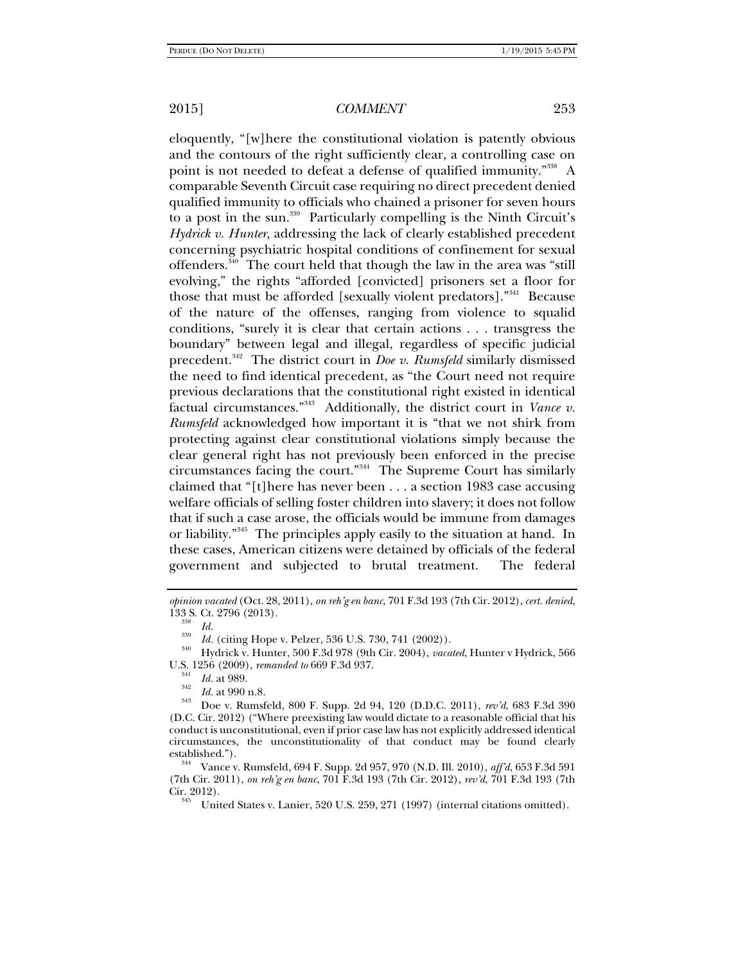eloquently, "[w]here the constitutional violation is patently obvious and the contours of the right sufficiently clear, a controlling case on point is not needed to defeat a defense of qualified immunity."<sup>338</sup> A comparable Seventh Circuit case requiring no direct precedent denied qualified immunity to officials who chained a prisoner for seven hours to a post in the sun.339 Particularly compelling is the Ninth Circuit's *Hydrick v. Hunter,* addressing the lack of clearly established precedent concerning psychiatric hospital conditions of confinement for sexual offenders.340 The court held that though the law in the area was "still evolving," the rights "afforded [convicted] prisoners set a floor for those that must be afforded [sexually violent predators]."341 Because of the nature of the offenses, ranging from violence to squalid conditions, "surely it is clear that certain actions . . . transgress the boundary" between legal and illegal, regardless of specific judicial precedent.342 The district court in *Doe v. Rumsfeld* similarly dismissed the need to find identical precedent, as "the Court need not require previous declarations that the constitutional right existed in identical factual circumstances."343 Additionally, the district court in *Vance v. Rumsfeld* acknowledged how important it is "that we not shirk from protecting against clear constitutional violations simply because the clear general right has not previously been enforced in the precise circumstances facing the court."344 The Supreme Court has similarly claimed that "[t]here has never been . . . a section 1983 case accusing welfare officials of selling foster children into slavery; it does not follow that if such a case arose, the officials would be immune from damages or liability."345 The principles apply easily to the situation at hand. In these cases, American citizens were detained by officials of the federal government and subjected to brutal treatment. The federal

<sup>358</sup> *Id.*<br><sup>339</sup> *Id.* (citing Hope v. Pelzer, 536 U.S. 730, 741 (2002)).

<sup>340</sup> Hydrick v. Hunter, 500 F.3d 978 (9th Cir. 2004), *vacated*, Hunter v Hydrick, 566 U.S. 1256 (2009), *remanded to* 669 F.3d 937.<br><sup>341</sup> Id. at 989.

*opinion vacated* (Oct. 28, 2011), *on reh'g en banc*, 701 F.3d 193 (7th Cir. 2012), *cert. denied*, 133 S. Ct. 2796 (2013).

*Id.* at 989. 342 *Id.* at 990 n.8. 343 Doe v. Rumsfeld, 800 F. Supp. 2d 94, 120 (D.D.C. 2011), *rev'd*, 683 F.3d 390 (D.C. Cir. 2012) ("Where preexisting law would dictate to a reasonable official that his conduct is unconstitutional, even if prior case law has not explicitly addressed identical circumstances, the unconstitutionality of that conduct may be found clearly established."). 344 Vance v. Rumsfeld, 694 F. Supp. 2d 957, 970 (N.D. Ill. 2010), *aff'd*, 653 F.3d 591

<sup>(7</sup>th Cir. 2011), *on reh'g en banc*, 701 F.3d 193 (7th Cir. 2012), *rev'd*, 701 F.3d 193 (7th Cir. 2012).<br><sup>345</sup> United States v. Lanier, 520 U.S. 259, 271 (1997) (internal citations omitted).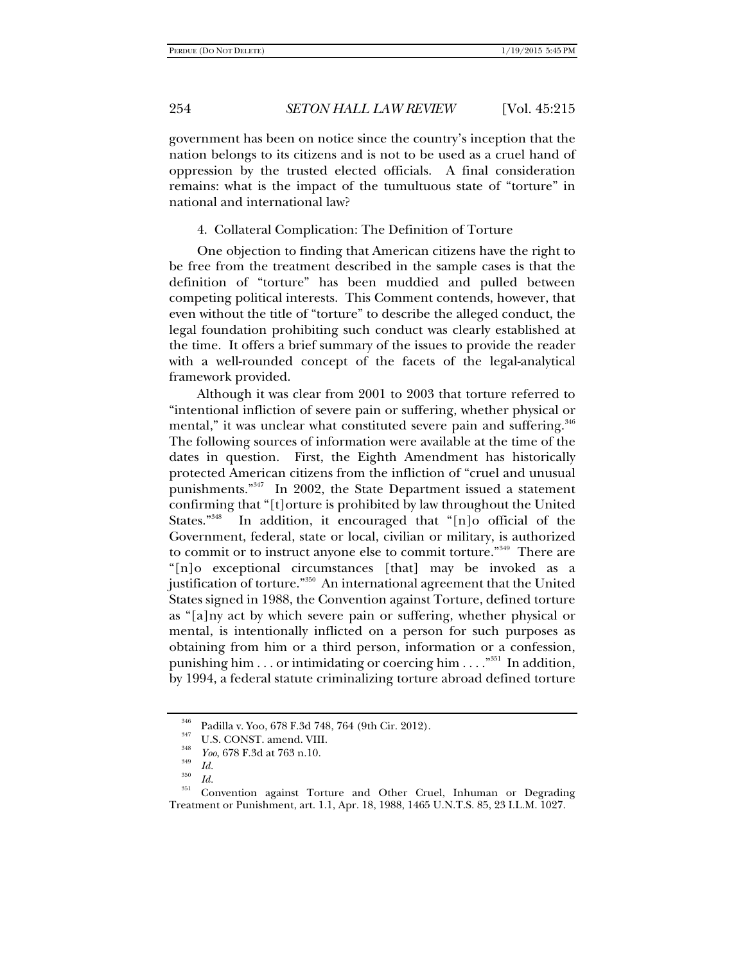government has been on notice since the country's inception that the nation belongs to its citizens and is not to be used as a cruel hand of oppression by the trusted elected officials. A final consideration remains: what is the impact of the tumultuous state of "torture" in national and international law?

4. Collateral Complication: The Definition of Torture

One objection to finding that American citizens have the right to be free from the treatment described in the sample cases is that the definition of "torture" has been muddied and pulled between competing political interests. This Comment contends, however, that even without the title of "torture" to describe the alleged conduct, the legal foundation prohibiting such conduct was clearly established at the time. It offers a brief summary of the issues to provide the reader with a well-rounded concept of the facets of the legal-analytical framework provided.

Although it was clear from 2001 to 2003 that torture referred to "intentional infliction of severe pain or suffering, whether physical or mental," it was unclear what constituted severe pain and suffering.<sup>346</sup> The following sources of information were available at the time of the dates in question. First, the Eighth Amendment has historically protected American citizens from the infliction of "cruel and unusual punishments."347 In 2002, the State Department issued a statement confirming that "[t]orture is prohibited by law throughout the United States."348 In addition, it encouraged that "[n]o official of the Government, federal, state or local, civilian or military, is authorized to commit or to instruct anyone else to commit torture."<sup>349</sup> There are "[n]o exceptional circumstances [that] may be invoked as a justification of torture."350 An international agreement that the United States signed in 1988, the Convention against Torture, defined torture as "[a]ny act by which severe pain or suffering, whether physical or mental, is intentionally inflicted on a person for such purposes as obtaining from him or a third person, information or a confession, punishing him  $\dots$  or intimidating or coercing him  $\dots$ ."<sup>351</sup> In addition, by 1994, a federal statute criminalizing torture abroad defined torture

<sup>&</sup>lt;sup>346</sup> Padilla v. Yoo, 678 F.3d 748, 764 (9th Cir. 2012).<br>
<sup>347</sup> U.S. CONST. amend. VIII.<br>
<sup>348</sup> *Yoo*, 678 F.3d at 763 n.10.<br> *M* 

*Id.* <sup>350</sup>*Id.* 351 Convention against Torture and Other Cruel, Inhuman or Degrading Treatment or Punishment, art. 1.1, Apr. 18, 1988, 1465 U.N.T.S. 85, 23 I.L.M. 1027.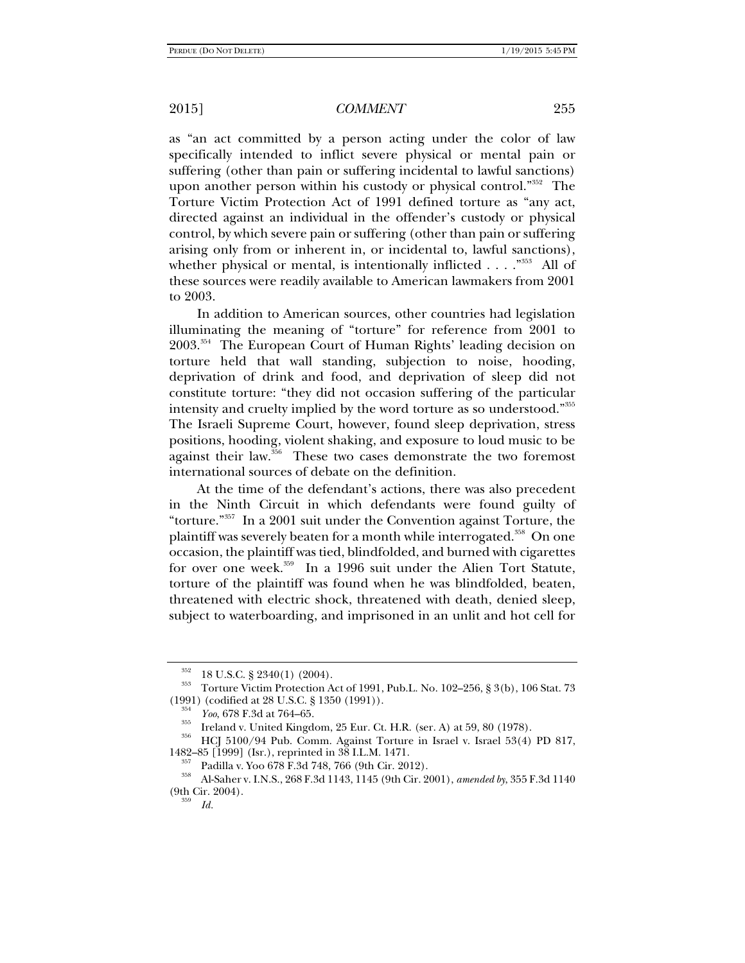as "an act committed by a person acting under the color of law specifically intended to inflict severe physical or mental pain or suffering (other than pain or suffering incidental to lawful sanctions) upon another person within his custody or physical control."<sup>352</sup> The Torture Victim Protection Act of 1991 defined torture as "any act, directed against an individual in the offender's custody or physical control, by which severe pain or suffering (other than pain or suffering arising only from or inherent in, or incidental to, lawful sanctions), whether physical or mental, is intentionally inflicted  $\dots$ .  $\cdot$ <sup>353</sup> All of these sources were readily available to American lawmakers from 2001 to 2003.

In addition to American sources, other countries had legislation illuminating the meaning of "torture" for reference from 2001 to 2003.354 The European Court of Human Rights' leading decision on torture held that wall standing, subjection to noise, hooding, deprivation of drink and food, and deprivation of sleep did not constitute torture: "they did not occasion suffering of the particular intensity and cruelty implied by the word torture as so understood."355 The Israeli Supreme Court, however, found sleep deprivation, stress positions, hooding, violent shaking, and exposure to loud music to be against their law.<sup>356</sup> These two cases demonstrate the two foremost international sources of debate on the definition.

At the time of the defendant's actions, there was also precedent in the Ninth Circuit in which defendants were found guilty of "torture."357 In a 2001 suit under the Convention against Torture, the plaintiff was severely beaten for a month while interrogated.<sup>358</sup> On one occasion, the plaintiff was tied, blindfolded, and burned with cigarettes for over one week.<sup>359</sup> In a 1996 suit under the Alien Tort Statute, torture of the plaintiff was found when he was blindfolded, beaten, threatened with electric shock, threatened with death, denied sleep, subject to waterboarding, and imprisoned in an unlit and hot cell for

<sup>&</sup>lt;sup>352</sup> 18 U.S.C. § 2340(1) (2004).<br><sup>353</sup> Torture Victim Protection Act of 1991, Pub.L. No. 102–256, § 3(b), 106 Stat. 73<br>(1991) (codified at 28 U.S.C. § 1350 (1991)).

 $\frac{354}{355}$  *Yoo*, 678 F.3d at 764–65.<br>Ireland v. United Kingdom, 25 Eur. Ct. H.R. (ser. A) at 59, 80 (1978).<br><sup>356</sup> HCJ 5100/94 Pub. Comm. Against Torture in Israel v. Israel 53(4) PD 817,<br>1482–85 [1999] (Isr.), reprint

<sup>1482–85 [1999] (</sup>Isr.), reprinted in 38 I.L.M. 1471. 357 Padilla v. Yoo 678 F.3d 748, 766 (9th Cir. 2012). 358 Al-Saher v. I.N.S., 268 F.3d 1143, 1145 (9th Cir. 2001), *amended by*, 355 F.3d 1140  $(9th)$  Cir. 2004).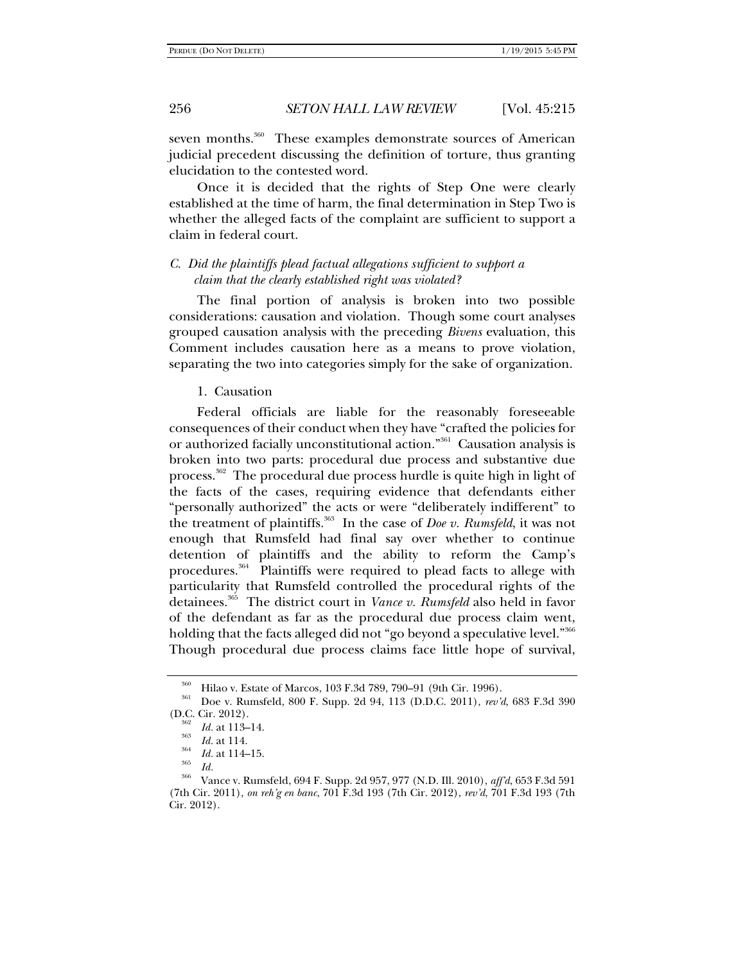seven months.<sup>360</sup> These examples demonstrate sources of American judicial precedent discussing the definition of torture, thus granting elucidation to the contested word.

Once it is decided that the rights of Step One were clearly established at the time of harm, the final determination in Step Two is whether the alleged facts of the complaint are sufficient to support a claim in federal court.

## *C. Did the plaintiffs plead factual allegations sufficient to support a claim that the clearly established right was violated?*

The final portion of analysis is broken into two possible considerations: causation and violation. Though some court analyses grouped causation analysis with the preceding *Bivens* evaluation, this Comment includes causation here as a means to prove violation, separating the two into categories simply for the sake of organization.

#### 1. Causation

Federal officials are liable for the reasonably foreseeable consequences of their conduct when they have "crafted the policies for or authorized facially unconstitutional action."361 Causation analysis is broken into two parts: procedural due process and substantive due process.<sup>362</sup> The procedural due process hurdle is quite high in light of the facts of the cases, requiring evidence that defendants either "personally authorized" the acts or were "deliberately indifferent" to the treatment of plaintiffs.<sup>363</sup> In the case of *Doe v. Rumsfeld*, it was not enough that Rumsfeld had final say over whether to continue detention of plaintiffs and the ability to reform the Camp's procedures.<sup>364</sup> Plaintiffs were required to plead facts to allege with particularity that Rumsfeld controlled the procedural rights of the detainees.365 The district court in *Vance v. Rumsfeld* also held in favor of the defendant as far as the procedural due process claim went, holding that the facts alleged did not "go beyond a speculative level."<sup>366</sup> Though procedural due process claims face little hope of survival,

<sup>360</sup> Hilao v. Estate of Marcos, 103 F.3d 789, 790–91 (9th Cir. 1996). 361 Doe v. Rumsfeld, 800 F. Supp. 2d 94, 113 (D.D.C. 2011), *rev'd*, 683 F.3d 390 (D.C. Cir. 2012).

 $\frac{362}{363}$  *Id.* at 113–14.<br>*Id.* at 114.

*Id.* at 114. 364 *Id.* at 114–15. 365 *Id.* 366 Vance v. Rumsfeld, 694 F. Supp. 2d 957, 977 (N.D. Ill. 2010), *aff'd*, 653 F.3d 591 (7th Cir. 2011), *on reh'g en banc*, 701 F.3d 193 (7th Cir. 2012), *rev'd*, 701 F.3d 193 (7th Cir. 2012).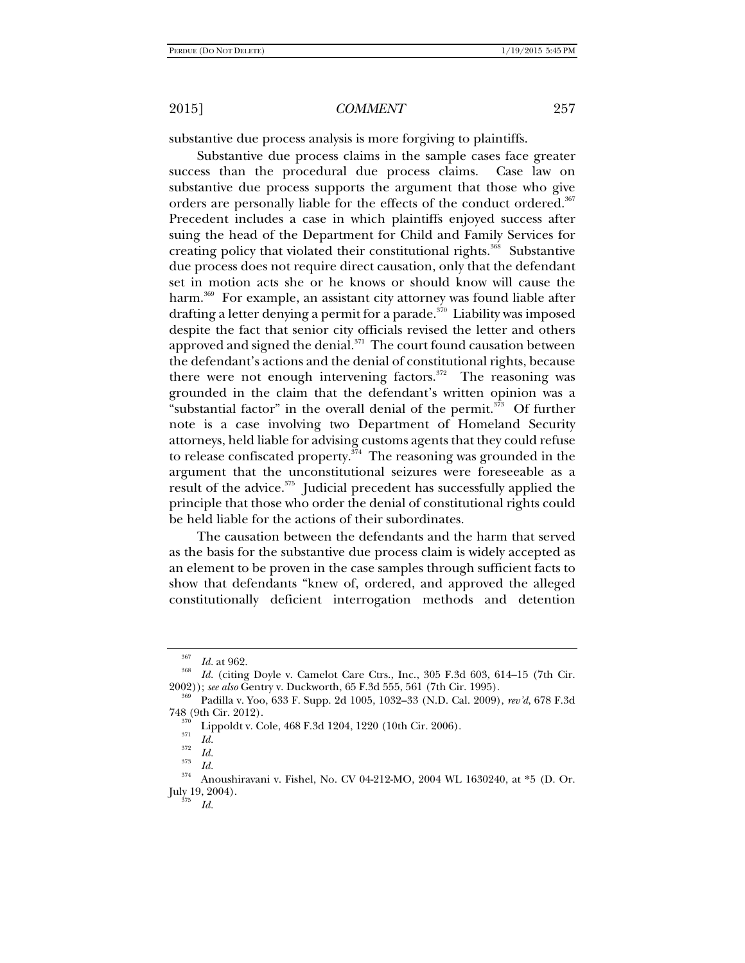substantive due process analysis is more forgiving to plaintiffs.

Substantive due process claims in the sample cases face greater success than the procedural due process claims. Case law on substantive due process supports the argument that those who give orders are personally liable for the effects of the conduct ordered.<sup>367</sup> Precedent includes a case in which plaintiffs enjoyed success after suing the head of the Department for Child and Family Services for creating policy that violated their constitutional rights.<sup>368</sup> Substantive due process does not require direct causation, only that the defendant set in motion acts she or he knows or should know will cause the harm.<sup>369</sup> For example, an assistant city attorney was found liable after drafting a letter denying a permit for a parade.<sup>370</sup> Liability was imposed despite the fact that senior city officials revised the letter and others approved and signed the denial.<sup>371</sup> The court found causation between the defendant's actions and the denial of constitutional rights, because there were not enough intervening factors. $372$  The reasoning was grounded in the claim that the defendant's written opinion was a "substantial factor" in the overall denial of the permit.<sup>373</sup> Of further note is a case involving two Department of Homeland Security attorneys, held liable for advising customs agents that they could refuse to release confiscated property.<sup> $\frac{374}{4}$ </sup> The reasoning was grounded in the argument that the unconstitutional seizures were foreseeable as a result of the advice.<sup>375</sup> Judicial precedent has successfully applied the principle that those who order the denial of constitutional rights could be held liable for the actions of their subordinates.

The causation between the defendants and the harm that served as the basis for the substantive due process claim is widely accepted as an element to be proven in the case samples through sufficient facts to show that defendants "knew of, ordered, and approved the alleged constitutionally deficient interrogation methods and detention

<sup>&</sup>lt;sup>367</sup> *Id.* at 962.

<sup>&</sup>lt;sup>368</sup> *Id.* (citing Doyle v. Camelot Care Ctrs., Inc., 305 F.3d 603, 614–15 (7th Cir. 2002)); *see also* Gentry v. Duckworth, 65 F.3d 555, 561 (7th Cir. 1995).

<sup>&</sup>lt;sup>369</sup> Padilla v. Yoo, 633 F. Supp. 2d 1005, 1032–33 (N.D. Cal. 2009), *rev'd*, 678 F.3d 748 (9th Cir. 2012).

<sup>&</sup>lt;sup>370</sup> Lippoldt v. Cole, 468 F.3d 1204, 1220 (10th Cir. 2006).<br> *Id.*<br>
<sup>372</sup> *Id.*<br> *Id.* <sup>373</sup> *Id.* 

*Id.* 374 Anoushiravani v. Fishel, No. CV 04-212-MO, 2004 WL 1630240, at \*5 (D. Or. July 19, 2004).

*Id.*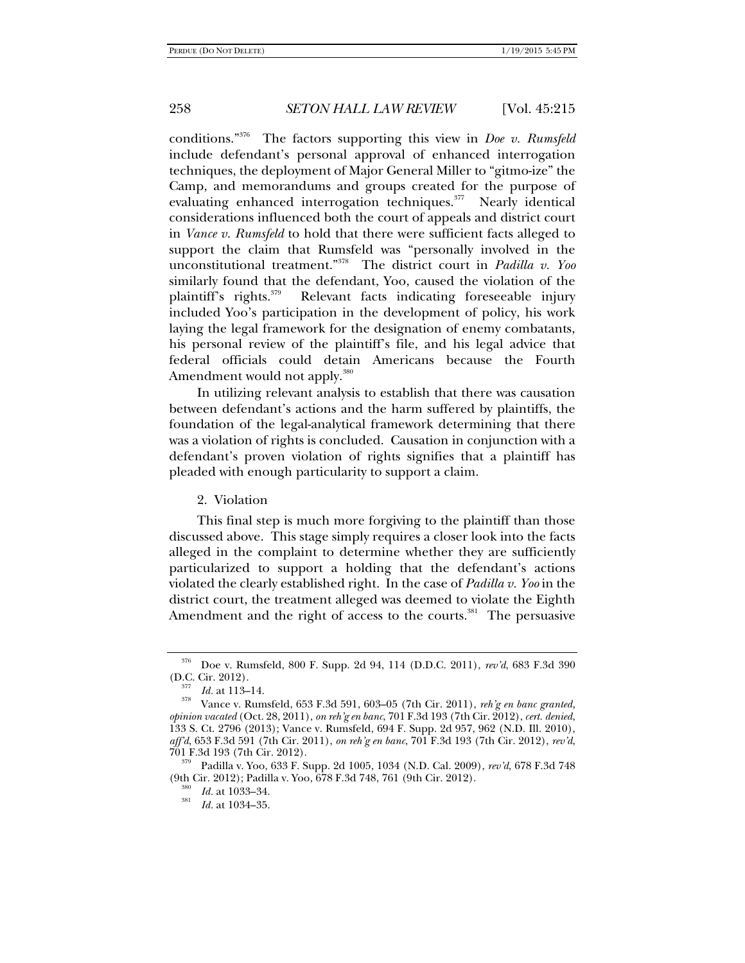conditions."376 The factors supporting this view in *Doe v. Rumsfeld* include defendant's personal approval of enhanced interrogation techniques, the deployment of Major General Miller to "gitmo-ize" the Camp, and memorandums and groups created for the purpose of evaluating enhanced interrogation techniques.<sup>377</sup> Nearly identical considerations influenced both the court of appeals and district court in *Vance v. Rumsfeld* to hold that there were sufficient facts alleged to support the claim that Rumsfeld was "personally involved in the unconstitutional treatment."378 The district court in *Padilla v. Yoo* similarly found that the defendant, Yoo, caused the violation of the plaintiff's rights.<sup>379</sup> Relevant facts indicating foreseeable injury included Yoo's participation in the development of policy, his work laying the legal framework for the designation of enemy combatants, his personal review of the plaintiff's file, and his legal advice that federal officials could detain Americans because the Fourth Amendment would not apply.<sup>380</sup>

In utilizing relevant analysis to establish that there was causation between defendant's actions and the harm suffered by plaintiffs, the foundation of the legal-analytical framework determining that there was a violation of rights is concluded. Causation in conjunction with a defendant's proven violation of rights signifies that a plaintiff has pleaded with enough particularity to support a claim.

### 2. Violation

This final step is much more forgiving to the plaintiff than those discussed above. This stage simply requires a closer look into the facts alleged in the complaint to determine whether they are sufficiently particularized to support a holding that the defendant's actions violated the clearly established right. In the case of *Padilla v. Yoo* in the district court, the treatment alleged was deemed to violate the Eighth Amendment and the right of access to the courts. $381$  The persuasive

<sup>376</sup> Doe v. Rumsfeld, 800 F. Supp. 2d 94, 114 (D.D.C. 2011), *rev'd*, 683 F.3d 390

<sup>(</sup>D.C. Cir. 2012). 377 *Id.* at 113–14. 378 Vance v. Rumsfeld, 653 F.3d 591, 603–05 (7th Cir. 2011), *reh'g en banc granted, opinion vacated* (Oct. 28, 2011), *on reh'g en banc*, 701 F.3d 193 (7th Cir. 2012), *cert. denied*, 133 S. Ct. 2796 (2013); Vance v. Rumsfeld, 694 F. Supp. 2d 957, 962 (N.D. Ill. 2010), *aff'd*, 653 F.3d 591 (7th Cir. 2011), *on reh'g en banc*, 701 F.3d 193 (7th Cir. 2012), *rev'd*,

<sup>701</sup> F.3d 193 (7th Cir. 2012). 379 Padilla v. Yoo, 633 F. Supp. 2d 1005, 1034 (N.D. Cal. 2009), *rev'd*, 678 F.3d 748 (9th Cir. 2012); Padilla v. Yoo, 678 F.3d 748, 761 (9th Cir. 2012).<br><sup>380</sup> *Id.* at 1033–34.<br><sup>381</sup>

*Id.* at 1034–35.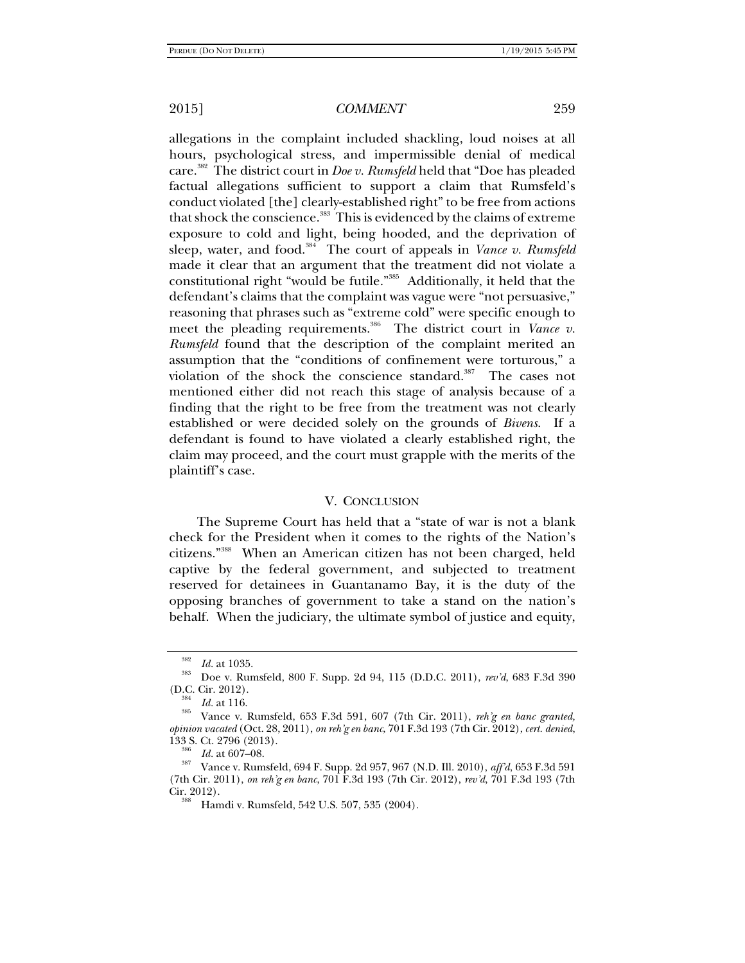allegations in the complaint included shackling, loud noises at all hours, psychological stress, and impermissible denial of medical care.382 The district court in *Doe v. Rumsfeld* held that "Doe has pleaded factual allegations sufficient to support a claim that Rumsfeld's conduct violated [the] clearly-established right" to be free from actions that shock the conscience.<sup>383</sup> This is evidenced by the claims of extreme exposure to cold and light, being hooded, and the deprivation of sleep, water, and food.<sup>384</sup> The court of appeals in *Vance v. Rumsfeld* made it clear that an argument that the treatment did not violate a constitutional right "would be futile."385 Additionally, it held that the defendant's claims that the complaint was vague were "not persuasive," reasoning that phrases such as "extreme cold" were specific enough to meet the pleading requirements.<sup>386</sup> The district court in *Vance v*. *Rumsfeld* found that the description of the complaint merited an assumption that the "conditions of confinement were torturous," a violation of the shock the conscience standard.<sup>387</sup> The cases not mentioned either did not reach this stage of analysis because of a finding that the right to be free from the treatment was not clearly established or were decided solely on the grounds of *Bivens*. If a defendant is found to have violated a clearly established right, the claim may proceed, and the court must grapple with the merits of the plaintiff's case.

### V. CONCLUSION

The Supreme Court has held that a "state of war is not a blank check for the President when it comes to the rights of the Nation's citizens."388 When an American citizen has not been charged, held captive by the federal government, and subjected to treatment reserved for detainees in Guantanamo Bay, it is the duty of the opposing branches of government to take a stand on the nation's behalf. When the judiciary, the ultimate symbol of justice and equity,

<sup>382</sup>

*Id.* at 1035.<br><sup>383</sup> Doe v. Rumsfeld, 800 F. Supp. 2d 94, 115 (D.D.C. 2011), *rev'd*, 683 F.3d 390 (D.C. Cir. 2012).

<sup>&</sup>lt;sup>384</sup> *Id.* at 116.<br><sup>385</sup> Vance v. Rumsfeld, 653 F.3d 591, 607 (7th Cir. 2011), *reh'g en banc granted*, *opinion vacated* (Oct. 28, 2011), *on reh'g en banc*, 701 F.3d 193 (7th Cir. 2012), *cert. denied*,

<sup>&</sup>lt;sup>380</sup> Id. at 607–08.<br><sup>387</sup> Vance v. Rumsfeld, 694 F. Supp. 2d 957, 967 (N.D. Ill. 2010), *aff'd*, 653 F.3d 591 (7th Cir. 2011), *on reh'g en banc*, 701 F.3d 193 (7th Cir. 2012), *rev'd*, 701 F.3d 193 (7th Cir. 2012). 388 Hamdi v. Rumsfeld, 542 U.S. 507, 535 (2004).